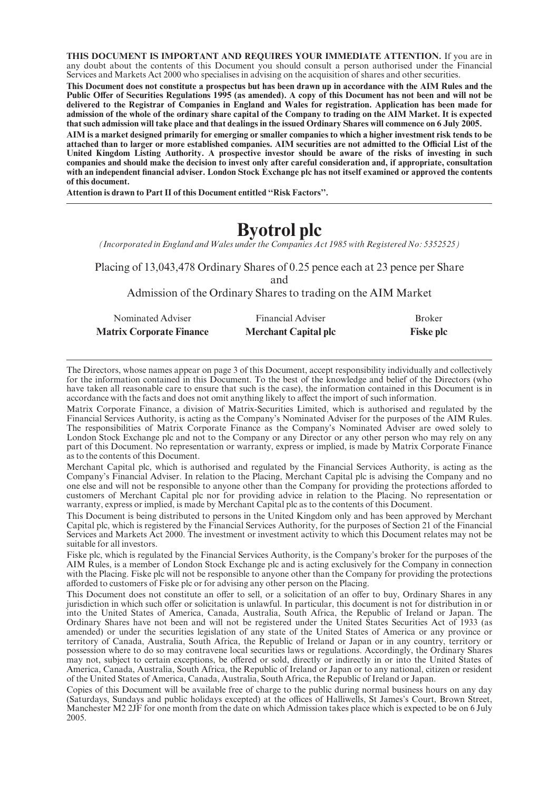THIS DOCUMENT IS IMPORTANT AND REQUIRES YOUR IMMEDIATE ATTENTION. If you are in any doubt about the contents of this Document you should consult a person authorised under the Financial Services and Markets Act 2000 who specialises in advising on the acquisition of shares and other securities.

This Document does not constitute a prospectus but has been drawn up in accordance with the AIM Rules and the Public Offer of Securities Regulations 1995 (as amended). A copy of this Document has not been and will not be delivered to the Registrar of Companies in England and Wales for registration. Application has been made for admission of the whole of the ordinary share capital of the Company to trading on the AIM Market. It is expected that such admission will take place and that dealings in the issued Ordinary Shares will commence on 6 July 2005.

AIM is a market designed primarily for emerging or smaller companies to which a higher investment risk tends to be attached than to larger or more established companies. AIM securities are not admitted to the Official List of the United Kingdom Listing Authority. A prospective investor should be aware of the risks of investing in such companies and should make the decision to invest only after careful consideration and, if appropriate, consultation with an independent financial adviser. London Stock Exchange plc has not itself examined or approved the contents of this document.

Attention is drawn to Part II of this Document entitled ''Risk Factors''.

# Byotrol plc

(Incorporated in England and Wales under the Companies Act 1985 with Registered No: 5352525)

Placing of 13,043,478 Ordinary Shares of 0.25 pence each at 23 pence per Share and

Admission of the Ordinary Shares to trading on the AIM Market

| Nominated Adviser               | <b>Financial Adviser</b>    | <b>Broker</b>    |
|---------------------------------|-----------------------------|------------------|
| <b>Matrix Corporate Finance</b> | <b>Merchant Capital plc</b> | <b>Fiske plc</b> |

The Directors, whose names appear on page 3 of this Document, accept responsibility individually and collectively for the information contained in this Document. To the best of the knowledge and belief of the Directors (who have taken all reasonable care to ensure that such is the case), the information contained in this Document is in accordance with the facts and does not omit anything likely to affect the import of such information.

Matrix Corporate Finance, a division of Matrix-Securities Limited, which is authorised and regulated by the Financial Services Authority, is acting as the Company's Nominated Adviser for the purposes of the AIM Rules. The responsibilities of Matrix Corporate Finance as the Company's Nominated Adviser are owed solely to London Stock Exchange plc and not to the Company or any Director or any other person who may rely on any part of this Document. No representation or warranty, express or implied, is made by Matrix Corporate Finance as to the contents of this Document.

Merchant Capital plc, which is authorised and regulated by the Financial Services Authority, is acting as the Company's Financial Adviser. In relation to the Placing, Merchant Capital plc is advising the Company and no one else and will not be responsible to anyone other than the Company for providing the protections afforded to customers of Merchant Capital plc nor for providing advice in relation to the Placing. No representation or warranty, express or implied, is made by Merchant Capital plc as to the contents of this Document.

This Document is being distributed to persons in the United Kingdom only and has been approved by Merchant Capital plc, which is registered by the Financial Services Authority, for the purposes of Section 21 of the Financial Services and Markets Act 2000. The investment or investment activity to which this Document relates may not be suitable for all investors.

Fiske plc, which is regulated by the Financial Services Authority, is the Company's broker for the purposes of the AIM Rules, is a member of London Stock Exchange plc and is acting exclusively for the Company in connection with the Placing. Fiske plc will not be responsible to anyone other than the Company for providing the protections afforded to customers of Fiske plc or for advising any other person on the Placing.

This Document does not constitute an offer to sell, or a solicitation of an offer to buy, Ordinary Shares in any jurisdiction in which such offer or solicitation is unlawful. In particular, this document is not for distribution in or into the United States of America, Canada, Australia, South Africa, the Republic of Ireland or Japan. The Ordinary Shares have not been and will not be registered under the United States Securities Act of 1933 (as amended) or under the securities legislation of any state of the United States of America or any province or territory of Canada, Australia, South Africa, the Republic of Ireland or Japan or in any country, territory or possession where to do so may contravene local securities laws or regulations. Accordingly, the Ordinary Shares may not, subject to certain exceptions, be offered or sold, directly or indirectly in or into the United States of America, Canada, Australia, South Africa, the Republic of Ireland or Japan or to any national, citizen or resident of the United States of America, Canada, Australia, South Africa, the Republic of Ireland or Japan.

Copies of this Document will be available free of charge to the public during normal business hours on any day (Saturdays, Sundays and public holidays excepted) at the offices of Halliwells, St James's Court, Brown Street, Manchester M2 2JF for one month from the date on which Admission takes place which is expected to be on 6 July 2005.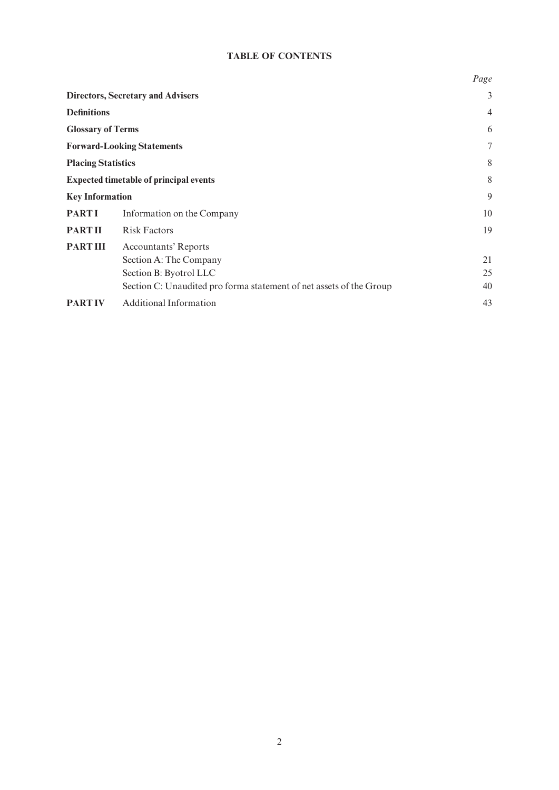## TABLE OF CONTENTS

|                           |                                                                                                                                                        | Page           |
|---------------------------|--------------------------------------------------------------------------------------------------------------------------------------------------------|----------------|
|                           | <b>Directors, Secretary and Advisers</b>                                                                                                               | 3              |
| <b>Definitions</b>        |                                                                                                                                                        | $\overline{4}$ |
| <b>Glossary of Terms</b>  |                                                                                                                                                        | 6              |
|                           | <b>Forward-Looking Statements</b>                                                                                                                      | 7              |
| <b>Placing Statistics</b> |                                                                                                                                                        | 8              |
|                           | <b>Expected timetable of principal events</b>                                                                                                          | 8              |
| <b>Key Information</b>    |                                                                                                                                                        | 9              |
| <b>PARTI</b>              | Information on the Company                                                                                                                             | 10             |
| <b>PARTII</b>             | <b>Risk Factors</b>                                                                                                                                    | 19             |
| <b>PART III</b>           | <b>Accountants' Reports</b><br>Section A: The Company<br>Section B: Byotrol LLC<br>Section C: Unaudited pro forma statement of net assets of the Group | 21<br>25<br>40 |
| <b>PARTIV</b>             | <b>Additional Information</b>                                                                                                                          | 43             |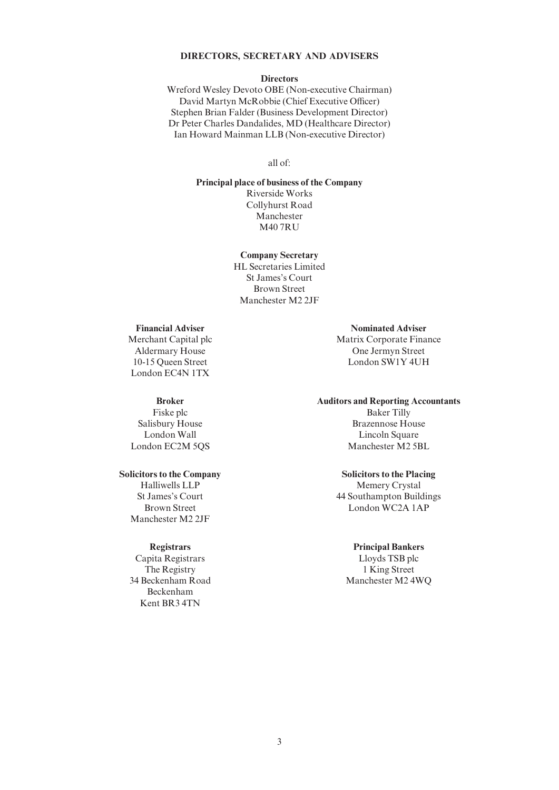## DIRECTORS, SECRETARY AND ADVISERS

#### **Directors**

Wreford Wesley Devoto OBE (Non-executive Chairman) David Martyn McRobbie (Chief Executive Officer) Stephen Brian Falder (Business Development Director) Dr Peter Charles Dandalides, MD (Healthcare Director) Ian Howard Mainman LLB (Non-executive Director)

all of:

Principal place of business of the Company Riverside Works Collyhurst Road Manchester M40 7RU

> Company Secretary HL Secretaries Limited St James's Court Brown Street Manchester M2 2JF

## Financial Adviser

Merchant Capital plc Aldermary House 10-15 Queen Street London EC4N 1TX

#### Broker

Fiske plc Salisbury House London Wall London EC2M 5QS

#### Solicitors to the Company

Halliwells LLP St James's Court Brown Street Manchester M2 2JF

#### **Registrars**

Capita Registrars The Registry 34 Beckenham Road Beckenham Kent BR3 4TN

Nominated Adviser Matrix Corporate Finance One Jermyn Street London SW1Y 4UH

#### Auditors and Reporting Accountants

Baker Tilly Brazennose House Lincoln Square Manchester M2 5BL

#### Solicitors to the Placing

Memery Crystal 44 Southampton Buildings London WC2A 1AP

#### Principal Bankers

Lloyds TSB plc 1 King Street Manchester M2 4WQ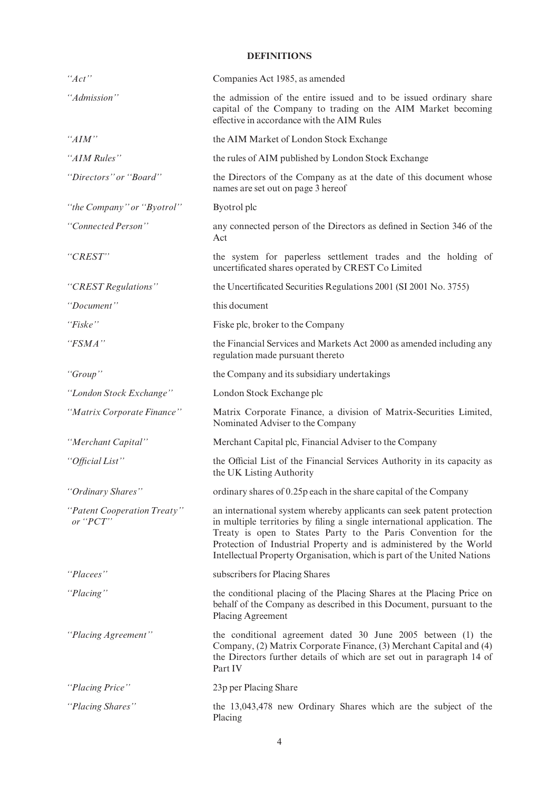## DEFINITIONS

| "Act"                                      | Companies Act 1985, as amended                                                                                                                                                                                                                                                                                                                                        |
|--------------------------------------------|-----------------------------------------------------------------------------------------------------------------------------------------------------------------------------------------------------------------------------------------------------------------------------------------------------------------------------------------------------------------------|
| "Admission"                                | the admission of the entire issued and to be issued ordinary share<br>capital of the Company to trading on the AIM Market becoming<br>effective in accordance with the AIM Rules                                                                                                                                                                                      |
| "AIM"                                      | the AIM Market of London Stock Exchange                                                                                                                                                                                                                                                                                                                               |
| "AIM Rules"                                | the rules of AIM published by London Stock Exchange                                                                                                                                                                                                                                                                                                                   |
| "Directors" or "Board"                     | the Directors of the Company as at the date of this document whose<br>names are set out on page 3 hereof                                                                                                                                                                                                                                                              |
| "the Company" or "Byotrol"                 | Byotrol plc                                                                                                                                                                                                                                                                                                                                                           |
| "Connected Person"                         | any connected person of the Directors as defined in Section 346 of the<br>Act                                                                                                                                                                                                                                                                                         |
| "CREST"                                    | the system for paperless settlement trades and the holding of<br>uncertificated shares operated by CREST Co Limited                                                                                                                                                                                                                                                   |
| "CREST Regulations"                        | the Uncertificated Securities Regulations 2001 (SI 2001 No. 3755)                                                                                                                                                                                                                                                                                                     |
| "Document"                                 | this document                                                                                                                                                                                                                                                                                                                                                         |
| "Fiske"                                    | Fiske plc, broker to the Company                                                                                                                                                                                                                                                                                                                                      |
| "FSMA"                                     | the Financial Services and Markets Act 2000 as amended including any<br>regulation made pursuant thereto                                                                                                                                                                                                                                                              |
| "Group"                                    | the Company and its subsidiary undertakings                                                                                                                                                                                                                                                                                                                           |
| "London Stock Exchange"                    | London Stock Exchange plc                                                                                                                                                                                                                                                                                                                                             |
| "Matrix Corporate Finance"                 | Matrix Corporate Finance, a division of Matrix-Securities Limited,<br>Nominated Adviser to the Company                                                                                                                                                                                                                                                                |
| "Merchant Capital"                         | Merchant Capital plc, Financial Adviser to the Company                                                                                                                                                                                                                                                                                                                |
| "Official List"                            | the Official List of the Financial Services Authority in its capacity as<br>the UK Listing Authority                                                                                                                                                                                                                                                                  |
| "Ordinary Shares"                          | ordinary shares of 0.25p each in the share capital of the Company                                                                                                                                                                                                                                                                                                     |
| "Patent Cooperation Treaty"<br>or " $PCT"$ | an international system whereby applicants can seek patent protection<br>in multiple territories by filing a single international application. The<br>Treaty is open to States Party to the Paris Convention for the<br>Protection of Industrial Property and is administered by the World<br>Intellectual Property Organisation, which is part of the United Nations |
| "Placees"                                  | subscribers for Placing Shares                                                                                                                                                                                                                                                                                                                                        |
| "Placing"                                  | the conditional placing of the Placing Shares at the Placing Price on<br>behalf of the Company as described in this Document, pursuant to the<br>Placing Agreement                                                                                                                                                                                                    |
| "Placing Agreement"                        | the conditional agreement dated 30 June 2005 between (1) the<br>Company, (2) Matrix Corporate Finance, (3) Merchant Capital and (4)<br>the Directors further details of which are set out in paragraph 14 of<br>Part IV                                                                                                                                               |
| "Placing Price"                            | 23p per Placing Share                                                                                                                                                                                                                                                                                                                                                 |
| "Placing Shares"                           | the 13,043,478 new Ordinary Shares which are the subject of the<br>Placing                                                                                                                                                                                                                                                                                            |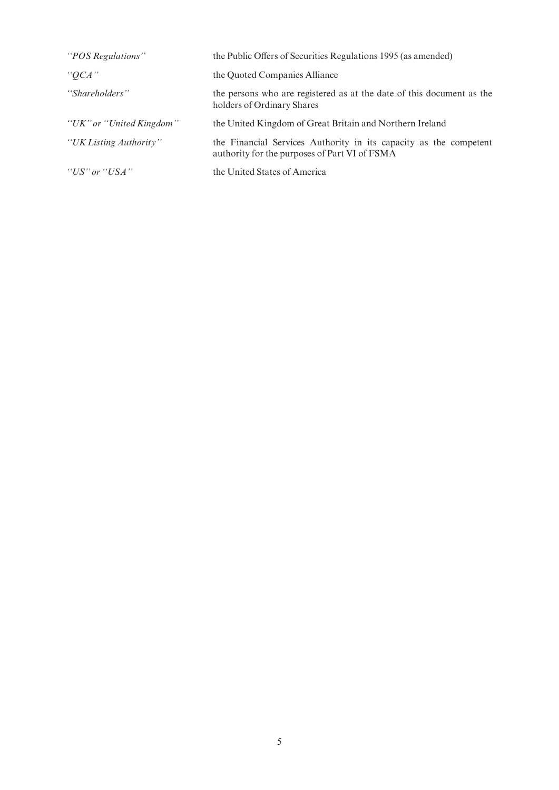| "POS Regulations"        | the Public Offers of Securities Regulations 1995 (as amended)                                                      |
|--------------------------|--------------------------------------------------------------------------------------------------------------------|
| $^{\prime\prime}OCA$ ''  | the Quoted Companies Alliance                                                                                      |
| "Shareholders"           | the persons who are registered as at the date of this document as the<br>holders of Ordinary Shares                |
| "UK" or "United Kingdom" | the United Kingdom of Great Britain and Northern Ireland                                                           |
| "UK Listing Authority"   | the Financial Services Authority in its capacity as the competent<br>authority for the purposes of Part VI of FSMA |
| "US" or "USA"            | the United States of America                                                                                       |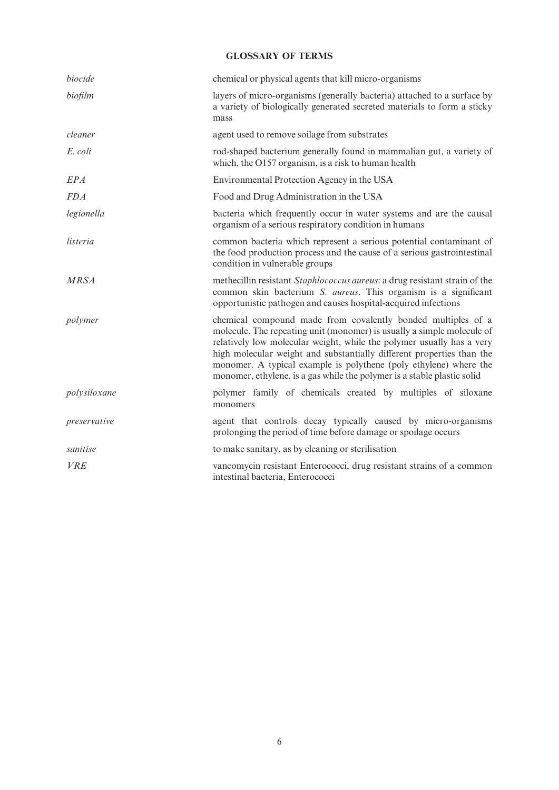## GLOSSARY OF TERMS

| biocide      | chemical or physical agents that kill micro-organisms                                                                                                                                                                                                                                                                                                                                                                                    |
|--------------|------------------------------------------------------------------------------------------------------------------------------------------------------------------------------------------------------------------------------------------------------------------------------------------------------------------------------------------------------------------------------------------------------------------------------------------|
| biofilm      | layers of micro-organisms (generally bacteria) attached to a surface by<br>a variety of biologically generated secreted materials to form a sticky<br>mass                                                                                                                                                                                                                                                                               |
| cleaner      | agent used to remove soilage from substrates                                                                                                                                                                                                                                                                                                                                                                                             |
| E. coli      | rod-shaped bacterium generally found in mammalian gut, a variety of<br>which, the O157 organism, is a risk to human health                                                                                                                                                                                                                                                                                                               |
| EPA          | Environmental Protection Agency in the USA                                                                                                                                                                                                                                                                                                                                                                                               |
| <b>FDA</b>   | Food and Drug Administration in the USA                                                                                                                                                                                                                                                                                                                                                                                                  |
| legionella   | bacteria which frequently occur in water systems and are the causal<br>organism of a serious respiratory condition in humans                                                                                                                                                                                                                                                                                                             |
| listeria     | common bacteria which represent a serious potential contaminant of<br>the food production process and the cause of a serious gastrointestinal<br>condition in vulnerable groups                                                                                                                                                                                                                                                          |
| <b>MRSA</b>  | methecillin resistant Staphlococcus aureus: a drug resistant strain of the<br>common skin bacterium S. <i>aureus</i> . This organism is a significant<br>opportunistic pathogen and causes hospital-acquired infections                                                                                                                                                                                                                  |
| polymer      | chemical compound made from covalently bonded multiples of a<br>molecule. The repeating unit (monomer) is usually a simple molecule of<br>relatively low molecular weight, while the polymer usually has a very<br>high molecular weight and substantially different properties than the<br>monomer. A typical example is polythene (poly ethylene) where the<br>monomer, ethylene, is a gas while the polymer is a stable plastic solid |
| polysiloxane | polymer family of chemicals created by multiples of siloxane<br>monomers                                                                                                                                                                                                                                                                                                                                                                 |
| preservative | agent that controls decay typically caused by micro-organisms<br>prolonging the period of time before damage or spoilage occurs                                                                                                                                                                                                                                                                                                          |
| sanitise     | to make sanitary, as by cleaning or sterilisation                                                                                                                                                                                                                                                                                                                                                                                        |
| <b>VRE</b>   | vancomycin resistant Enterococci, drug resistant strains of a common<br>intestinal bacteria, Enterococci                                                                                                                                                                                                                                                                                                                                 |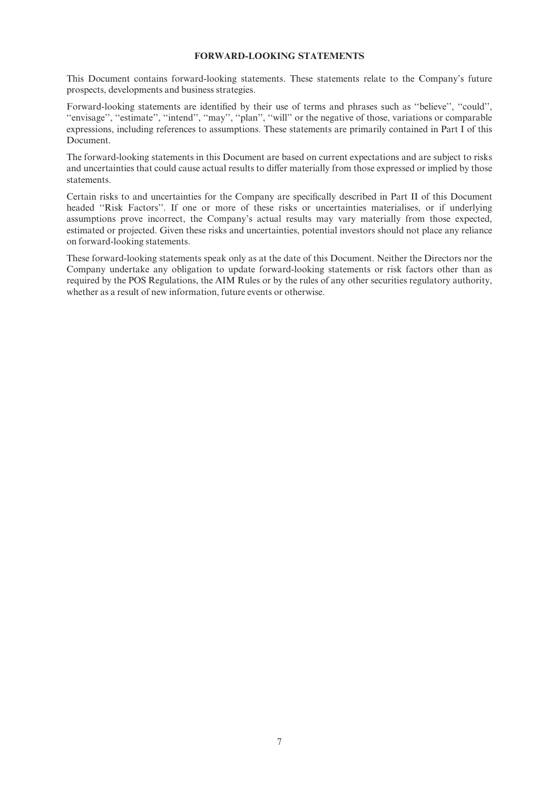### FORWARD-LOOKING STATEMENTS

This Document contains forward-looking statements. These statements relate to the Company's future prospects, developments and business strategies.

Forward-looking statements are identified by their use of terms and phrases such as "believe", "could", "envisage", "estimate", "intend", "may", "plan", "will" or the negative of those, variations or comparable expressions, including references to assumptions. These statements are primarily contained in Part I of this Document.

The forward-looking statements in this Document are based on current expectations and are subject to risks and uncertainties that could cause actual results to differ materially from those expressed or implied by those statements.

Certain risks to and uncertainties for the Company are specifically described in Part II of this Document headed "Risk Factors". If one or more of these risks or uncertainties materialises, or if underlying assumptions prove incorrect, the Company's actual results may vary materially from those expected, estimated or projected. Given these risks and uncertainties, potential investors should not place any reliance on forward-looking statements.

These forward-looking statements speak only as at the date of this Document. Neither the Directors nor the Company undertake any obligation to update forward-looking statements or risk factors other than as required by the POS Regulations, the AIM Rules or by the rules of any other securities regulatory authority, whether as a result of new information, future events or otherwise.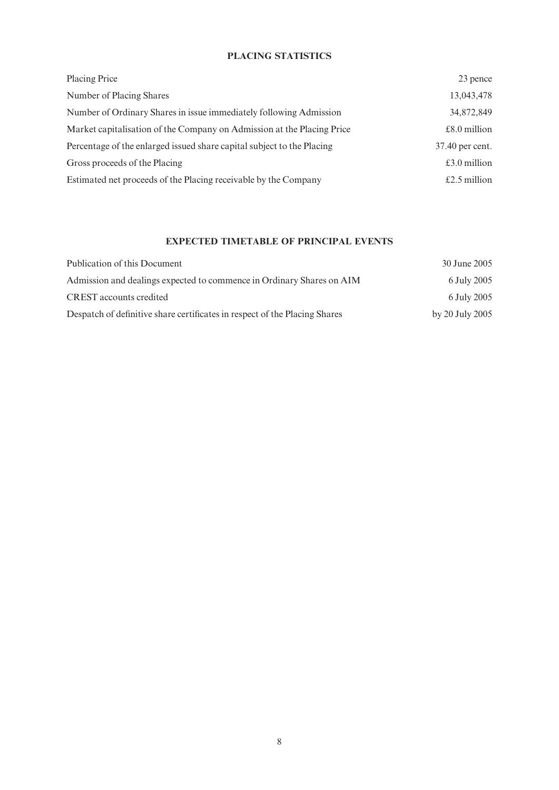## PLACING STATISTICS

| <b>Placing Price</b>                                                   | 23 pence        |
|------------------------------------------------------------------------|-----------------|
| Number of Placing Shares                                               | 13,043,478      |
| Number of Ordinary Shares in issue immediately following Admission     | 34,872,849      |
| Market capitalisation of the Company on Admission at the Placing Price | $£8.0$ million  |
| Percentage of the enlarged issued share capital subject to the Placing | 37.40 per cent. |
| Gross proceeds of the Placing                                          | £3.0 million    |
| Estimated net proceeds of the Placing receivable by the Company        | £2.5 million    |

## EXPECTED TIMETABLE OF PRINCIPAL EVENTS

| Publication of this Document                                               | 30 June 2005    |
|----------------------------------------------------------------------------|-----------------|
| Admission and dealings expected to commence in Ordinary Shares on AIM      | 6 July 2005     |
| <b>CREST</b> accounts credited                                             | 6 July 2005     |
| Despatch of definitive share certificates in respect of the Placing Shares | by 20 July 2005 |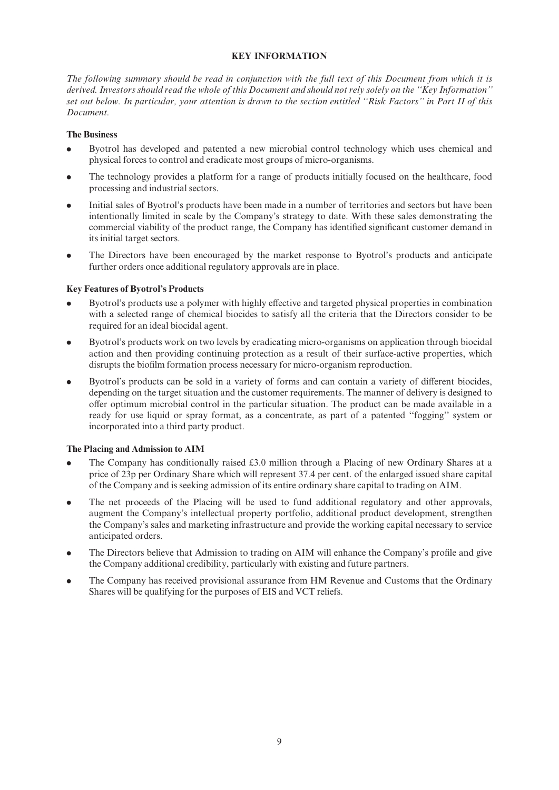## KEY INFORMATION

The following summary should be read in conjunction with the full text of this Document from which it is derived. Investors should read the whole of this Document and should not rely solely on the ''Key Information'' set out below. In particular, your attention is drawn to the section entitled ''Risk Factors'' in Part II of this Document.

#### The Business

- . Byotrol has developed and patented a new microbial control technology which uses chemical and physical forces to control and eradicate most groups of micro-organisms.
- . The technology provides a platform for a range of products initially focused on the healthcare, food processing and industrial sectors.
- . Initial sales of Byotrol's products have been made in a number of territories and sectors but have been intentionally limited in scale by the Company's strategy to date. With these sales demonstrating the commercial viability of the product range, the Company has identified significant customer demand in its initial target sectors.
- . The Directors have been encouraged by the market response to Byotrol's products and anticipate further orders once additional regulatory approvals are in place.

## Key Features of Byotrol's Products

- Byotrol's products use a polymer with highly effective and targeted physical properties in combination with a selected range of chemical biocides to satisfy all the criteria that the Directors consider to be required for an ideal biocidal agent.
- . Byotrol's products work on two levels by eradicating micro-organisms on application through biocidal action and then providing continuing protection as a result of their surface-active properties, which disrupts the biofilm formation process necessary for micro-organism reproduction.
- Byotrol's products can be sold in a variety of forms and can contain a variety of different biocides, depending on the target situation and the customer requirements. The manner of delivery is designed to offer optimum microbial control in the particular situation. The product can be made available in a ready for use liquid or spray format, as a concentrate, as part of a patented ''fogging'' system or incorporated into a third party product.

## The Placing and Admission to AIM

- The Company has conditionally raised  $\pounds 3.0$  million through a Placing of new Ordinary Shares at a price of 23p per Ordinary Share which will represent 37.4 per cent. of the enlarged issued share capital of the Company and is seeking admission of its entire ordinary share capital to trading on AIM.
- . The net proceeds of the Placing will be used to fund additional regulatory and other approvals, augment the Company's intellectual property portfolio, additional product development, strengthen the Company's sales and marketing infrastructure and provide the working capital necessary to service anticipated orders.
- The Directors believe that Admission to trading on AIM will enhance the Company's profile and give the Company additional credibility, particularly with existing and future partners.
- . The Company has received provisional assurance from HM Revenue and Customs that the Ordinary Shares will be qualifying for the purposes of EIS and VCT reliefs.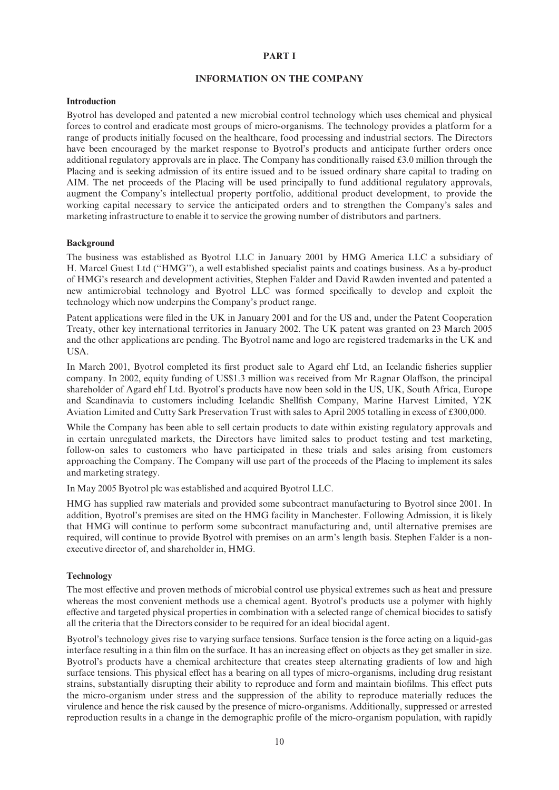#### PART I

#### INFORMATION ON THE COMPANY

#### Introduction

Byotrol has developed and patented a new microbial control technology which uses chemical and physical forces to control and eradicate most groups of micro-organisms. The technology provides a platform for a range of products initially focused on the healthcare, food processing and industrial sectors. The Directors have been encouraged by the market response to Byotrol's products and anticipate further orders once additional regulatory approvals are in place. The Company has conditionally raised  $\text{\pounds}3.0$  million through the Placing and is seeking admission of its entire issued and to be issued ordinary share capital to trading on AIM. The net proceeds of the Placing will be used principally to fund additional regulatory approvals, augment the Company's intellectual property portfolio, additional product development, to provide the working capital necessary to service the anticipated orders and to strengthen the Company's sales and marketing infrastructure to enable it to service the growing number of distributors and partners.

#### Background

The business was established as Byotrol LLC in January 2001 by HMG America LLC a subsidiary of H. Marcel Guest Ltd (''HMG''), a well established specialist paints and coatings business. As a by-product of HMG's research and development activities, Stephen Falder and David Rawden invented and patented a new antimicrobial technology and Byotrol LLC was formed specifically to develop and exploit the technology which now underpins the Company's product range.

Patent applications were filed in the UK in January 2001 and for the US and, under the Patent Cooperation Treaty, other key international territories in January 2002. The UK patent was granted on 23 March 2005 and the other applications are pending. The Byotrol name and logo are registered trademarks in the UK and USA.

In March 2001, Byotrol completed its first product sale to Agard ehf Ltd, an Icelandic fisheries supplier company. In 2002, equity funding of US\$1.3 million was received from Mr Ragnar Olaffson, the principal shareholder of Agard ehf Ltd. Byotrol's products have now been sold in the US, UK, South Africa, Europe and Scandinavia to customers including Icelandic Shellfish Company, Marine Harvest Limited, Y2K Aviation Limited and Cutty Sark Preservation Trust with sales to April 2005 totalling in excess of £300,000.

While the Company has been able to sell certain products to date within existing regulatory approvals and in certain unregulated markets, the Directors have limited sales to product testing and test marketing, follow-on sales to customers who have participated in these trials and sales arising from customers approaching the Company. The Company will use part of the proceeds of the Placing to implement its sales and marketing strategy.

In May 2005 Byotrol plc was established and acquired Byotrol LLC.

HMG has supplied raw materials and provided some subcontract manufacturing to Byotrol since 2001. In addition, Byotrol's premises are sited on the HMG facility in Manchester. Following Admission, it is likely that HMG will continue to perform some subcontract manufacturing and, until alternative premises are required, will continue to provide Byotrol with premises on an arm's length basis. Stephen Falder is a nonexecutive director of, and shareholder in, HMG.

#### **Technology**

The most effective and proven methods of microbial control use physical extremes such as heat and pressure whereas the most convenient methods use a chemical agent. Byotrol's products use a polymer with highly effective and targeted physical properties in combination with a selected range of chemical biocides to satisfy all the criteria that the Directors consider to be required for an ideal biocidal agent.

Byotrol's technology gives rise to varying surface tensions. Surface tension is the force acting on a liquid-gas interface resulting in a thin film on the surface. It has an increasing effect on objects as they get smaller in size. Byotrol's products have a chemical architecture that creates steep alternating gradients of low and high surface tensions. This physical effect has a bearing on all types of micro-organisms, including drug resistant strains, substantially disrupting their ability to reproduce and form and maintain biofilms. This effect puts the micro-organism under stress and the suppression of the ability to reproduce materially reduces the virulence and hence the risk caused by the presence of micro-organisms. Additionally, suppressed or arrested reproduction results in a change in the demographic profile of the micro-organism population, with rapidly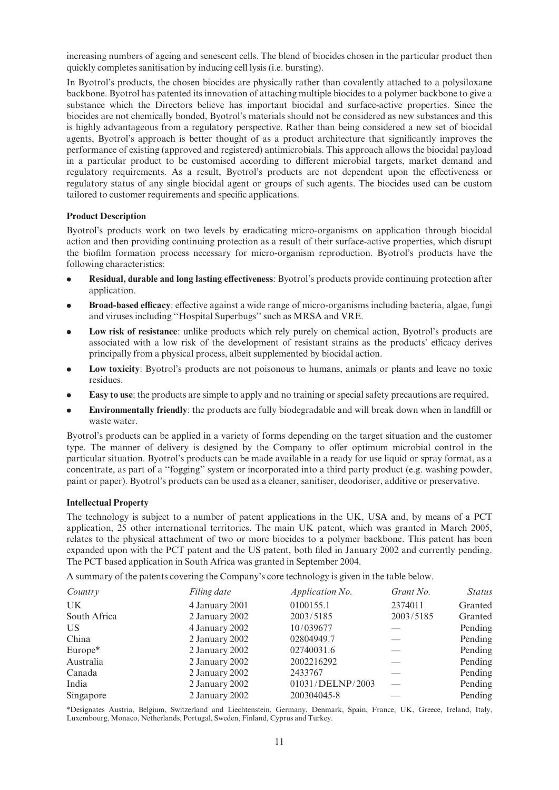increasing numbers of ageing and senescent cells. The blend of biocides chosen in the particular product then quickly completes sanitisation by inducing cell lysis (i.e. bursting).

In Byotrol's products, the chosen biocides are physically rather than covalently attached to a polysiloxane backbone. Byotrol has patented its innovation of attaching multiple biocides to a polymer backbone to give a substance which the Directors believe has important biocidal and surface-active properties. Since the biocides are not chemically bonded, Byotrol's materials should not be considered as new substances and this is highly advantageous from a regulatory perspective. Rather than being considered a new set of biocidal agents, Byotrol's approach is better thought of as a product architecture that significantly improves the performance of existing (approved and registered) antimicrobials. This approach allows the biocidal payload in a particular product to be customised according to different microbial targets, market demand and regulatory requirements. As a result, Byotrol's products are not dependent upon the effectiveness or regulatory status of any single biocidal agent or groups of such agents. The biocides used can be custom tailored to customer requirements and specific applications.

#### Product Description

Byotrol's products work on two levels by eradicating micro-organisms on application through biocidal action and then providing continuing protection as a result of their surface-active properties, which disrupt the bio¢lm formation process necessary for micro-organism reproduction. Byotrol's products have the following characteristics:

- Residual, durable and long lasting effectiveness: Byotrol's products provide continuing protection after application.
- Broad-based efficacy: effective against a wide range of micro-organisms including bacteria, algae, fungi and viruses including ''Hospital Superbugs'' such as MRSA and VRE.
- Low risk of resistance: unlike products which rely purely on chemical action, Byotrol's products are associated with a low risk of the development of resistant strains as the products' efficacy derives principally from a physical process, albeit supplemented by biocidal action.
- Low toxicity: Byotrol's products are not poisonous to humans, animals or plants and leave no toxic residues.
- . Easy to use: the products are simple to apply and no training or special safety precautions are required.
- Environmentally friendly: the products are fully biodegradable and will break down when in landfill or waste water.

Byotrol's products can be applied in a variety of forms depending on the target situation and the customer type. The manner of delivery is designed by the Company to offer optimum microbial control in the particular situation. Byotrol's products can be made available in a ready for use liquid or spray format, as a concentrate, as part of a ''fogging'' system or incorporated into a third party product (e.g. washing powder, paint or paper). Byotrol's products can be used as a cleaner, sanitiser, deodoriser, additive or preservative.

#### Intellectual Property

The technology is subject to a number of patent applications in the UK, USA and, by means of a PCT application, 25 other international territories. The main UK patent, which was granted in March 2005, relates to the physical attachment of two or more biocides to a polymer backbone. This patent has been expanded upon with the PCT patent and the US patent, both filed in January 2002 and currently pending. The PCT based application in South Africa was granted in September 2004.

A summary of the patents covering the Company's core technology is given in the table below.

| Country      | Filing date    | Application No.  | Grant No. | <b>Status</b> |
|--------------|----------------|------------------|-----------|---------------|
| UK           | 4 January 2001 | 0100155.1        | 2374011   | Granted       |
| South Africa | 2 January 2002 | 2003/5185        | 2003/5185 | Granted       |
| US           | 4 January 2002 | 10/039677        |           | Pending       |
| China        | 2 January 2002 | 02804949.7       |           | Pending       |
| Europe*      | 2 January 2002 | 02740031.6       |           | Pending       |
| Australia    | 2 January 2002 | 2002216292       |           | Pending       |
| Canada       | 2 January 2002 | 2433767          |           | Pending       |
| India        | 2 January 2002 | 01031/DELNP/2003 |           | Pending       |
| Singapore    | 2 January 2002 | 200304045-8      |           | Pending       |

\*Designates Austria, Belgium, Switzerland and Liechtenstein, Germany, Denmark, Spain, France, UK, Greece, Ireland, Italy, Luxembourg, Monaco, Netherlands, Portugal, Sweden, Finland, Cyprus and Turkey.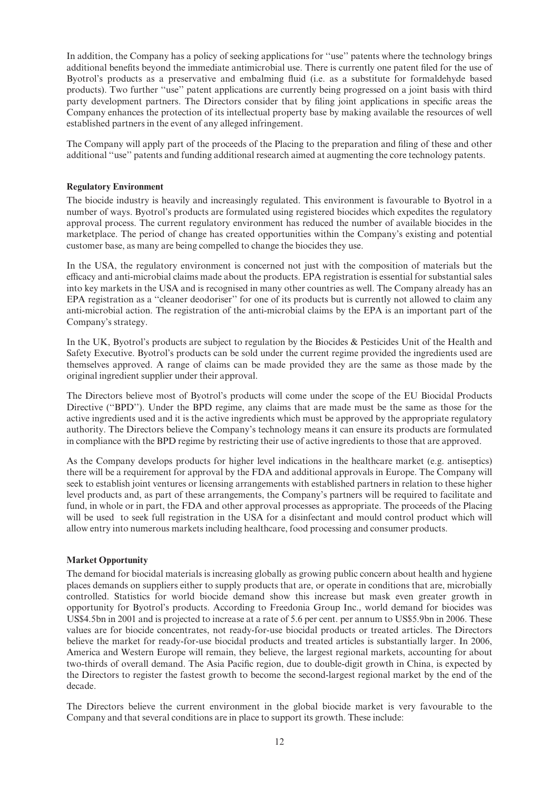In addition, the Company has a policy of seeking applications for ''use'' patents where the technology brings additional benefits beyond the immediate antimicrobial use. There is currently one patent filed for the use of Byotrol's products as a preservative and embalming fluid (i.e. as a substitute for formaldehyde based products). Two further ''use'' patent applications are currently being progressed on a joint basis with third party development partners. The Directors consider that by filing joint applications in specific areas the Company enhances the protection of its intellectual property base by making available the resources of well established partners in the event of any alleged infringement.

The Company will apply part of the proceeds of the Placing to the preparation and filing of these and other additional ''use'' patents and funding additional research aimed at augmenting the core technology patents.

#### Regulatory Environment

The biocide industry is heavily and increasingly regulated. This environment is favourable to Byotrol in a number of ways. Byotrol's products are formulated using registered biocides which expedites the regulatory approval process. The current regulatory environment has reduced the number of available biocides in the marketplace. The period of change has created opportunities within the Company's existing and potential customer base, as many are being compelled to change the biocides they use.

In the USA, the regulatory environment is concerned not just with the composition of materials but the efficacy and anti-microbial claims made about the products. EPA registration is essential for substantial sales into key markets in the USA and is recognised in many other countries as well. The Company already has an EPA registration as a ''cleaner deodoriser'' for one of its products but is currently not allowed to claim any anti-microbial action. The registration of the anti-microbial claims by the EPA is an important part of the Company's strategy.

In the UK, Byotrol's products are subject to regulation by the Biocides & Pesticides Unit of the Health and Safety Executive. Byotrol's products can be sold under the current regime provided the ingredients used are themselves approved. A range of claims can be made provided they are the same as those made by the original ingredient supplier under their approval.

The Directors believe most of Byotrol's products will come under the scope of the EU Biocidal Products Directive ("BPD"). Under the BPD regime, any claims that are made must be the same as those for the active ingredients used and it is the active ingredients which must be approved by the appropriate regulatory authority. The Directors believe the Company's technology means it can ensure its products are formulated in compliance with the BPD regime by restricting their use of active ingredients to those that are approved.

As the Company develops products for higher level indications in the healthcare market (e.g. antiseptics) there will be a requirement for approval by the FDA and additional approvals in Europe. The Company will seek to establish joint ventures or licensing arrangements with established partners in relation to these higher level products and, as part of these arrangements, the Company's partners will be required to facilitate and fund, in whole or in part, the FDA and other approval processes as appropriate. The proceeds of the Placing will be used to seek full registration in the USA for a disinfectant and mould control product which will allow entry into numerous markets including healthcare, food processing and consumer products.

## Market Opportunity

The demand for biocidal materials is increasing globally as growing public concern about health and hygiene places demands on suppliers either to supply products that are, or operate in conditions that are, microbially controlled. Statistics for world biocide demand show this increase but mask even greater growth in opportunity for Byotrol's products. According to Freedonia Group Inc., world demand for biocides was US\$4.5bn in 2001 and is projected to increase at a rate of 5.6 per cent. per annum to US\$5.9bn in 2006. These values are for biocide concentrates, not ready-for-use biocidal products or treated articles. The Directors believe the market for ready-for-use biocidal products and treated articles is substantially larger. In 2006, America and Western Europe will remain, they believe, the largest regional markets, accounting for about two-thirds of overall demand. The Asia Pacific region, due to double-digit growth in China, is expected by the Directors to register the fastest growth to become the second-largest regional market by the end of the decade.

The Directors believe the current environment in the global biocide market is very favourable to the Company and that several conditions are in place to support its growth. These include: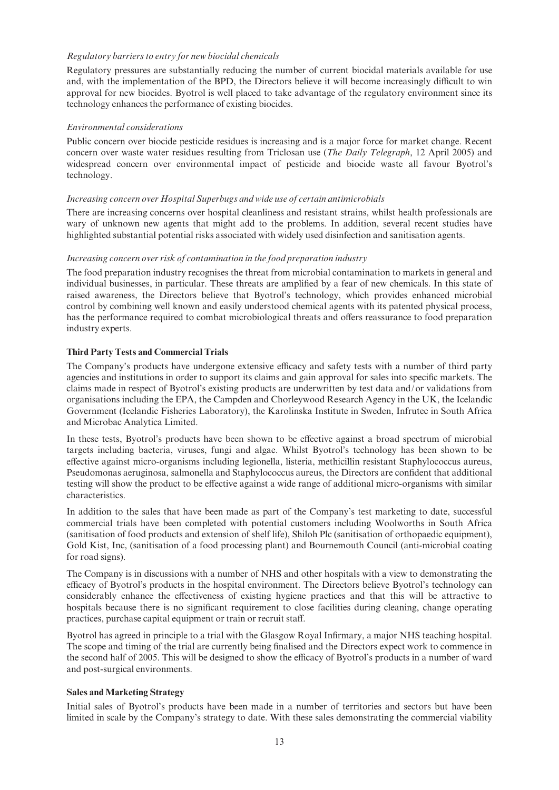#### Regulatory barriers to entry for new biocidal chemicals

Regulatory pressures are substantially reducing the number of current biocidal materials available for use and, with the implementation of the BPD, the Directors believe it will become increasingly difficult to win approval for new biocides. Byotrol is well placed to take advantage of the regulatory environment since its technology enhances the performance of existing biocides.

### Environmental considerations

Public concern over biocide pesticide residues is increasing and is a major force for market change. Recent concern over waste water residues resulting from Triclosan use (The Daily Telegraph, 12 April 2005) and widespread concern over environmental impact of pesticide and biocide waste all favour Byotrol's technology.

### Increasing concern over Hospital Superbugs and wide use of certain antimicrobials

There are increasing concerns over hospital cleanliness and resistant strains, whilst health professionals are wary of unknown new agents that might add to the problems. In addition, several recent studies have highlighted substantial potential risks associated with widely used disinfection and sanitisation agents.

### Increasing concern over risk of contamination in the food preparation industry

The food preparation industry recognises the threat from microbial contamination to markets in general and individual businesses, in particular. These threats are amplified by a fear of new chemicals. In this state of raised awareness, the Directors believe that Byotrol's technology, which provides enhanced microbial control by combining well known and easily understood chemical agents with its patented physical process, has the performance required to combat microbiological threats and offers reassurance to food preparation industry experts.

### Third Party Tests and Commercial Trials

The Company's products have undergone extensive efficacy and safety tests with a number of third party agencies and institutions in order to support its claims and gain approval for sales into specific markets. The claims made in respect of Byotrol's existing products are underwritten by test data and/or validations from organisations including the EPA, the Campden and Chorleywood Research Agency in the UK, the Icelandic Government (Icelandic Fisheries Laboratory), the Karolinska Institute in Sweden, Infrutec in South Africa and Microbac Analytica Limited.

In these tests, Byotrol's products have been shown to be effective against a broad spectrum of microbial targets including bacteria, viruses, fungi and algae. Whilst Byotrol's technology has been shown to be effective against micro-organisms including legionella, listeria, methicillin resistant Staphylococcus aureus, Pseudomonas aeruginosa, salmonella and Staphylococcus aureus, the Directors are confident that additional testing will show the product to be effective against a wide range of additional micro-organisms with similar characteristics.

In addition to the sales that have been made as part of the Company's test marketing to date, successful commercial trials have been completed with potential customers including Woolworths in South Africa (sanitisation of food products and extension of shelf life), Shiloh Plc (sanitisation of orthopaedic equipment), Gold Kist, Inc, (sanitisation of a food processing plant) and Bournemouth Council (anti-microbial coating for road signs).

The Company is in discussions with a number of NHS and other hospitals with a view to demonstrating the efficacy of Byotrol's products in the hospital environment. The Directors believe Byotrol's technology can considerably enhance the effectiveness of existing hygiene practices and that this will be attractive to hospitals because there is no significant requirement to close facilities during cleaning, change operating practices, purchase capital equipment or train or recruit staff.

Byotrol has agreed in principle to a trial with the Glasgow Royal Infirmary, a major NHS teaching hospital. The scope and timing of the trial are currently being finalised and the Directors expect work to commence in the second half of 2005. This will be designed to show the efficacy of Byotrol's products in a number of ward and post-surgical environments.

#### Sales and Marketing Strategy

Initial sales of Byotrol's products have been made in a number of territories and sectors but have been limited in scale by the Company's strategy to date. With these sales demonstrating the commercial viability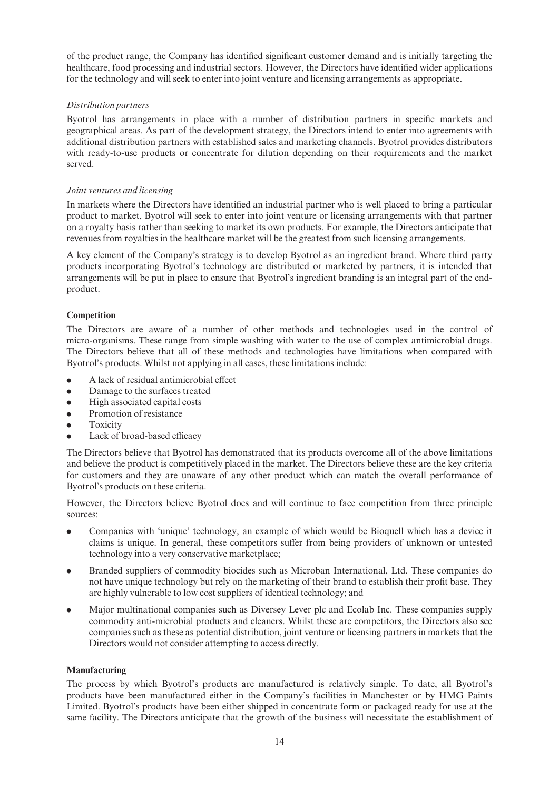of the product range, the Company has identified significant customer demand and is initially targeting the healthcare, food processing and industrial sectors. However, the Directors have identified wider applications for the technology and will seek to enter into joint venture and licensing arrangements as appropriate.

## Distribution partners

Byotrol has arrangements in place with a number of distribution partners in specific markets and geographical areas. As part of the development strategy, the Directors intend to enter into agreements with additional distribution partners with established sales and marketing channels. Byotrol provides distributors with ready-to-use products or concentrate for dilution depending on their requirements and the market served.

### Joint ventures and licensing

In markets where the Directors have identified an industrial partner who is well placed to bring a particular product to market, Byotrol will seek to enter into joint venture or licensing arrangements with that partner on a royalty basis rather than seeking to market its own products. For example, the Directors anticipate that revenues from royalties in the healthcare market will be the greatest from such licensing arrangements.

A key element of the Company's strategy is to develop Byotrol as an ingredient brand. Where third party products incorporating Byotrol's technology are distributed or marketed by partners, it is intended that arrangements will be put in place to ensure that Byotrol's ingredient branding is an integral part of the endproduct.

### **Competition**

The Directors are aware of a number of other methods and technologies used in the control of micro-organisms. These range from simple washing with water to the use of complex antimicrobial drugs. The Directors believe that all of these methods and technologies have limitations when compared with Byotrol's products. Whilst not applying in all cases, these limitations include:

- $\bullet$  A lack of residual antimicrobial effect
- Damage to the surfaces treated
- . High associated capital costs
- Promotion of resistance
- **•** Toxicity
- Lack of broad-based efficacy

The Directors believe that Byotrol has demonstrated that its products overcome all of the above limitations and believe the product is competitively placed in the market. The Directors believe these are the key criteria for customers and they are unaware of any other product which can match the overall performance of Byotrol's products on these criteria.

However, the Directors believe Byotrol does and will continue to face competition from three principle sources:

- . Companies with 'unique' technology, an example of which would be Bioquell which has a device it claims is unique. In general, these competitors suffer from being providers of unknown or untested technology into a very conservative marketplace;
- . Branded suppliers of commodity biocides such as Microban International, Ltd. These companies do not have unique technology but rely on the marketing of their brand to establish their profit base. They are highly vulnerable to low cost suppliers of identical technology; and
- . Major multinational companies such as Diversey Lever plc and Ecolab Inc. These companies supply commodity anti-microbial products and cleaners. Whilst these are competitors, the Directors also see companies such as these as potential distribution, joint venture or licensing partners in markets that the Directors would not consider attempting to access directly.

#### Manufacturing

The process by which Byotrol's products are manufactured is relatively simple. To date, all Byotrol's products have been manufactured either in the Company's facilities in Manchester or by HMG Paints Limited. Byotrol's products have been either shipped in concentrate form or packaged ready for use at the same facility. The Directors anticipate that the growth of the business will necessitate the establishment of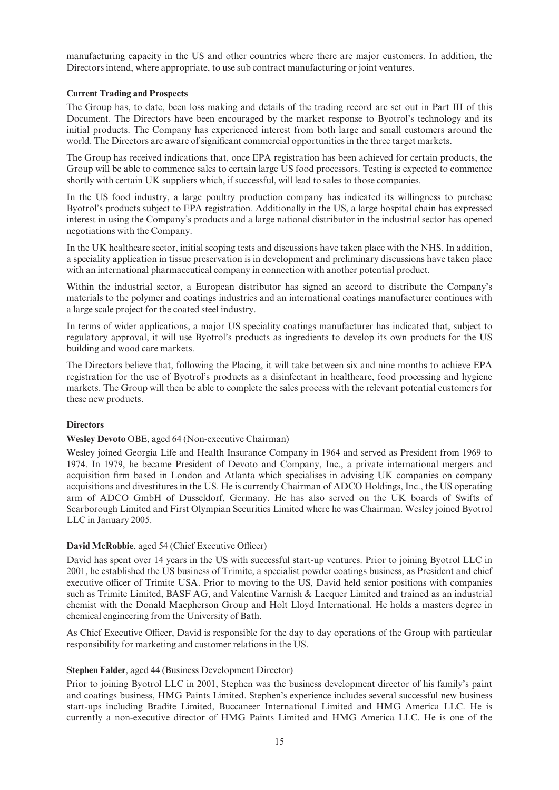manufacturing capacity in the US and other countries where there are major customers. In addition, the Directors intend, where appropriate, to use sub contract manufacturing or joint ventures.

### Current Trading and Prospects

The Group has, to date, been loss making and details of the trading record are set out in Part III of this Document. The Directors have been encouraged by the market response to Byotrol's technology and its initial products. The Company has experienced interest from both large and small customers around the world. The Directors are aware of significant commercial opportunities in the three target markets.

The Group has received indications that, once EPA registration has been achieved for certain products, the Group will be able to commence sales to certain large US food processors. Testing is expected to commence shortly with certain UK suppliers which, if successful, will lead to sales to those companies.

In the US food industry, a large poultry production company has indicated its willingness to purchase Byotrol's products subject to EPA registration. Additionally in the US, a large hospital chain has expressed interest in using the Company's products and a large national distributor in the industrial sector has opened negotiations with the Company.

In the UK healthcare sector, initial scoping tests and discussions have taken place with the NHS. In addition, a speciality application in tissue preservation is in development and preliminary discussions have taken place with an international pharmaceutical company in connection with another potential product.

Within the industrial sector, a European distributor has signed an accord to distribute the Company's materials to the polymer and coatings industries and an international coatings manufacturer continues with a large scale project for the coated steel industry.

In terms of wider applications, a major US speciality coatings manufacturer has indicated that, subject to regulatory approval, it will use Byotrol's products as ingredients to develop its own products for the US building and wood care markets.

The Directors believe that, following the Placing, it will take between six and nine months to achieve EPA registration for the use of Byotrol's products as a disinfectant in healthcare, food processing and hygiene markets. The Group will then be able to complete the sales process with the relevant potential customers for these new products.

## **Directors**

#### Wesley Devoto OBE, aged 64 (Non-executive Chairman)

Wesley joined Georgia Life and Health Insurance Company in 1964 and served as President from 1969 to 1974. In 1979, he became President of Devoto and Company, Inc., a private international mergers and acquisition firm based in London and Atlanta which specialises in advising UK companies on company acquisitions and divestitures in the US. He is currently Chairman of ADCO Holdings, Inc., the US operating arm of ADCO GmbH of Dusseldorf, Germany. He has also served on the UK boards of Swifts of Scarborough Limited and First Olympian Securities Limited where he was Chairman. Wesley joined Byotrol LLC in January 2005.

#### David McRobbie, aged 54 (Chief Executive Officer)

David has spent over 14 years in the US with successful start-up ventures. Prior to joining Byotrol LLC in 2001, he established the US business of Trimite, a specialist powder coatings business, as President and chief executive officer of Trimite USA. Prior to moving to the US, David held senior positions with companies such as Trimite Limited, BASF AG, and Valentine Varnish & Lacquer Limited and trained as an industrial chemist with the Donald Macpherson Group and Holt Lloyd International. He holds a masters degree in chemical engineering from the University of Bath.

As Chief Executive Officer, David is responsible for the day to day operations of the Group with particular responsibility for marketing and customer relations in the US.

#### Stephen Falder, aged 44 (Business Development Director)

Prior to joining Byotrol LLC in 2001, Stephen was the business development director of his family's paint and coatings business, HMG Paints Limited. Stephen's experience includes several successful new business start-ups including Bradite Limited, Buccaneer International Limited and HMG America LLC. He is currently a non-executive director of HMG Paints Limited and HMG America LLC. He is one of the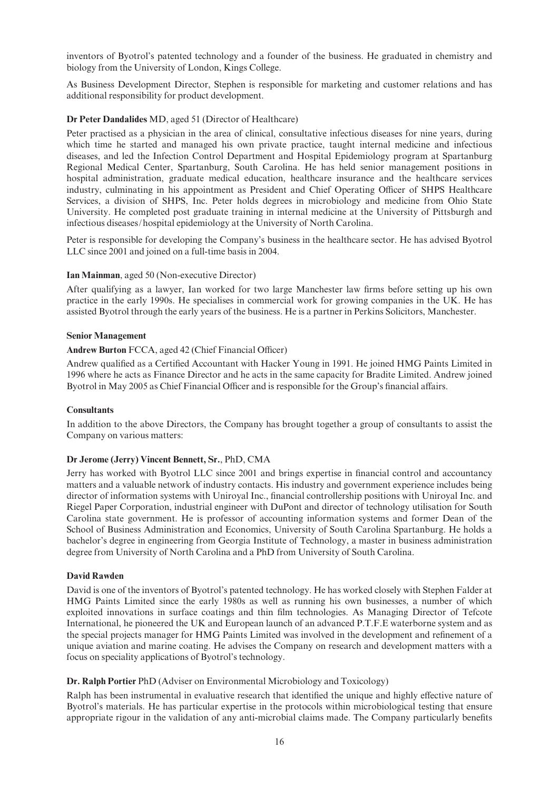inventors of Byotrol's patented technology and a founder of the business. He graduated in chemistry and biology from the University of London, Kings College.

As Business Development Director, Stephen is responsible for marketing and customer relations and has additional responsibility for product development.

### Dr Peter Dandalides MD, aged 51 (Director of Healthcare)

Peter practised as a physician in the area of clinical, consultative infectious diseases for nine years, during which time he started and managed his own private practice, taught internal medicine and infectious diseases, and led the Infection Control Department and Hospital Epidemiology program at Spartanburg Regional Medical Center, Spartanburg, South Carolina. He has held senior management positions in hospital administration, graduate medical education, healthcare insurance and the healthcare services industry, culminating in his appointment as President and Chief Operating Officer of SHPS Healthcare Services, a division of SHPS, Inc. Peter holds degrees in microbiology and medicine from Ohio State University. He completed post graduate training in internal medicine at the University of Pittsburgh and infectious diseases/hospital epidemiology at the University of North Carolina.

Peter is responsible for developing the Company's business in the healthcare sector. He has advised Byotrol LLC since 2001 and joined on a full-time basis in 2004.

### Ian Mainman, aged 50 (Non-executive Director)

After qualifying as a lawyer, Ian worked for two large Manchester law firms before setting up his own practice in the early 1990s. He specialises in commercial work for growing companies in the UK. He has assisted Byotrol through the early years of the business. He is a partner in Perkins Solicitors, Manchester.

#### Senior Management

#### Andrew Burton FCCA, aged 42 (Chief Financial Officer)

Andrew qualified as a Certified Accountant with Hacker Young in 1991. He joined HMG Paints Limited in 1996 where he acts as Finance Director and he acts in the same capacity for Bradite Limited. Andrew joined Byotrol in May 2005 as Chief Financial Officer and is responsible for the Group's financial affairs.

#### Consultants

In addition to the above Directors, the Company has brought together a group of consultants to assist the Company on various matters:

#### Dr Jerome (Jerry) Vincent Bennett, Sr., PhD, CMA

Jerry has worked with Byotrol LLC since 2001 and brings expertise in financial control and accountancy matters and a valuable network of industry contacts. His industry and government experience includes being director of information systems with Uniroyal Inc., financial controllership positions with Uniroyal Inc. and Riegel Paper Corporation, industrial engineer with DuPont and director of technology utilisation for South Carolina state government. He is professor of accounting information systems and former Dean of the School of Business Administration and Economics, University of South Carolina Spartanburg. He holds a bachelor's degree in engineering from Georgia Institute of Technology, a master in business administration degree from University of North Carolina and a PhD from University of South Carolina.

#### David Rawden

David is one of the inventors of Byotrol's patented technology. He has worked closely with Stephen Falder at HMG Paints Limited since the early 1980s as well as running his own businesses, a number of which exploited innovations in surface coatings and thin film technologies. As Managing Director of Tefcote International, he pioneered the UK and European launch of an advanced P.T.F.E waterborne system and as the special projects manager for HMG Paints Limited was involved in the development and refinement of a unique aviation and marine coating. He advises the Company on research and development matters with a focus on speciality applications of Byotrol's technology.

#### Dr. Ralph Portier PhD (Adviser on Environmental Microbiology and Toxicology)

Ralph has been instrumental in evaluative research that identified the unique and highly effective nature of Byotrol's materials. He has particular expertise in the protocols within microbiological testing that ensure appropriate rigour in the validation of any anti-microbial claims made. The Company particularly benefits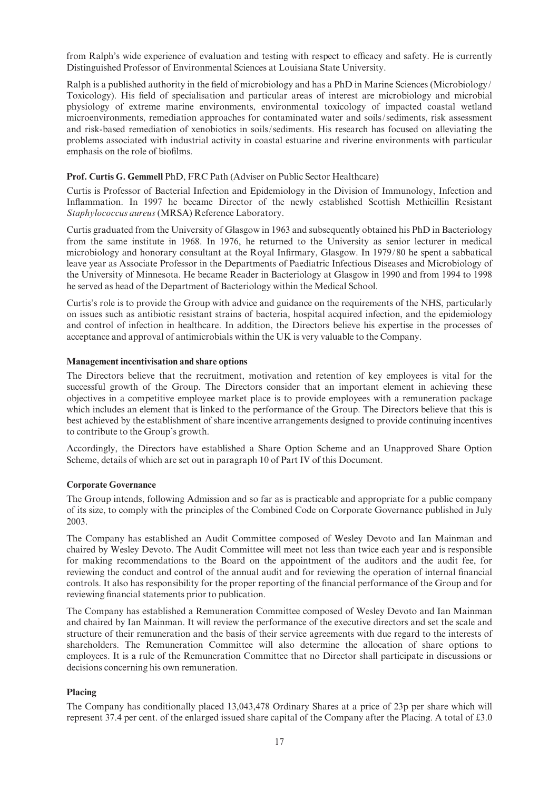from Ralph's wide experience of evaluation and testing with respect to efficacy and safety. He is currently Distinguished Professor of Environmental Sciences at Louisiana State University.

Ralph is a published authority in the field of microbiology and has a PhD in Marine Sciences (Microbiology/ Toxicology). His field of specialisation and particular areas of interest are microbiology and microbial physiology of extreme marine environments, environmental toxicology of impacted coastal wetland microenvironments, remediation approaches for contaminated water and soils/sediments, risk assessment and risk-based remediation of xenobiotics in soils/sediments. His research has focused on alleviating the problems associated with industrial activity in coastal estuarine and riverine environments with particular emphasis on the role of biofilms.

### Prof. Curtis G. Gemmell PhD, FRC Path (Adviser on Public Sector Healthcare)

Curtis is Professor of Bacterial Infection and Epidemiology in the Division of Immunology, Infection and Inflammation. In 1997 he became Director of the newly established Scottish Methicillin Resistant Staphylococcus aureus (MRSA) Reference Laboratory.

Curtis graduated from the University of Glasgow in 1963 and subsequently obtained his PhD in Bacteriology from the same institute in 1968. In 1976, he returned to the University as senior lecturer in medical microbiology and honorary consultant at the Royal Infirmary, Glasgow. In 1979/80 he spent a sabbatical leave year as Associate Professor in the Departments of Paediatric Infectious Diseases and Microbiology of the University of Minnesota. He became Reader in Bacteriology at Glasgow in 1990 and from 1994 to 1998 he served as head of the Department of Bacteriology within the Medical School.

Curtis's role is to provide the Group with advice and guidance on the requirements of the NHS, particularly on issues such as antibiotic resistant strains of bacteria, hospital acquired infection, and the epidemiology and control of infection in healthcare. In addition, the Directors believe his expertise in the processes of acceptance and approval of antimicrobials within the UK is very valuable to the Company.

### Management incentivisation and share options

The Directors believe that the recruitment, motivation and retention of key employees is vital for the successful growth of the Group. The Directors consider that an important element in achieving these objectives in a competitive employee market place is to provide employees with a remuneration package which includes an element that is linked to the performance of the Group. The Directors believe that this is best achieved by the establishment of share incentive arrangements designed to provide continuing incentives to contribute to the Group's growth.

Accordingly, the Directors have established a Share Option Scheme and an Unapproved Share Option Scheme, details of which are set out in paragraph 10 of Part IV of this Document.

#### Corporate Governance

The Group intends, following Admission and so far as is practicable and appropriate for a public company of its size, to comply with the principles of the Combined Code on Corporate Governance published in July 2003.

The Company has established an Audit Committee composed of Wesley Devoto and Ian Mainman and chaired by Wesley Devoto. The Audit Committee will meet not less than twice each year and is responsible for making recommendations to the Board on the appointment of the auditors and the audit fee, for reviewing the conduct and control of the annual audit and for reviewing the operation of internal financial controls. It also has responsibility for the proper reporting of the financial performance of the Group and for reviewing financial statements prior to publication.

The Company has established a Remuneration Committee composed of Wesley Devoto and Ian Mainman and chaired by Ian Mainman. It will review the performance of the executive directors and set the scale and structure of their remuneration and the basis of their service agreements with due regard to the interests of shareholders. The Remuneration Committee will also determine the allocation of share options to employees. It is a rule of the Remuneration Committee that no Director shall participate in discussions or decisions concerning his own remuneration.

## Placing

The Company has conditionally placed 13,043,478 Ordinary Shares at a price of 23p per share which will represent 37.4 per cent. of the enlarged issued share capital of the Company after the Placing. A total of £3.0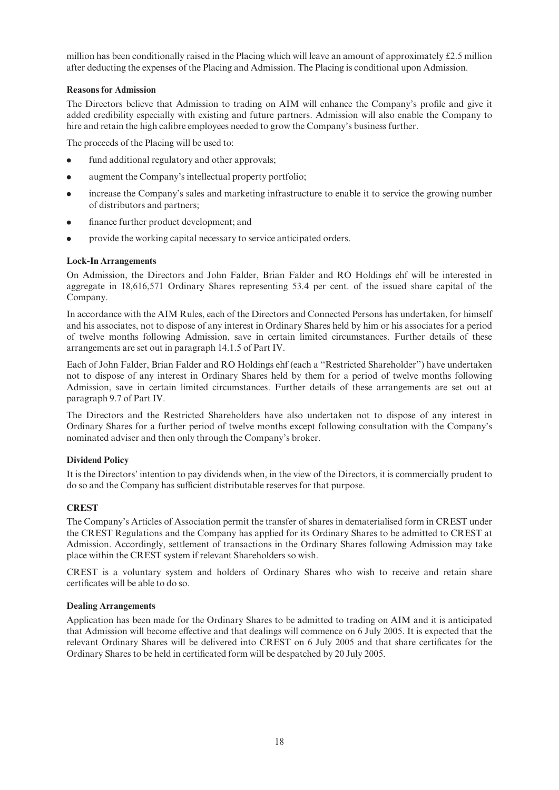million has been conditionally raised in the Placing which will leave an amount of approximately  $\text{\pounds}2.5$  million after deducting the expenses of the Placing and Admission. The Placing is conditional upon Admission.

## Reasons for Admission

The Directors believe that Admission to trading on AIM will enhance the Company's profile and give it added credibility especially with existing and future partners. Admission will also enable the Company to hire and retain the high calibre employees needed to grow the Company's business further.

The proceeds of the Placing will be used to:

- fund additional regulatory and other approvals;
- . augment the Company's intellectual property portfolio;
- . increase the Company's sales and marketing infrastructure to enable it to service the growing number of distributors and partners;
- finance further product development; and
- . provide the working capital necessary to service anticipated orders.

### Lock-In Arrangements

On Admission, the Directors and John Falder, Brian Falder and RO Holdings ehf will be interested in aggregate in 18,616,571 Ordinary Shares representing 53.4 per cent. of the issued share capital of the Company.

In accordance with the AIM Rules, each of the Directors and Connected Persons has undertaken, for himself and his associates, not to dispose of any interest in Ordinary Shares held by him or his associates for a period of twelve months following Admission, save in certain limited circumstances. Further details of these arrangements are set out in paragraph 14.1.5 of Part IV.

Each of John Falder, Brian Falder and RO Holdings ehf (each a ''Restricted Shareholder'') have undertaken not to dispose of any interest in Ordinary Shares held by them for a period of twelve months following Admission, save in certain limited circumstances. Further details of these arrangements are set out at paragraph 9.7 of Part IV.

The Directors and the Restricted Shareholders have also undertaken not to dispose of any interest in Ordinary Shares for a further period of twelve months except following consultation with the Company's nominated adviser and then only through the Company's broker.

## Dividend Policy

It is the Directors' intention to pay dividends when, in the view of the Directors, it is commercially prudent to do so and the Company has sufficient distributable reserves for that purpose.

## **CREST**

The Company's Articles of Association permit the transfer of shares in dematerialised form in CREST under the CREST Regulations and the Company has applied for its Ordinary Shares to be admitted to CREST at Admission. Accordingly, settlement of transactions in the Ordinary Shares following Admission may take place within the CREST system if relevant Shareholders so wish.

CREST is a voluntary system and holders of Ordinary Shares who wish to receive and retain share certificates will be able to do so.

#### Dealing Arrangements

Application has been made for the Ordinary Shares to be admitted to trading on AIM and it is anticipated that Admission will become effective and that dealings will commence on 6 July 2005. It is expected that the relevant Ordinary Shares will be delivered into CREST on 6 July 2005 and that share certificates for the Ordinary Shares to be held in certificated form will be despatched by 20 July 2005.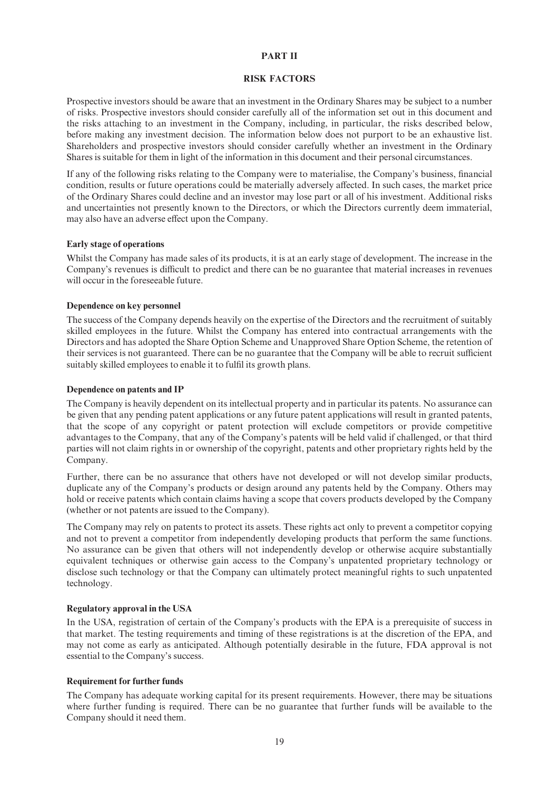#### PART II

#### RISK FACTORS

Prospective investors should be aware that an investment in the Ordinary Shares may be subject to a number of risks. Prospective investors should consider carefully all of the information set out in this document and the risks attaching to an investment in the Company, including, in particular, the risks described below, before making any investment decision. The information below does not purport to be an exhaustive list. Shareholders and prospective investors should consider carefully whether an investment in the Ordinary Shares is suitable for them in light of the information in this document and their personal circumstances.

If any of the following risks relating to the Company were to materialise, the Company's business, financial condition, results or future operations could be materially adversely affected. In such cases, the market price of the Ordinary Shares could decline and an investor may lose part or all of his investment. Additional risks and uncertainties not presently known to the Directors, or which the Directors currently deem immaterial, may also have an adverse effect upon the Company.

#### Early stage of operations

Whilst the Company has made sales of its products, it is at an early stage of development. The increase in the Company's revenues is difficult to predict and there can be no guarantee that material increases in revenues will occur in the foreseeable future.

#### Dependence on key personnel

The success of the Company depends heavily on the expertise of the Directors and the recruitment of suitably skilled employees in the future. Whilst the Company has entered into contractual arrangements with the Directors and has adopted the Share Option Scheme and Unapproved Share Option Scheme, the retention of their services is not guaranteed. There can be no guarantee that the Company will be able to recruit sufficient suitably skilled employees to enable it to fulfil its growth plans.

#### Dependence on patents and IP

The Company is heavily dependent on its intellectual property and in particular its patents. No assurance can be given that any pending patent applications or any future patent applications will result in granted patents, that the scope of any copyright or patent protection will exclude competitors or provide competitive advantages to the Company, that any of the Company's patents will be held valid if challenged, or that third parties will not claim rights in or ownership of the copyright, patents and other proprietary rights held by the Company.

Further, there can be no assurance that others have not developed or will not develop similar products, duplicate any of the Company's products or design around any patents held by the Company. Others may hold or receive patents which contain claims having a scope that covers products developed by the Company (whether or not patents are issued to the Company).

The Company may rely on patents to protect its assets. These rights act only to prevent a competitor copying and not to prevent a competitor from independently developing products that perform the same functions. No assurance can be given that others will not independently develop or otherwise acquire substantially equivalent techniques or otherwise gain access to the Company's unpatented proprietary technology or disclose such technology or that the Company can ultimately protect meaningful rights to such unpatented technology.

#### Regulatory approval in the USA

In the USA, registration of certain of the Company's products with the EPA is a prerequisite of success in that market. The testing requirements and timing of these registrations is at the discretion of the EPA, and may not come as early as anticipated. Although potentially desirable in the future, FDA approval is not essential to the Company's success.

#### Requirement for further funds

The Company has adequate working capital for its present requirements. However, there may be situations where further funding is required. There can be no guarantee that further funds will be available to the Company should it need them.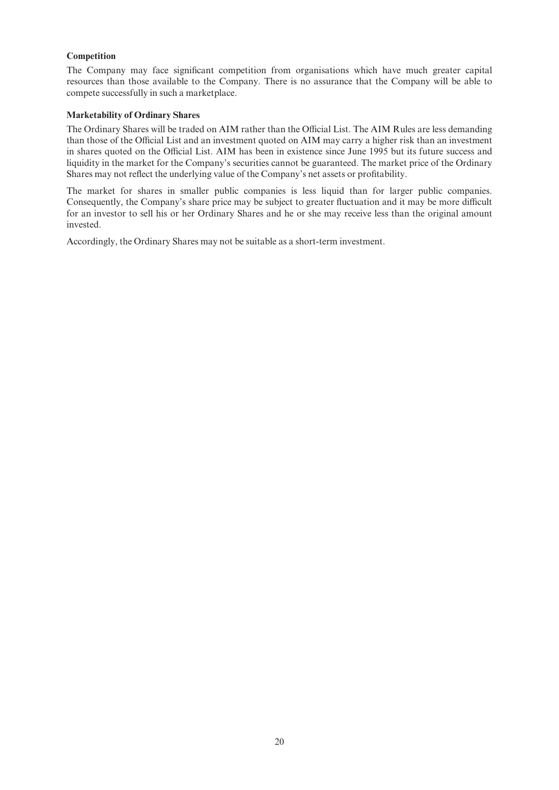## **Competition**

The Company may face significant competition from organisations which have much greater capital resources than those available to the Company. There is no assurance that the Company will be able to compete successfully in such a marketplace.

#### Marketability of Ordinary Shares

The Ordinary Shares will be traded on AIM rather than the Official List. The AIM Rules are less demanding than those of the Official List and an investment quoted on AIM may carry a higher risk than an investment in shares quoted on the Official List. AIM has been in existence since June 1995 but its future success and liquidity in the market for the Company's securities cannot be guaranteed. The market price of the Ordinary Shares may not reflect the underlying value of the Company's net assets or profitability.

The market for shares in smaller public companies is less liquid than for larger public companies. Consequently, the Company's share price may be subject to greater fluctuation and it may be more difficult for an investor to sell his or her Ordinary Shares and he or she may receive less than the original amount invested.

Accordingly, the Ordinary Shares may not be suitable as a short-term investment.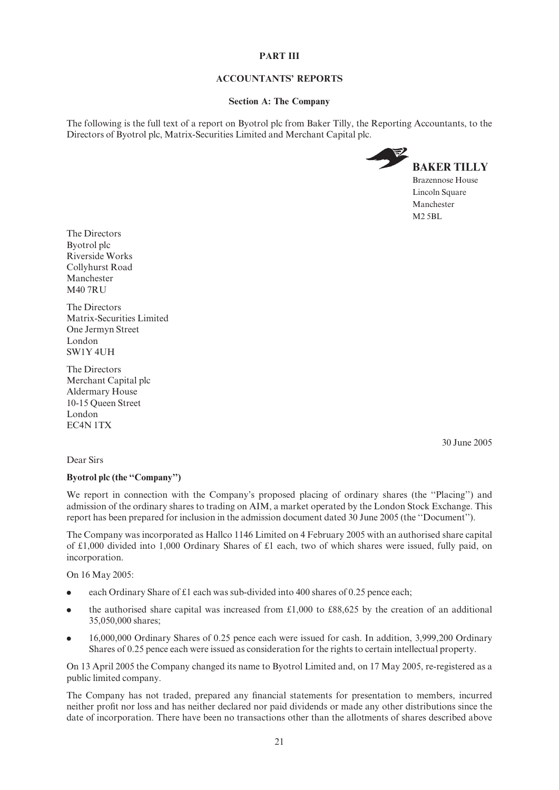#### PART III

### ACCOUNTANTS' REPORTS

#### Section A: The Company

The following is the full text of a report on Byotrol plc from Baker Tilly, the Reporting Accountants, to the Directors of Byotrol plc, Matrix-Securities Limited and Merchant Capital plc.



The Directors Byotrol plc Riverside Works Collyhurst Road Manchester M40 7RU

The Directors Matrix-Securities Limited One Jermyn Street London SW1Y 4UH

The Directors Merchant Capital plc Aldermary House 10-15 Queen Street London EC4N 1TX

30 June 2005

## Dear Sirs

#### Byotrol plc (the ''Company'')

We report in connection with the Company's proposed placing of ordinary shares (the "Placing") and admission of the ordinary shares to trading on AIM, a market operated by the London Stock Exchange. This report has been prepared for inclusion in the admission document dated 30 June 2005 (the ''Document'').

The Company was incorporated as Hallco 1146 Limited on 4 February 2005 with an authorised share capital of  $\pounds1,000$  divided into 1,000 Ordinary Shares of  $\pounds1$  each, two of which shares were issued, fully paid, on incorporation.

On 16 May 2005:

- each Ordinary Share of £1 each was sub-divided into 400 shares of 0.25 pence each;
- the authorised share capital was increased from  $\text{\pounds}1,000$  to  $\text{\pounds}88,625$  by the creation of an additional 35,050,000 shares;
- . 16,000,000 Ordinary Shares of 0.25 pence each were issued for cash. In addition, 3,999,200 Ordinary Shares of 0.25 pence each were issued as consideration for the rights to certain intellectual property.

On 13 April 2005 the Company changed its name to Byotrol Limited and, on 17 May 2005, re-registered as a public limited company.

The Company has not traded, prepared any financial statements for presentation to members, incurred neither profit nor loss and has neither declared nor paid dividends or made any other distributions since the date of incorporation. There have been no transactions other than the allotments of shares described above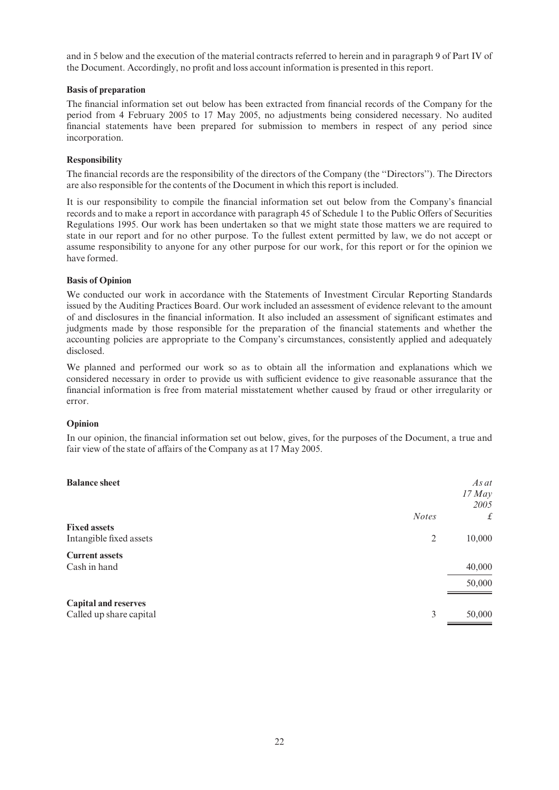and in 5 below and the execution of the material contracts referred to herein and in paragraph 9 of Part IV of the Document. Accordingly, no profit and loss account information is presented in this report.

#### Basis of preparation

The financial information set out below has been extracted from financial records of the Company for the period from 4 February 2005 to 17 May 2005, no adjustments being considered necessary. No audited financial statements have been prepared for submission to members in respect of any period since incorporation.

### Responsibility

The financial records are the responsibility of the directors of the Company (the "Directors"). The Directors are also responsible for the contents of the Document in which this report is included.

It is our responsibility to compile the financial information set out below from the Company's financial records and to make a report in accordance with paragraph 45 of Schedule 1 to the Public Offers of Securities Regulations 1995. Our work has been undertaken so that we might state those matters we are required to state in our report and for no other purpose. To the fullest extent permitted by law, we do not accept or assume responsibility to anyone for any other purpose for our work, for this report or for the opinion we have formed.

### Basis of Opinion

We conducted our work in accordance with the Statements of Investment Circular Reporting Standards issued by the Auditing Practices Board. Our work included an assessment of evidence relevant to the amount of and disclosures in the financial information. It also included an assessment of significant estimates and judgments made by those responsible for the preparation of the financial statements and whether the accounting policies are appropriate to the Company's circumstances, consistently applied and adequately disclosed.

We planned and performed our work so as to obtain all the information and explanations which we considered necessary in order to provide us with sufficient evidence to give reasonable assurance that the financial information is free from material misstatement whether caused by fraud or other irregularity or error.

#### Opinion

In our opinion, the financial information set out below, gives, for the purposes of the Document, a true and fair view of the state of affairs of the Company as at 17 May 2005.

| <b>Balance sheet</b>                                   |              | $As$ at<br>$17$ May<br>2005 |
|--------------------------------------------------------|--------------|-----------------------------|
|                                                        | <b>Notes</b> | £                           |
| <b>Fixed assets</b><br>Intangible fixed assets         | 2            | 10,000                      |
| <b>Current assets</b><br>Cash in hand                  |              | 40,000                      |
|                                                        |              | 50,000                      |
| <b>Capital and reserves</b><br>Called up share capital | 3            | 50,000                      |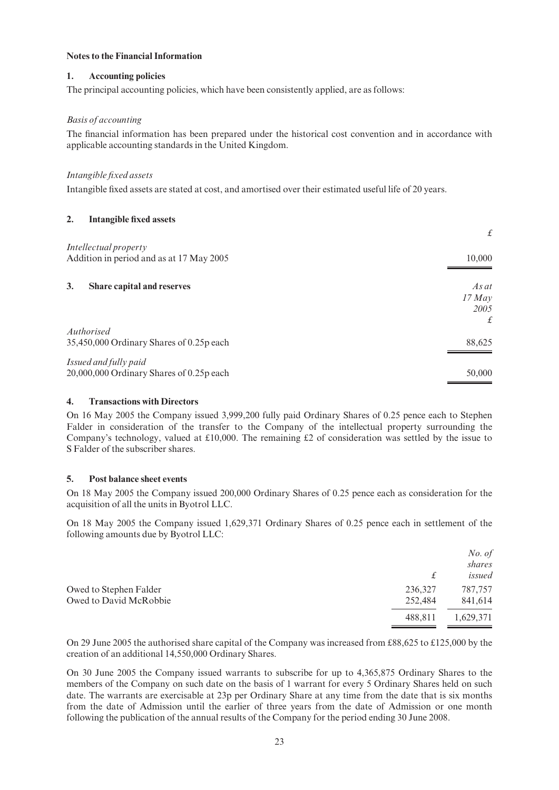#### Notes to the Financial Information

## 1. Accounting policies

The principal accounting policies, which have been consistently applied, are as follows:

## Basis of accounting

The financial information has been prepared under the historical cost convention and in accordance with applicable accounting standards in the United Kingdom.

## Intangible fixed assets

Intangible fixed assets are stated at cost, and amortised over their estimated useful life of 20 years.

### 2. Intangible fixed assets

|                                          | $\mathcal{L}$ |
|------------------------------------------|---------------|
| Intellectual property                    |               |
| Addition in period and as at 17 May 2005 | 10,000        |
|                                          |               |
| 3.<br>Share capital and reserves         | As at         |
|                                          | $17$ May      |
|                                          | 2005          |
|                                          | £             |
| Authorised                               |               |
| 35,450,000 Ordinary Shares of 0.25p each | 88,625        |
|                                          |               |
| Issued and fully paid                    |               |
| 20,000,000 Ordinary Shares of 0.25p each | 50,000        |

#### 4. Transactions with Directors

On 16 May 2005 the Company issued 3,999,200 fully paid Ordinary Shares of 0.25 pence each to Stephen Falder in consideration of the transfer to the Company of the intellectual property surrounding the Company's technology, valued at  $£10,000$ . The remaining  $£2$  of consideration was settled by the issue to S Falder of the subscriber shares.

#### 5. Post balance sheet events

On 18 May 2005 the Company issued 200,000 Ordinary Shares of 0.25 pence each as consideration for the acquisition of all the units in Byotrol LLC.

On 18 May 2005 the Company issued 1,629,371 Ordinary Shares of 0.25 pence each in settlement of the following amounts due by Byotrol LLC:

|                        |         | No. of<br>shares |
|------------------------|---------|------------------|
|                        | £       | issued           |
| Owed to Stephen Falder | 236,327 | 787,757          |
| Owed to David McRobbie | 252,484 | 841,614          |
|                        | 488.811 | 1,629,371        |

On 29 June 2005 the authorised share capital of the Company was increased from  $\text{\textsterling}88.625$  to  $\text{\textsterling}125,000$  by the creation of an additional 14,550,000 Ordinary Shares.

On 30 June 2005 the Company issued warrants to subscribe for up to 4,365,875 Ordinary Shares to the members of the Company on such date on the basis of 1 warrant for every 5 Ordinary Shares held on such date. The warrants are exercisable at 23p per Ordinary Share at any time from the date that is six months from the date of Admission until the earlier of three years from the date of Admission or one month following the publication of the annual results of the Company for the period ending 30 June 2008.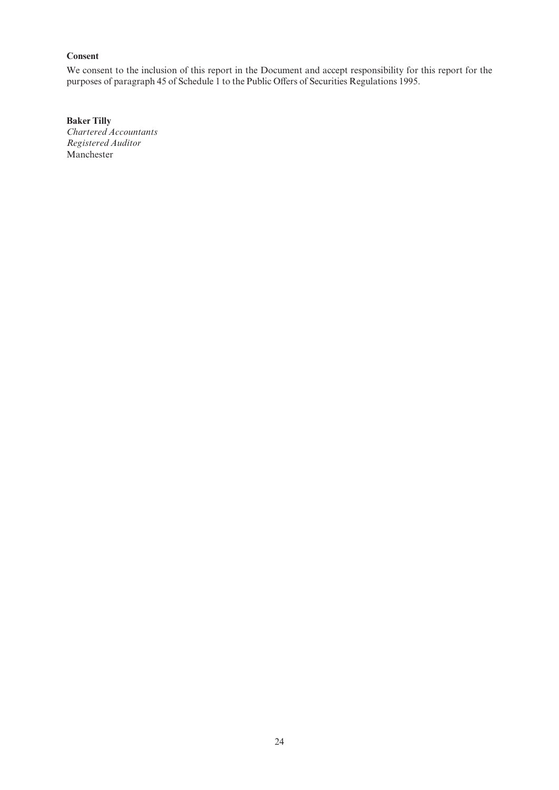## Consent

We consent to the inclusion of this report in the Document and accept responsibility for this report for the purposes of paragraph 45 of Schedule 1 to the Public Offers of Securities Regulations 1995.

Baker Tilly Chartered Accountants Registered Auditor Manchester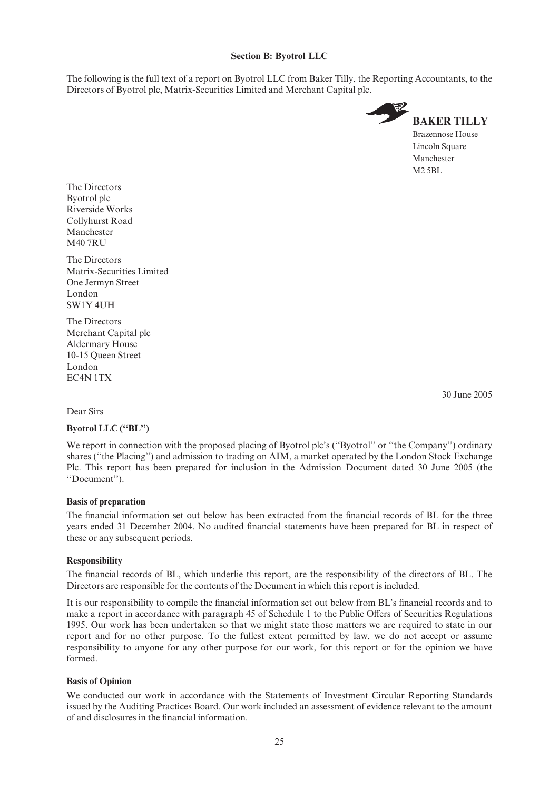### Section B: Byotrol LLC

The following is the full text of a report on Byotrol LLC from Baker Tilly, the Reporting Accountants, to the Directors of Byotrol plc, Matrix-Securities Limited and Merchant Capital plc.



The Directors Byotrol plc Riverside Works Collyhurst Road Manchester **M40 7RU** 

The Directors Matrix-Securities Limited One Jermyn Street London SW1Y 4UH

The Directors Merchant Capital plc Aldermary House 10-15 Queen Street London EC4N 1TX

30 June 2005

#### Dear Sirs

#### Byotrol LLC (''BL'')

We report in connection with the proposed placing of Byotrol plc's ("Byotrol" or "the Company") ordinary shares (''the Placing'') and admission to trading on AIM, a market operated by the London Stock Exchange Plc. This report has been prepared for inclusion in the Admission Document dated 30 June 2005 (the ''Document'').

#### Basis of preparation

The financial information set out below has been extracted from the financial records of BL for the three years ended 31 December 2004. No audited financial statements have been prepared for BL in respect of these or any subsequent periods.

#### Responsibility

The financial records of BL, which underlie this report, are the responsibility of the directors of BL. The Directors are responsible for the contents of the Document in which this report is included.

It is our responsibility to compile the financial information set out below from BL's financial records and to make a report in accordance with paragraph 45 of Schedule 1 to the Public Offers of Securities Regulations 1995. Our work has been undertaken so that we might state those matters we are required to state in our report and for no other purpose. To the fullest extent permitted by law, we do not accept or assume responsibility to anyone for any other purpose for our work, for this report or for the opinion we have formed.

#### Basis of Opinion

We conducted our work in accordance with the Statements of Investment Circular Reporting Standards issued by the Auditing Practices Board. Our work included an assessment of evidence relevant to the amount of and disclosures in the ¢nancial information.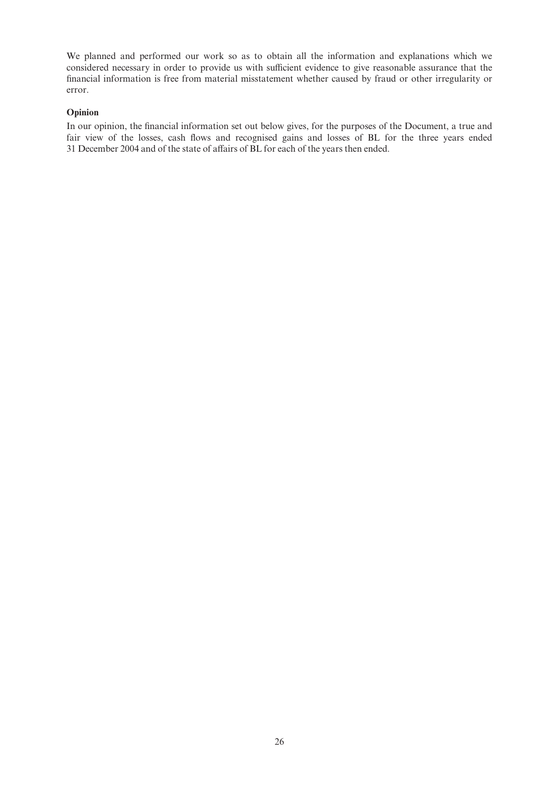We planned and performed our work so as to obtain all the information and explanations which we considered necessary in order to provide us with sufficient evidence to give reasonable assurance that the financial information is free from material misstatement whether caused by fraud or other irregularity or error.

#### Opinion

In our opinion, the financial information set out below gives, for the purposes of the Document, a true and fair view of the losses, cash flows and recognised gains and losses of BL for the three years ended 31 December 2004 and of the state of affairs of BL for each of the years then ended.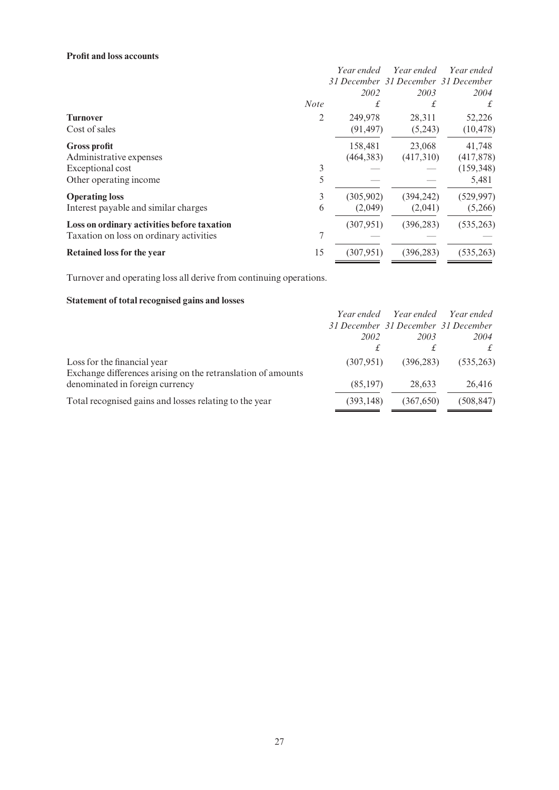## Profit and loss accounts

|                                             |                | Year ended | Year ended                          | Year ended |
|---------------------------------------------|----------------|------------|-------------------------------------|------------|
|                                             |                |            | 31 December 31 December 31 December |            |
|                                             |                | 2002       | 2003                                | 2004       |
|                                             | <b>Note</b>    | £          | £                                   | £          |
| <b>Turnover</b>                             | $\overline{2}$ | 249,978    | 28,311                              | 52,226     |
| Cost of sales                               |                | (91, 497)  | (5,243)                             | (10, 478)  |
| <b>Gross profit</b>                         |                | 158,481    | 23,068                              | 41,748     |
| Administrative expenses                     |                | (464, 383) | (417,310)                           | (417,878)  |
| Exceptional cost                            | 3              |            |                                     | (159, 348) |
| Other operating income                      | 5              |            |                                     | 5,481      |
| <b>Operating loss</b>                       | 3              | (305,902)  | (394, 242)                          | (529, 997) |
| Interest payable and similar charges        | 6              | (2,049)    | (2,041)                             | (5,266)    |
| Loss on ordinary activities before taxation |                | (307, 951) | (396, 283)                          | (535, 263) |
| Taxation on loss on ordinary activities     | 7              |            |                                     |            |
| <b>Retained loss for the year</b>           | 15             | (307, 951) | (396, 283)                          | (535,263)  |

Turnover and operating loss all derive from continuing operations.

## Statement of total recognised gains and losses

|                                                              |            | Year ended Year ended               | Year ended |
|--------------------------------------------------------------|------------|-------------------------------------|------------|
|                                                              |            | 31 December 31 December 31 December |            |
|                                                              | 2002       | 2003                                | 2004       |
|                                                              |            |                                     |            |
| Loss for the financial year                                  | (307.951)  | (396.283)                           | (535, 263) |
| Exchange differences arising on the retranslation of amounts |            |                                     |            |
| denominated in foreign currency                              | (85, 197)  | 28,633                              | 26,416     |
| Total recognised gains and losses relating to the year       | (393, 148) | (367.650)                           | (508, 847) |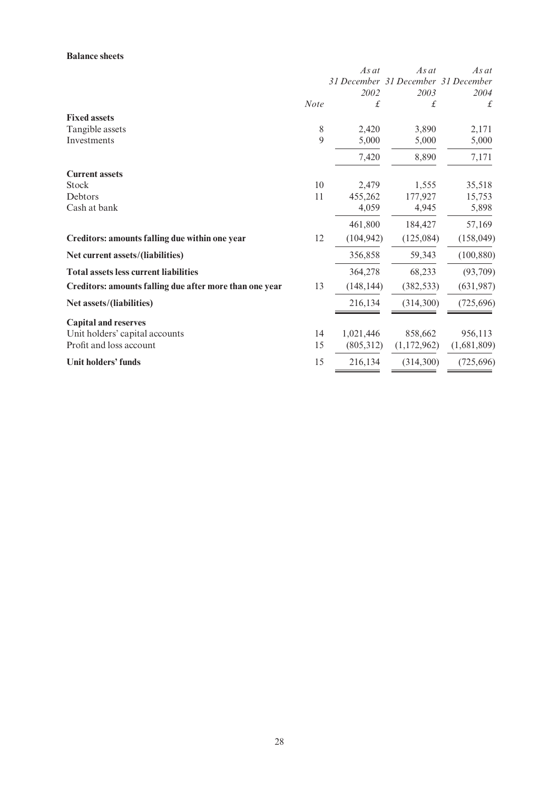## Balance sheets

|                                                         |             | As at      | $As$ at                             | As at       |
|---------------------------------------------------------|-------------|------------|-------------------------------------|-------------|
|                                                         |             |            | 31 December 31 December 31 December |             |
|                                                         |             | 2002       | 2003                                | 2004        |
|                                                         | <b>Note</b> | £          | £                                   | £           |
| <b>Fixed assets</b>                                     |             |            |                                     |             |
| Tangible assets                                         | 8           | 2,420      | 3,890                               | 2,171       |
| Investments                                             | 9           | 5,000      | 5,000                               | 5,000       |
|                                                         |             | 7,420      | 8,890                               | 7,171       |
| <b>Current assets</b>                                   |             |            |                                     |             |
| <b>Stock</b>                                            | 10          | 2,479      | 1,555                               | 35,518      |
| Debtors                                                 | 11          | 455,262    | 177,927                             | 15,753      |
| Cash at bank                                            |             | 4,059      | 4,945                               | 5,898       |
|                                                         |             | 461,800    | 184,427                             | 57,169      |
| Creditors: amounts falling due within one year          | 12          | (104, 942) | (125,084)                           | (158,049)   |
| Net current assets/(liabilities)                        |             | 356,858    | 59,343                              | (100, 880)  |
| <b>Total assets less current liabilities</b>            |             | 364,278    | 68,233                              | (93,709)    |
| Creditors: amounts falling due after more than one year | 13          | (148, 144) | (382, 533)                          | (631,987)   |
| Net assets/(liabilities)                                |             | 216,134    | (314,300)                           | (725,696)   |
| <b>Capital and reserves</b>                             |             |            |                                     |             |
| Unit holders' capital accounts                          | 14          | 1,021,446  | 858,662                             | 956,113     |
| Profit and loss account                                 | 15          | (805,312)  | (1,172,962)                         | (1,681,809) |
| Unit holders' funds                                     | 15          | 216,134    | (314,300)                           | (725, 696)  |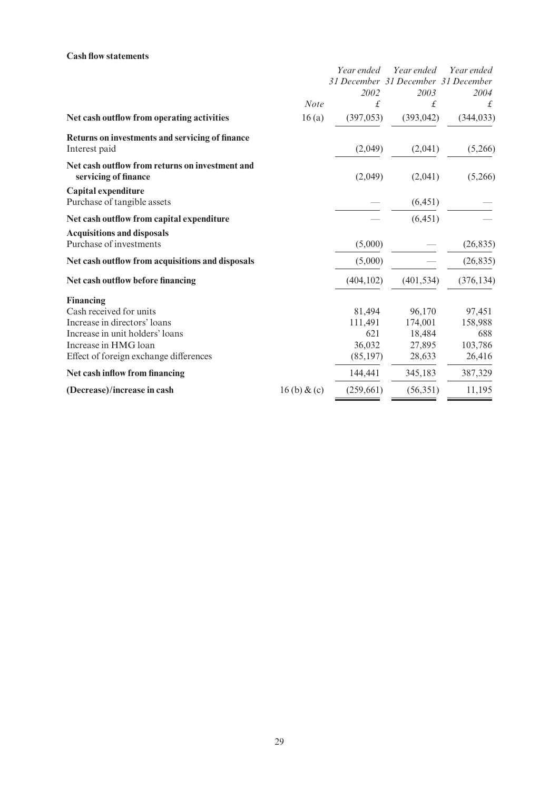## Cash flow statements

|                                                                  |             | Year ended | Year ended                          | Year ended |
|------------------------------------------------------------------|-------------|------------|-------------------------------------|------------|
|                                                                  |             |            | 31 December 31 December 31 December |            |
|                                                                  |             | 2002       | 2003                                | 2004       |
|                                                                  | <b>Note</b> | £          | £                                   | £          |
| Net cash outflow from operating activities                       | 16(a)       | (397, 053) | (393, 042)                          | (344, 033) |
| Returns on investments and servicing of finance<br>Interest paid |             | (2,049)    | (2,041)                             | (5,266)    |
| Net cash outflow from returns on investment and                  |             |            |                                     |            |
| servicing of finance                                             |             | (2,049)    | (2,041)                             | (5,266)    |
| Capital expenditure                                              |             |            |                                     |            |
| Purchase of tangible assets                                      |             |            | (6, 451)                            |            |
| Net cash outflow from capital expenditure                        |             |            | (6, 451)                            |            |
| <b>Acquisitions and disposals</b>                                |             |            |                                     |            |
| Purchase of investments                                          |             | (5,000)    |                                     | (26, 835)  |
| Net cash outflow from acquisitions and disposals                 |             | (5,000)    |                                     | (26, 835)  |
| Net cash outflow before financing                                |             | (404, 102) | (401, 534)                          | (376, 134) |
| <b>Financing</b>                                                 |             |            |                                     |            |
| Cash received for units                                          |             | 81,494     | 96,170                              | 97,451     |
| Increase in directors' loans                                     |             | 111,491    | 174,001                             | 158,988    |
| Increase in unit holders' loans                                  |             | 621        | 18,484                              | 688        |
| Increase in HMG loan                                             |             | 36,032     | 27,895                              | 103,786    |
| Effect of foreign exchange differences                           |             | (85, 197)  | 28,633                              | 26,416     |
| Net cash inflow from financing                                   |             | 144,441    | 345,183                             | 387,329    |
| (Decrease)/increase in cash                                      | 16(b) & c   | (259,661)  | (56, 351)                           | 11,195     |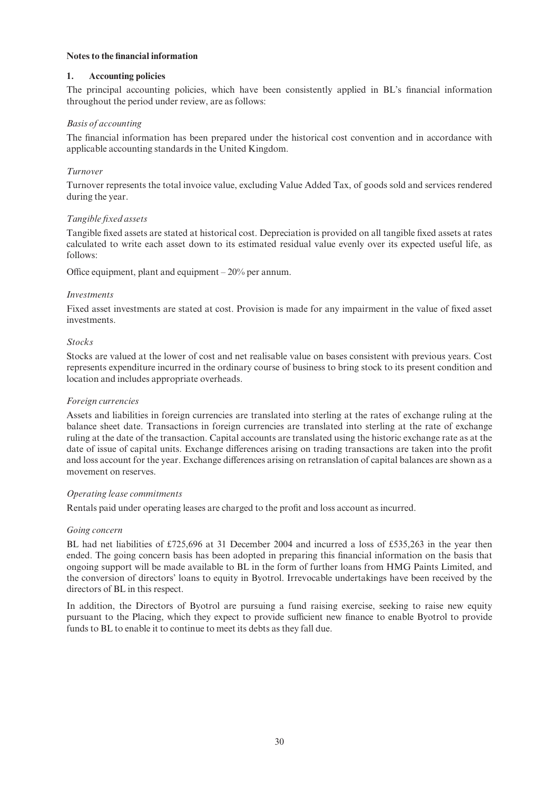#### Notes to the ¢nancial information

## 1. Accounting policies

The principal accounting policies, which have been consistently applied in BL's financial information throughout the period under review, are as follows:

## Basis of accounting

The financial information has been prepared under the historical cost convention and in accordance with applicable accounting standards in the United Kingdom.

## Turnover

Turnover represents the total invoice value, excluding Value Added Tax, of goods sold and services rendered during the year.

### Tangible fixed assets

Tangible fixed assets are stated at historical cost. Depreciation is provided on all tangible fixed assets at rates calculated to write each asset down to its estimated residual value evenly over its expected useful life, as follows:

Office equipment, plant and equipment  $-20\%$  per annum.

#### Investments

Fixed asset investments are stated at cost. Provision is made for any impairment in the value of fixed asset investments.

### Stocks

Stocks are valued at the lower of cost and net realisable value on bases consistent with previous years. Cost represents expenditure incurred in the ordinary course of business to bring stock to its present condition and location and includes appropriate overheads.

#### Foreign currencies

Assets and liabilities in foreign currencies are translated into sterling at the rates of exchange ruling at the balance sheet date. Transactions in foreign currencies are translated into sterling at the rate of exchange ruling at the date of the transaction. Capital accounts are translated using the historic exchange rate as at the date of issue of capital units. Exchange differences arising on trading transactions are taken into the profit and loss account for the year. Exchange differences arising on retranslation of capital balances are shown as a movement on reserves.

#### Operating lease commitments

Rentals paid under operating leases are charged to the profit and loss account as incurred.

#### Going concern

BL had net liabilities of £725,696 at 31 December 2004 and incurred a loss of £535,263 in the year then ended. The going concern basis has been adopted in preparing this financial information on the basis that ongoing support will be made available to BL in the form of further loans from HMG Paints Limited, and the conversion of directors' loans to equity in Byotrol. Irrevocable undertakings have been received by the directors of BL in this respect.

In addition, the Directors of Byotrol are pursuing a fund raising exercise, seeking to raise new equity pursuant to the Placing, which they expect to provide sufficient new finance to enable Byotrol to provide funds to BL to enable it to continue to meet its debts as they fall due.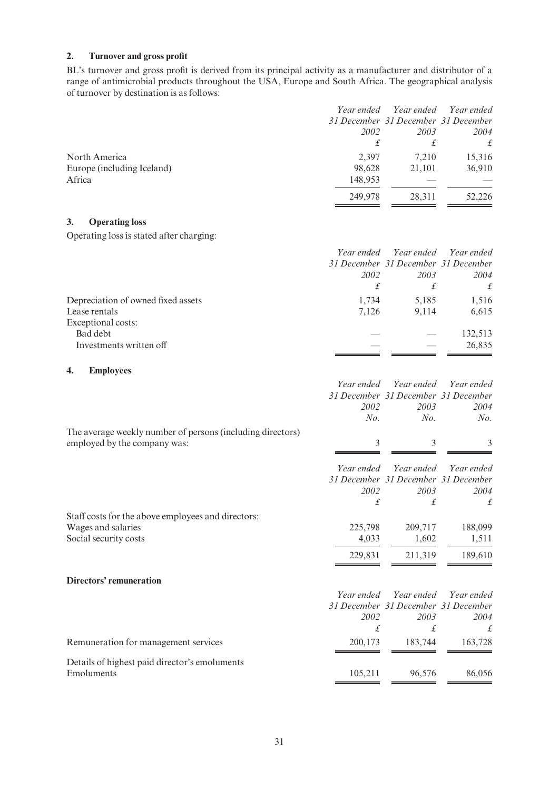## 2. Turnover and gross profit

BL's turnover and gross profit is derived from its principal activity as a manufacturer and distributor of a range of antimicrobial products throughout the USA, Europe and South Africa. The geographical analysis of turnover by destination is as follows:

|                            |         |                                     | Year ended Year ended Year ended |
|----------------------------|---------|-------------------------------------|----------------------------------|
|                            |         | 31 December 31 December 31 December |                                  |
|                            | 2002    | 2003                                | 2004                             |
|                            |         | £                                   |                                  |
| North America              | 2,397   | 7.210                               | 15,316                           |
| Europe (including Iceland) | 98,628  | 21,101                              | 36,910                           |
| Africa                     | 148,953 |                                     |                                  |
|                            | 249,978 | 28.311                              | 52,226                           |

## 3. Operating loss

Operating loss is stated after charging:

|                                    |       | Year ended Year ended Year ended    |         |
|------------------------------------|-------|-------------------------------------|---------|
|                                    |       | 31 December 31 December 31 December |         |
|                                    | 2002  | 2003                                | 2004    |
|                                    | £     | £                                   |         |
| Depreciation of owned fixed assets | 1.734 | 5,185                               | 1,516   |
| Lease rentals                      | 7.126 | 9.114                               | 6,615   |
| Exceptional costs:                 |       |                                     |         |
| Bad debt                           |       |                                     | 132.513 |
| Investments written off            |       |                                     | 26,835  |

## 4. Employees

|                                                            | Year ended | Year ended                          | Year ended |
|------------------------------------------------------------|------------|-------------------------------------|------------|
|                                                            |            | 31 December 31 December 31 December |            |
|                                                            | 2002       | 2003                                | 2004       |
|                                                            | No.        | No.                                 | No.        |
| The average weekly number of persons (including directors) |            |                                     |            |
| employed by the company was:                               | 3          | 3                                   |            |
|                                                            |            |                                     |            |
|                                                            | Year ended | Year ended                          | Year ended |
|                                                            |            | 31 December 31 December 31 December |            |
|                                                            | 2002       | 2003                                | 2004       |
|                                                            | $\pounds$  | £                                   | £          |
| Staff costs for the above employees and directors:         |            |                                     |            |
| Wages and salaries                                         | 225,798    | 209,717                             | 188,099    |
| Social security costs                                      | 4,033      | 1,602                               | 1,511      |
|                                                            | 229,831    | 211,319                             | 189,610    |
| Directors' remuneration                                    |            |                                     |            |
|                                                            |            |                                     |            |
|                                                            | Year ended | Year ended                          | Year ended |
|                                                            |            | 31 December 31 December 31 December |            |
|                                                            | 2002       | 2003                                | 2004       |
|                                                            | £          | £                                   | £          |
| Remuneration for management services                       | 200,173    | 183,744                             | 163,728    |
| Details of highest paid director's emoluments              |            |                                     |            |
| Emoluments                                                 | 105,211    | 96,576                              | 86,056     |
|                                                            |            |                                     |            |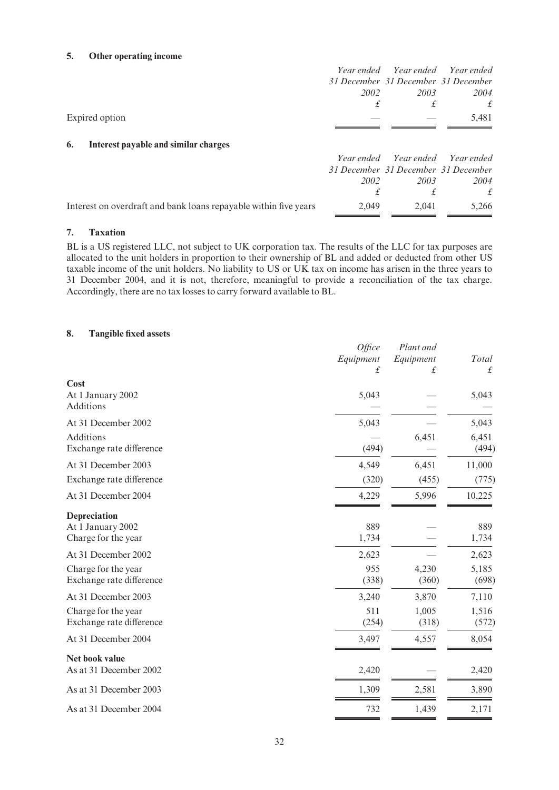## 5. Other operating income

|                                                                  | 2002  | 2003                                | Year ended Year ended Year ended<br>31 December 31 December 31 December<br>2004 |
|------------------------------------------------------------------|-------|-------------------------------------|---------------------------------------------------------------------------------|
|                                                                  | £     | £                                   | £                                                                               |
| Expired option                                                   |       |                                     | 5,481                                                                           |
|                                                                  |       |                                     |                                                                                 |
| Interest payable and similar charges<br>6.                       |       |                                     |                                                                                 |
|                                                                  |       |                                     | Year ended Year ended Year ended                                                |
|                                                                  |       | 31 December 31 December 31 December |                                                                                 |
|                                                                  | 2002  | 2003                                | 2004                                                                            |
|                                                                  | £     | £                                   | $\mathbf{f}$                                                                    |
| Interest on overdraft and bank loans repayable within five years | 2,049 | 2,041                               | 5,266                                                                           |

#### 7. Taxation

BL is a US registered LLC, not subject to UK corporation tax. The results of the LLC for tax purposes are allocated to the unit holders in proportion to their ownership of BL and added or deducted from other US taxable income of the unit holders. No liability to US or UK tax on income has arisen in the three years to 31 December 2004, and it is not, therefore, meaningful to provide a reconciliation of the tax charge. Accordingly, there are no tax losses to carry forward available to BL.

## 8. Tangible fixed assets

|                                                          | Office<br>Equipment<br>$\pounds$ | Plant and<br>Equipment<br>$\pounds$ | Total<br>£     |
|----------------------------------------------------------|----------------------------------|-------------------------------------|----------------|
| Cost<br>At 1 January 2002<br>Additions                   | 5,043                            |                                     | 5,043          |
| At 31 December 2002                                      | 5,043                            |                                     | 5,043          |
| Additions<br>Exchange rate difference                    | (494)                            | 6,451                               | 6,451<br>(494) |
| At 31 December 2003                                      | 4,549                            | 6,451                               | 11,000         |
| Exchange rate difference                                 | (320)                            | (455)                               | (775)          |
| At 31 December 2004                                      | 4,229                            | 5,996                               | 10,225         |
| Depreciation<br>At 1 January 2002<br>Charge for the year | 889<br>1,734                     |                                     | 889<br>1,734   |
| At 31 December 2002                                      | 2,623                            |                                     | 2,623          |
| Charge for the year<br>Exchange rate difference          | 955<br>(338)                     | 4,230<br>(360)                      | 5,185<br>(698) |
| At 31 December 2003                                      | 3,240                            | 3,870                               | 7,110          |
| Charge for the year<br>Exchange rate difference          | 511<br>(254)                     | 1,005<br>(318)                      | 1,516<br>(572) |
| At 31 December 2004                                      | 3,497                            | 4,557                               | 8,054          |
| Net book value<br>As at 31 December 2002                 | 2,420                            |                                     | 2,420          |
| As at 31 December 2003                                   | 1,309                            | 2,581                               | 3,890          |
| As at 31 December 2004                                   | 732                              | 1,439                               | 2,171          |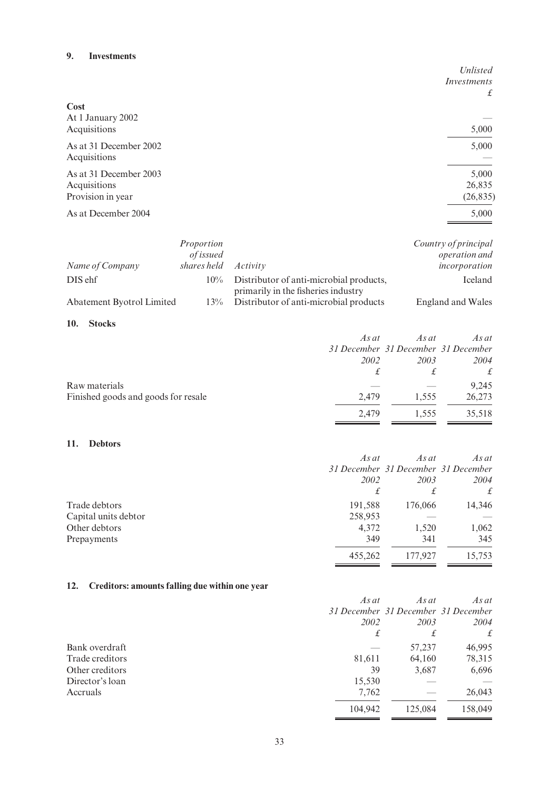#### 9. Investments

|                        | Unlisted    |
|------------------------|-------------|
|                        | Investments |
|                        | £           |
| Cost                   |             |
| At 1 January 2002      |             |
| Acquisitions           | 5,000       |
| As at 31 December 2002 | 5,000       |
| Acquisitions           |             |
| As at 31 December 2003 | 5,000       |
| Acquisitions           | 26,835      |
| Provision in year      | (26, 835)   |
| As at December 2004    | 5,000       |
|                        |             |

|                           | Proportion       |                                                                                | Country of principal |
|---------------------------|------------------|--------------------------------------------------------------------------------|----------------------|
|                           | <i>of issued</i> |                                                                                | operation and        |
| Name of Company           | shares held      | Activity                                                                       | incorporation        |
| DIS ehf                   | $10\%$           | Distributor of anti-microbial products,<br>primarily in the fisheries industry | Iceland              |
| Abatement Byotrol Limited | $13\%$           | Distributor of anti-microbial products                                         | England and Wales    |

## 10. Stocks

|                                     | As at | As at | As at                               |
|-------------------------------------|-------|-------|-------------------------------------|
|                                     |       |       | 31 December 31 December 31 December |
|                                     | 2002  | 2003  | 2004                                |
|                                     |       |       | £                                   |
| Raw materials                       |       |       | 9,245                               |
| Finished goods and goods for resale | 2.479 | 1.555 | 26,273                              |
|                                     | 2.479 | 1.555 | 35,518                              |

## 11. Debtors

|                      | $As$ at | As at   | As at                               |
|----------------------|---------|---------|-------------------------------------|
|                      |         |         | 31 December 31 December 31 December |
|                      | 2002    | 2003    | 2004                                |
|                      | £       | £       | $\mathbf{f}$                        |
| Trade debtors        | 191,588 | 176,066 | 14,346                              |
| Capital units debtor | 258,953 |         |                                     |
| Other debtors        | 4,372   | 1,520   | 1,062                               |
| Prepayments          | 349     | 341     | 345                                 |
|                      | 455,262 | 177,927 | 15,753                              |

## 12. Creditors: amounts falling due within one year

|                 | As at   | As at                               | As at         |
|-----------------|---------|-------------------------------------|---------------|
|                 |         | 31 December 31 December 31 December |               |
|                 | 2002    | 2003                                | 2004          |
|                 | £       | £                                   | $\mathcal{L}$ |
| Bank overdraft  |         | 57,237                              | 46,995        |
| Trade creditors | 81,611  | 64,160                              | 78,315        |
| Other creditors | 39      | 3,687                               | 6,696         |
| Director's loan | 15,530  |                                     |               |
| Accruals        | 7,762   |                                     | 26,043        |
|                 | 104.942 | 125,084                             | 158,049       |
|                 |         |                                     |               |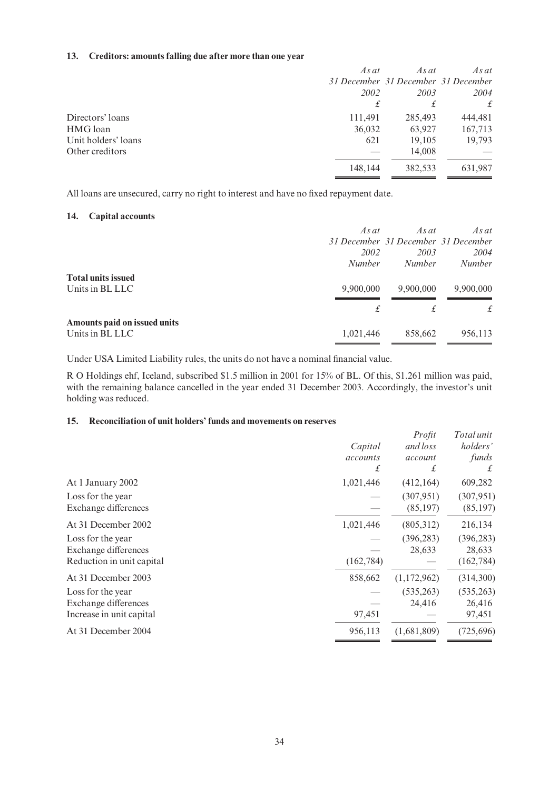## 13. Creditors: amounts falling due after more than one year

| As at   | As at   | As at                               |
|---------|---------|-------------------------------------|
|         |         |                                     |
| 2002    | 2003    | 2004                                |
| £       | £       | £                                   |
| 111,491 | 285,493 | 444,481                             |
| 36,032  | 63,927  | 167,713                             |
| 621     | 19,105  | 19,793                              |
|         | 14,008  |                                     |
| 148,144 | 382,533 | 631,987                             |
|         |         | 31 December 31 December 31 December |

All loans are unsecured, carry no right to interest and have no fixed repayment date.

#### 14. Capital accounts

|                              | $As$ at       | As at         | $As$ at                             |
|------------------------------|---------------|---------------|-------------------------------------|
|                              |               |               | 31 December 31 December 31 December |
|                              | 2002          | 2003          | 2004                                |
|                              | <i>Number</i> | <i>Number</i> | <b>Number</b>                       |
| <b>Total units issued</b>    |               |               |                                     |
| Units in BL LLC              | 9,900,000     | 9,900,000     | 9,900,000                           |
|                              | £             |               | £                                   |
| Amounts paid on issued units |               |               |                                     |
| Units in BL LLC              | 1,021,446     | 858,662       | 956,113                             |

Under USA Limited Liability rules, the units do not have a nominal financial value.

R O Holdings ehf, Iceland, subscribed \$1.5 million in 2001 for 15% of BL. Of this, \$1.261 million was paid, with the remaining balance cancelled in the year ended 31 December 2003. Accordingly, the investor's unit holding was reduced.

#### 15. Reconciliation of unit holders' funds and movements on reserves

|                           |            | Profit      | Total unit |
|---------------------------|------------|-------------|------------|
|                           | Capital    | and loss    | holders'   |
|                           | accounts   | account     | funds      |
|                           | £          | £           | £          |
| At 1 January 2002         | 1,021,446  | (412, 164)  | 609,282    |
| Loss for the year         |            | (307, 951)  | (307, 951) |
| Exchange differences      |            | (85, 197)   | (85, 197)  |
| At 31 December 2002       | 1,021,446  | (805,312)   | 216,134    |
| Loss for the year         |            | (396, 283)  | (396, 283) |
| Exchange differences      |            | 28,633      | 28,633     |
| Reduction in unit capital | (162, 784) |             | (162, 784) |
| At 31 December 2003       | 858,662    | (1,172,962) | (314,300)  |
| Loss for the year         |            | (535, 263)  | (535, 263) |
| Exchange differences      |            | 24,416      | 26,416     |
| Increase in unit capital  | 97,451     |             | 97,451     |
| At 31 December 2004       | 956,113    | (1,681,809) | (725, 696) |
|                           |            |             |            |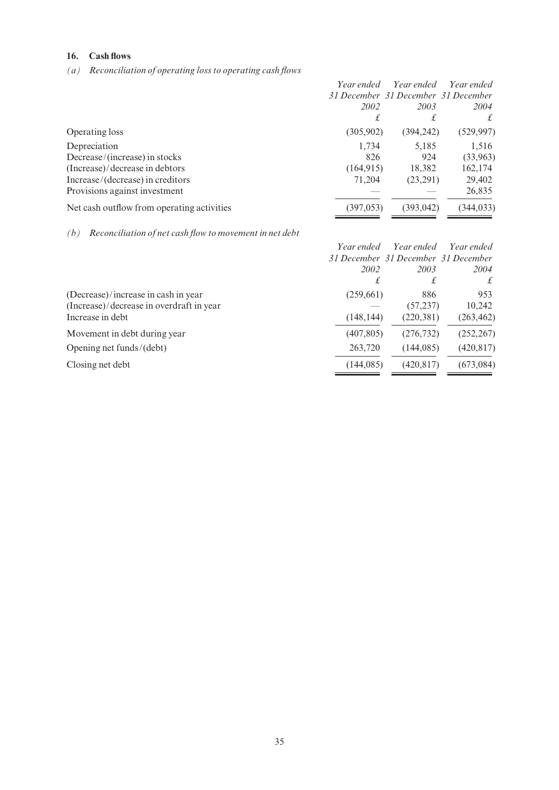## 16. Cash flows

(a) Reconciliation of operating loss to operating cash flows

|                                            | Year ended<br>2002<br>£ | Year ended<br>31 December 31 December 31 December<br>2003<br>£ | Year ended<br>2004<br>£ |
|--------------------------------------------|-------------------------|----------------------------------------------------------------|-------------------------|
| Operating loss                             | (305,902)               | (394, 242)                                                     | (529, 997)              |
| Depreciation                               | 1.734                   | 5,185                                                          | 1,516                   |
| Decrease/(increase) in stocks              | 826                     | 924                                                            | (33,963)                |
| (Increase)/decrease in debtors             | (164, 915)              | 18,382                                                         | 162,174                 |
| Increase/(decrease) in creditors           | 71,204                  | (23,291)                                                       | 29,402                  |
| Provisions against investment              |                         |                                                                | 26,835                  |
| Net cash outflow from operating activities | (397, 053)              | (393, 042)                                                     | (344, 033)              |

 $(b)$  Reconciliation of net cash flow to movement in net debt

|                                          | Year ended                          | Year ended | Year ended |
|------------------------------------------|-------------------------------------|------------|------------|
|                                          | 31 December 31 December 31 December |            |            |
|                                          | 2002                                | 2003       | 2004       |
|                                          | £                                   | £          | £          |
| (Decrease)/increase in cash in year      | (259,661)                           | 886        | 953        |
| (Increase)/decrease in overdraft in year |                                     | (57, 237)  | 10,242     |
| Increase in debt                         | (148, 144)                          | (220, 381) | (263, 462) |
| Movement in debt during year             | (407, 805)                          | (276, 732) | (252, 267) |
| Opening net funds/(debt)                 | 263,720                             | (144.085)  | (420, 817) |
| Closing net debt                         | (144, 085)                          | (420, 817) | (673,084)  |
|                                          |                                     |            |            |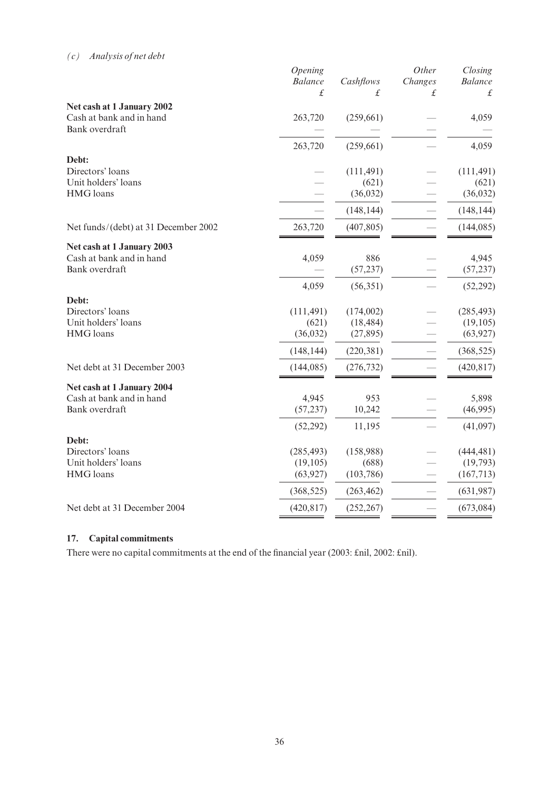## (c) Analysis of net debt

|                                         | Opening<br><b>Balance</b> | Cashflows              | Other<br>Changes | Closing<br><b>Balance</b> |
|-----------------------------------------|---------------------------|------------------------|------------------|---------------------------|
|                                         | £                         | £                      | £                | £                         |
| Net cash at 1 January 2002              |                           |                        |                  |                           |
| Cash at bank and in hand                | 263,720                   | (259, 661)             |                  | 4,059                     |
| Bank overdraft                          |                           |                        |                  |                           |
|                                         | 263,720                   | (259, 661)             |                  | 4,059                     |
| Debt:                                   |                           |                        |                  |                           |
| Directors' loans                        |                           | (111, 491)             |                  | (111, 491)                |
| Unit holders' loans                     |                           | (621)                  |                  | (621)                     |
| <b>HMG</b> loans                        |                           | (36, 032)              |                  | (36,032)                  |
|                                         |                           | (148, 144)             |                  | (148, 144)                |
| Net funds/(debt) at 31 December 2002    | 263,720                   | (407, 805)             |                  | (144, 085)                |
| Net cash at 1 January 2003              |                           |                        |                  |                           |
| Cash at bank and in hand                | 4,059                     | 886                    |                  | 4,945                     |
| Bank overdraft                          |                           | (57, 237)              |                  | (57, 237)                 |
|                                         | 4,059                     | (56, 351)              |                  | (52, 292)                 |
| Debt:                                   |                           |                        |                  |                           |
| Directors' loans<br>Unit holders' loans | (111, 491)                | (174,002)              |                  | (285, 493)                |
| <b>HMG</b> loans                        | (621)<br>(36,032)         | (18, 484)<br>(27, 895) |                  | (19, 105)<br>(63, 927)    |
|                                         |                           |                        |                  |                           |
|                                         | (148, 144)                | (220, 381)             |                  | (368, 525)                |
| Net debt at 31 December 2003            | (144, 085)                | (276, 732)             |                  | (420, 817)                |
| Net cash at 1 January 2004              |                           |                        |                  |                           |
| Cash at bank and in hand                | 4,945                     | 953                    |                  | 5,898                     |
| Bank overdraft                          | (57, 237)                 | 10,242                 |                  | (46,995)                  |
|                                         | (52, 292)                 | 11,195                 |                  | (41,097)                  |
| Debt:                                   |                           |                        |                  |                           |
| Directors' loans<br>Unit holders' loans | (285, 493)                | (158,988)              |                  | (444, 481)                |
| <b>HMG</b> loans                        | (19, 105)<br>(63, 927)    | (688)<br>(103, 786)    |                  | (19, 793)<br>(167, 713)   |
|                                         | (368, 525)                | (263, 462)             |                  | (631, 987)                |
|                                         |                           |                        |                  |                           |
| Net debt at 31 December 2004            | (420, 817)                | (252, 267)             |                  | (673,084)                 |

## 17. Capital commitments

There were no capital commitments at the end of the financial year (2003: £nil, 2002: £nil).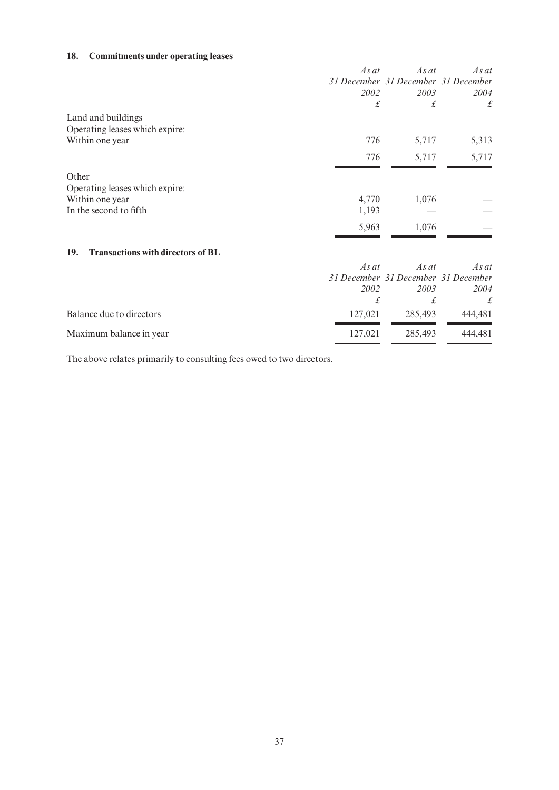## 18. Commitments under operating leases

|                                                      | $As$ $at$<br>2002                                                                                                                                                                                                                 | $As$ at<br>31 December 31 December 31 December<br>2003 | $As$ at<br>2004 |
|------------------------------------------------------|-----------------------------------------------------------------------------------------------------------------------------------------------------------------------------------------------------------------------------------|--------------------------------------------------------|-----------------|
|                                                      | £                                                                                                                                                                                                                                 | £                                                      | £               |
| Land and buildings<br>Operating leases which expire: |                                                                                                                                                                                                                                   |                                                        |                 |
| Within one year                                      | 776                                                                                                                                                                                                                               | 5,717                                                  | 5,313           |
|                                                      | 776                                                                                                                                                                                                                               | 5,717                                                  | 5,717           |
| Other                                                |                                                                                                                                                                                                                                   |                                                        |                 |
| Operating leases which expire:                       |                                                                                                                                                                                                                                   |                                                        |                 |
| Within one year                                      | 4,770                                                                                                                                                                                                                             | 1,076                                                  |                 |
| In the second to fifth                               | 1,193                                                                                                                                                                                                                             |                                                        |                 |
|                                                      | 5,963                                                                                                                                                                                                                             | 1.076                                                  |                 |
| <b>Transactions with directors of BL</b><br>19.      |                                                                                                                                                                                                                                   |                                                        |                 |
|                                                      | $\mathcal{A}$ and the same of the same of the same of the same of the same of the same of the same of the same of the same of the same of the same of the same of the same of the same of the same of the same of the same of the | $\overline{A}$ and $\overline{A}$                      |                 |

|                          | $As$ at | As at   | As at                               |
|--------------------------|---------|---------|-------------------------------------|
|                          |         |         | 31 December 31 December 31 December |
|                          | 2002    | 2003    | 2004                                |
|                          |         |         |                                     |
| Balance due to directors | 127.021 | 285.493 | 444.481                             |
| Maximum balance in year  | 127,021 | 285,493 | 444.481                             |

The above relates primarily to consulting fees owed to two directors.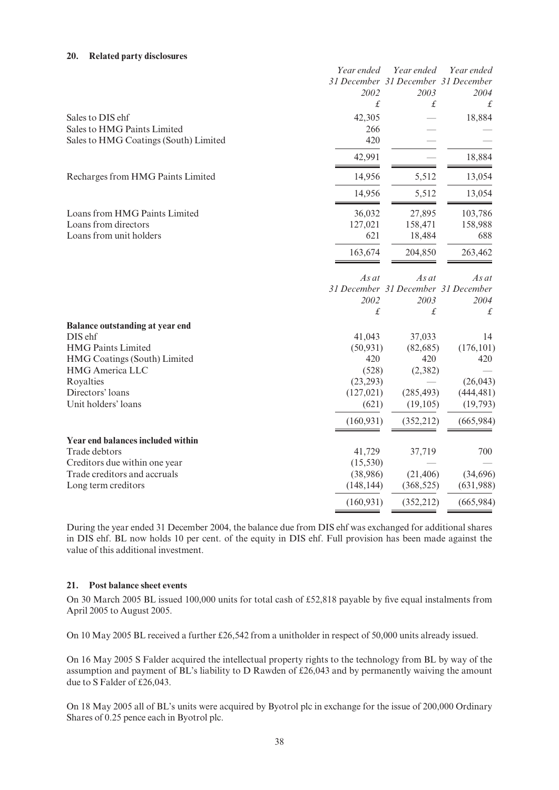#### 20. Related party disclosures

|                                        | Year ended | Year ended                          | Year ended |
|----------------------------------------|------------|-------------------------------------|------------|
|                                        |            | 31 December 31 December 31 December |            |
|                                        | 2002       | 2003                                | 2004       |
|                                        | £          | £                                   | £          |
| Sales to DIS ehf                       | 42,305     |                                     | 18,884     |
| Sales to HMG Paints Limited            | 266        |                                     |            |
| Sales to HMG Coatings (South) Limited  | 420        |                                     |            |
|                                        | 42,991     |                                     | 18,884     |
| Recharges from HMG Paints Limited      | 14,956     | 5,512                               | 13,054     |
|                                        | 14,956     | 5,512                               | 13,054     |
| Loans from HMG Paints Limited          | 36,032     | 27,895                              | 103,786    |
| Loans from directors                   | 127,021    | 158,471                             | 158,988    |
| Loans from unit holders                | 621        | 18,484                              | 688        |
|                                        | 163,674    | 204,850                             | 263,462    |
|                                        | As at      | As at                               | As at      |
|                                        |            | 31 December 31 December 31 December |            |
|                                        | 2002       | 2003                                | 2004       |
|                                        | £          | £                                   | £          |
| <b>Balance outstanding at year end</b> |            |                                     |            |
| DIS ehf                                | 41,043     | 37,033                              | 14         |
| <b>HMG Paints Limited</b>              | (50, 931)  | (82, 685)                           | (176, 101) |
| HMG Coatings (South) Limited           | 420        | 420                                 | 420        |
| <b>HMG</b> America LLC                 | (528)      | (2, 382)                            |            |
| Royalties                              | (23, 293)  |                                     | (26, 043)  |
| Directors' loans                       | (127, 021) | (285, 493)                          | (444, 481) |
| Unit holders' loans                    | (621)      | (19, 105)                           | (19, 793)  |
|                                        | (160, 931) | (352, 212)                          | (665, 984) |
| Year end balances included within      |            |                                     |            |
| Trade debtors                          | 41,729     | 37,719                              | 700        |
| Creditors due within one year          | (15, 530)  |                                     |            |
| Trade creditors and accruals           | (38,986)   | (21, 406)                           | (34,696)   |
| Long term creditors                    | (148, 144) | (368, 525)                          | (631,988)  |
|                                        | (160, 931) | (352, 212)                          | (665,984)  |

During the year ended 31 December 2004, the balance due from DIS ehf was exchanged for additional shares in DIS ehf. BL now holds 10 per cent. of the equity in DIS ehf. Full provision has been made against the value of this additional investment.

#### 21. Post balance sheet events

On 30 March 2005 BL issued 100,000 units for total cash of £52,818 payable by five equal instalments from April 2005 to August 2005.

On 10 May 2005 BL received a further  $£26,542$  from a unitholder in respect of 50,000 units already issued.

On 16 May 2005 S Falder acquired the intellectual property rights to the technology from BL by way of the assumption and payment of BL's liability to D Rawden of £26,043 and by permanently waiving the amount due to S Falder of  $£26,043$ .

On 18 May 2005 all of BL's units were acquired by Byotrol plc in exchange for the issue of 200,000 Ordinary Shares of 0.25 pence each in Byotrol plc.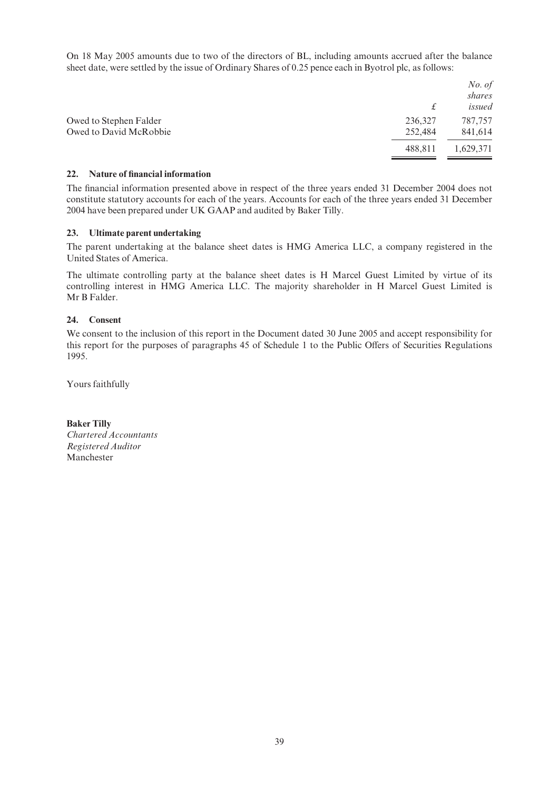On 18 May 2005 amounts due to two of the directors of BL, including amounts accrued after the balance sheet date, were settled by the issue of Ordinary Shares of 0.25 pence each in Byotrol plc, as follows:

|         | No. of    |
|---------|-----------|
|         | shares    |
| £       | issued    |
| 236,327 | 787,757   |
| 252,484 | 841,614   |
| 488,811 | 1,629,371 |
|         |           |

#### 22. Nature of financial information

The financial information presented above in respect of the three years ended 31 December 2004 does not constitute statutory accounts for each of the years. Accounts for each of the three years ended 31 December 2004 have been prepared under UK GAAP and audited by Baker Tilly.

#### 23. Ultimate parent undertaking

The parent undertaking at the balance sheet dates is HMG America LLC, a company registered in the United States of America.

The ultimate controlling party at the balance sheet dates is H Marcel Guest Limited by virtue of its controlling interest in HMG America LLC. The majority shareholder in H Marcel Guest Limited is Mr B Falder.

#### 24 Consent

We consent to the inclusion of this report in the Document dated 30 June 2005 and accept responsibility for this report for the purposes of paragraphs 45 of Schedule 1 to the Public Offers of Securities Regulations 1995.

Yours faithfully

Baker Tilly Chartered Accountants Registered Auditor Manchester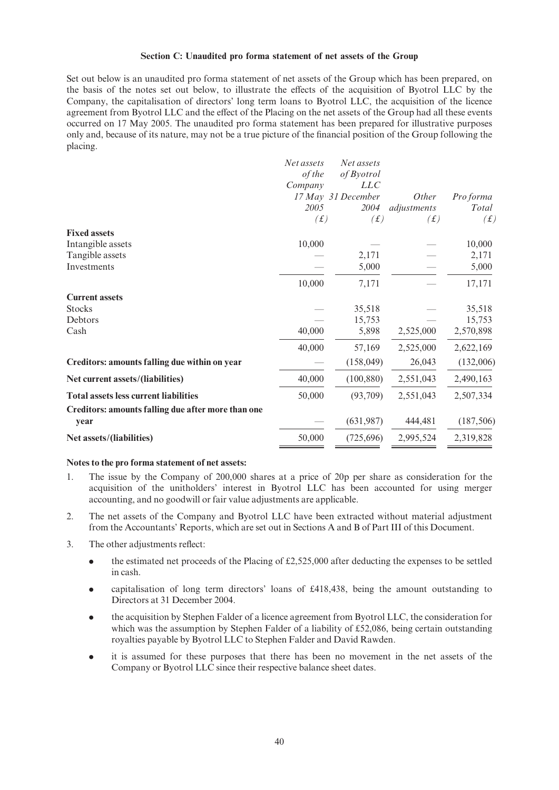#### Section C: Unaudited pro forma statement of net assets of the Group

Set out below is an unaudited pro forma statement of net assets of the Group which has been prepared, on the basis of the notes set out below, to illustrate the effects of the acquisition of Byotrol LLC by the Company, the capitalisation of directors' long term loans to Byotrol LLC, the acquisition of the licence agreement from Byotrol LLC and the effect of the Placing on the net assets of the Group had all these events occurred on 17 May 2005. The unaudited pro forma statement has been prepared for illustrative purposes only and, because of its nature, may not be a true picture of the ¢nancial position of the Group following the placing.

|                                                    | Net assets  | Net assets         |              |            |
|----------------------------------------------------|-------------|--------------------|--------------|------------|
|                                                    | of the      | of Byotrol         |              |            |
|                                                    | Company     | <i>LLC</i>         |              |            |
|                                                    |             | 17 May 31 December | <i>Other</i> | Pro forma  |
|                                                    | 2005        | 2004               | adjustments  | Total      |
|                                                    | $(\pounds)$ | (f)                | (f)          | (f)        |
| <b>Fixed assets</b>                                |             |                    |              |            |
| Intangible assets                                  | 10,000      |                    |              | 10,000     |
| Tangible assets                                    |             | 2,171              |              | 2,171      |
| Investments                                        |             | 5,000              |              | 5,000      |
|                                                    | 10,000      | 7,171              |              | 17,171     |
| <b>Current assets</b>                              |             |                    |              |            |
| <b>Stocks</b>                                      |             | 35,518             |              | 35,518     |
| Debtors                                            |             | 15,753             |              | 15,753     |
| Cash                                               | 40,000      | 5,898              | 2,525,000    | 2,570,898  |
|                                                    | 40,000      | 57,169             | 2,525,000    | 2,622,169  |
| Creditors: amounts falling due within on year      |             | (158, 049)         | 26,043       | (132,006)  |
| Net current assets/(liabilities)                   | 40,000      | (100, 880)         | 2,551,043    | 2,490,163  |
| <b>Total assets less current liabilities</b>       | 50,000      | (93,709)           | 2,551,043    | 2,507,334  |
| Creditors: amounts falling due after more than one |             |                    |              |            |
| year                                               |             | (631,987)          | 444,481      | (187, 506) |
| Net assets/(liabilities)                           | 50,000      | (725,696)          | 2,995,524    | 2,319,828  |
|                                                    |             |                    |              |            |

#### Notes to the pro forma statement of net assets:

- 1. The issue by the Company of 200,000 shares at a price of 20p per share as consideration for the acquisition of the unitholders' interest in Byotrol LLC has been accounted for using merger accounting, and no goodwill or fair value adjustments are applicable.
- 2. The net assets of the Company and Byotrol LLC have been extracted without material adjustment from the Accountants' Reports, which are set out in Sections A and B of Part III of this Document.
- 3. The other adjustments reflect:
	- the estimated net proceeds of the Placing of  $\text{\pounds}2,525,000$  after deducting the expenses to be settled in cash.
	- capitalisation of long term directors' loans of  $£418,438$ , being the amount outstanding to Directors at 31 December 2004.
	- . the acquisition by Stephen Falder of a licence agreement from Byotrol LLC, the consideration for which was the assumption by Stephen Falder of a liability of  $\text{\pounds}52,086$ , being certain outstanding royalties payable by Byotrol LLC to Stephen Falder and David Rawden.
	- . it is assumed for these purposes that there has been no movement in the net assets of the Company or Byotrol LLC since their respective balance sheet dates.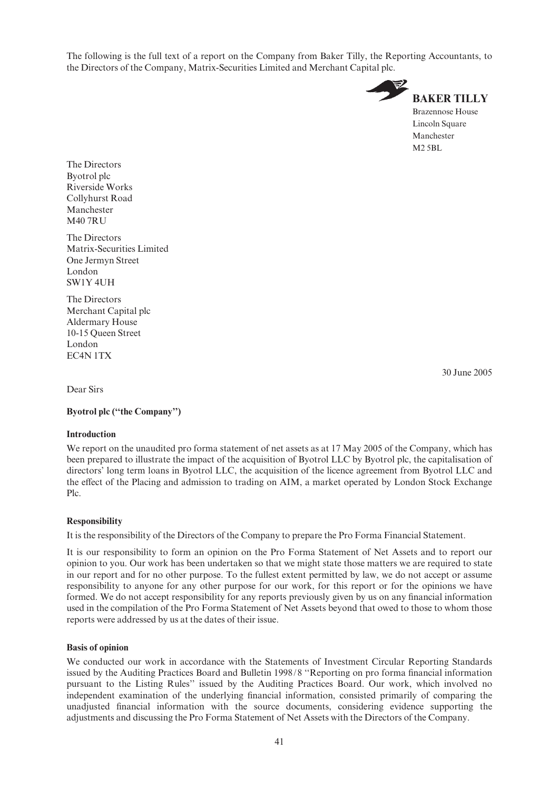The following is the full text of a report on the Company from Baker Tilly, the Reporting Accountants, to the Directors of the Company, Matrix-Securities Limited and Merchant Capital plc.



The Directors Byotrol plc Riverside Works Collyhurst Road Manchester M40 7RU

The Directors Matrix-Securities Limited One Jermyn Street London SW1Y 4UH

The Directors Merchant Capital plc Aldermary House 10-15 Queen Street London EC4N 1TX

30 June 2005

Dear Sirs

#### Byotrol plc (''the Company'')

#### Introduction

We report on the unaudited pro forma statement of net assets as at 17 May 2005 of the Company, which has been prepared to illustrate the impact of the acquisition of Byotrol LLC by Byotrol plc, the capitalisation of directors' long term loans in Byotrol LLC, the acquisition of the licence agreement from Byotrol LLC and the effect of the Placing and admission to trading on AIM, a market operated by London Stock Exchange Plc.

## Responsibility

It is the responsibility of the Directors of the Company to prepare the Pro Forma Financial Statement.

It is our responsibility to form an opinion on the Pro Forma Statement of Net Assets and to report our opinion to you. Our work has been undertaken so that we might state those matters we are required to state in our report and for no other purpose. To the fullest extent permitted by law, we do not accept or assume responsibility to anyone for any other purpose for our work, for this report or for the opinions we have formed. We do not accept responsibility for any reports previously given by us on any financial information used in the compilation of the Pro Forma Statement of Net Assets beyond that owed to those to whom those reports were addressed by us at the dates of their issue.

#### Basis of opinion

We conducted our work in accordance with the Statements of Investment Circular Reporting Standards issued by the Auditing Practices Board and Bulletin 1998/8 "Reporting on pro forma financial information pursuant to the Listing Rules'' issued by the Auditing Practices Board. Our work, which involved no independent examination of the underlying financial information, consisted primarily of comparing the unadjusted financial information with the source documents, considering evidence supporting the adjustments and discussing the Pro Forma Statement of Net Assets with the Directors of the Company.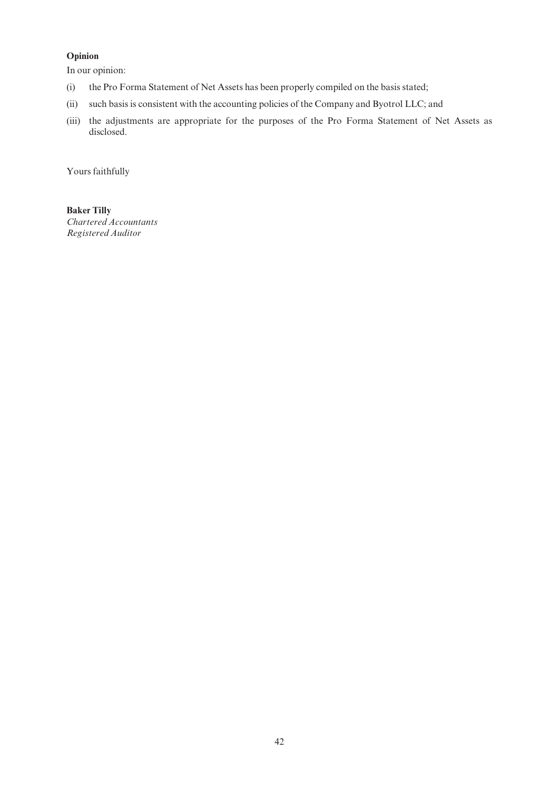## Opinion

In our opinion:

- (i) the Pro Forma Statement of Net Assets has been properly compiled on the basis stated;
- (ii) such basis is consistent with the accounting policies of the Company and Byotrol LLC; and
- (iii) the adjustments are appropriate for the purposes of the Pro Forma Statement of Net Assets as disclosed.

Yours faithfully

Baker Tilly Chartered Accountants Registered Auditor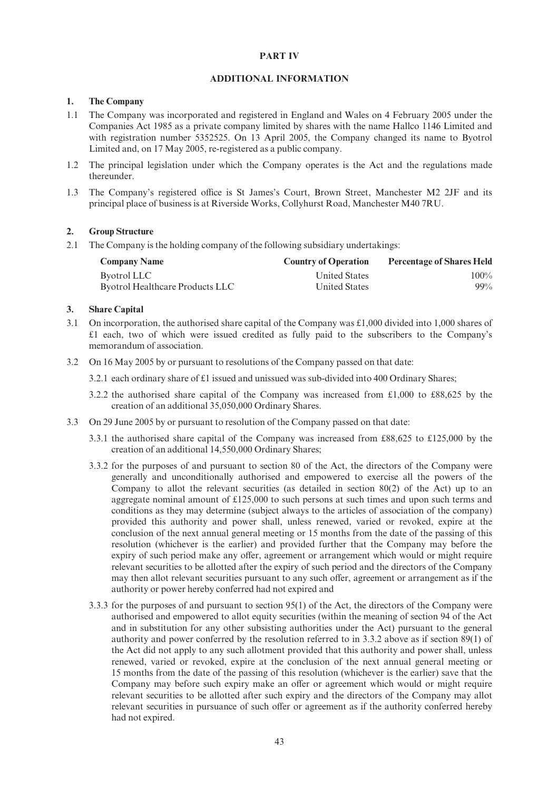#### PART IV

#### ADDITIONAL INFORMATION

#### 1. The Company

- 1.1 The Company was incorporated and registered in England and Wales on 4 February 2005 under the Companies Act 1985 as a private company limited by shares with the name Hallco 1146 Limited and with registration number 5352525. On 13 April 2005, the Company changed its name to Byotrol Limited and, on 17 May 2005, re-registered as a public company.
- 1.2 The principal legislation under which the Company operates is the Act and the regulations made thereunder.
- 1.3 The Company's registered office is St James's Court, Brown Street, Manchester M2 2JF and its principal place of business is at Riverside Works, Collyhurst Road, Manchester M40 7RU.

#### 2. Group Structure

2.1 The Company is the holding company of the following subsidiary undertakings:

| <b>Company Name</b>                    | <b>Country of Operation</b> | <b>Percentage of Shares Held</b> |
|----------------------------------------|-----------------------------|----------------------------------|
| Byotrol LLC                            | United States               | $100\%$                          |
| <b>Byotrol Healthcare Products LLC</b> | <b>United States</b>        | $99\%$                           |

#### 3. Share Capital

- 3.1 On incorporation, the authorised share capital of the Company was  $\text{\pounds}1,000$  divided into 1,000 shares of  $£1$  each, two of which were issued credited as fully paid to the subscribers to the Company's memorandum of association.
- 3.2 On 16 May 2005 by or pursuant to resolutions of the Company passed on that date:
	- 3.2.1 each ordinary share of  $£1$  issued and unissued was sub-divided into 400 Ordinary Shares;
	- 3.2.2 the authorised share capital of the Company was increased from  $\text{\pounds}1,000$  to  $\text{\pounds}88,625$  by the creation of an additional 35,050,000 Ordinary Shares.
- 3.3 On 29 June 2005 by or pursuant to resolution of the Company passed on that date:
	- 3.3.1 the authorised share capital of the Company was increased from  $£88,625$  to  $£125,000$  by the creation of an additional 14,550,000 Ordinary Shares;
	- 3.3.2 for the purposes of and pursuant to section 80 of the Act, the directors of the Company were generally and unconditionally authorised and empowered to exercise all the powers of the Company to allot the relevant securities (as detailed in section  $80(2)$  of the Act) up to an aggregate nominal amount of  $\pounds125,000$  to such persons at such times and upon such terms and conditions as they may determine (subject always to the articles of association of the company) provided this authority and power shall, unless renewed, varied or revoked, expire at the conclusion of the next annual general meeting or 15 months from the date of the passing of this resolution (whichever is the earlier) and provided further that the Company may before the expiry of such period make any offer, agreement or arrangement which would or might require relevant securities to be allotted after the expiry of such period and the directors of the Company may then allot relevant securities pursuant to any such offer, agreement or arrangement as if the authority or power hereby conferred had not expired and
	- 3.3.3 for the purposes of and pursuant to section 95(1) of the Act, the directors of the Company were authorised and empowered to allot equity securities (within the meaning of section 94 of the Act and in substitution for any other subsisting authorities under the Act) pursuant to the general authority and power conferred by the resolution referred to in 3.3.2 above as if section 89(1) of the Act did not apply to any such allotment provided that this authority and power shall, unless renewed, varied or revoked, expire at the conclusion of the next annual general meeting or 15 months from the date of the passing of this resolution (whichever is the earlier) save that the Company may before such expiry make an offer or agreement which would or might require relevant securities to be allotted after such expiry and the directors of the Company may allot relevant securities in pursuance of such offer or agreement as if the authority conferred hereby had not expired.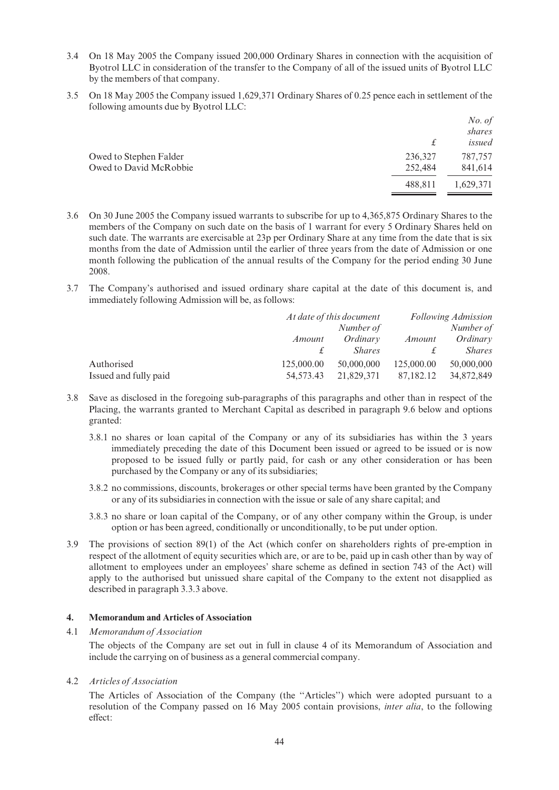- 3.4 On 18 May 2005 the Company issued 200,000 Ordinary Shares in connection with the acquisition of Byotrol LLC in consideration of the transfer to the Company of all of the issued units of Byotrol LLC by the members of that company.
- 3.5 On 18 May 2005 the Company issued 1,629,371 Ordinary Shares of 0.25 pence each in settlement of the following amounts due by Byotrol LLC:

|                        |         | No. of    |
|------------------------|---------|-----------|
|                        |         | shares    |
|                        | £       | issued    |
| Owed to Stephen Falder | 236,327 | 787,757   |
| Owed to David McRobbie | 252,484 | 841,614   |
|                        | 488,811 | 1,629,371 |

- 3.6 On 30 June 2005 the Company issued warrants to subscribe for up to 4,365,875 Ordinary Shares to the members of the Company on such date on the basis of 1 warrant for every 5 Ordinary Shares held on such date. The warrants are exercisable at 23p per Ordinary Share at any time from the date that is six months from the date of Admission until the earlier of three years from the date of Admission or one month following the publication of the annual results of the Company for the period ending 30 June 2008.
- 3.7 The Company's authorised and issued ordinary share capital at the date of this document is, and immediately following Admission will be, as follows:

|                       | At date of this document |               | <b>Following Admission</b> |               |  |
|-----------------------|--------------------------|---------------|----------------------------|---------------|--|
|                       | Number of                |               |                            | Number of     |  |
|                       | Amount                   | Ordinary      | Amount                     | Ordinary      |  |
|                       |                          | <i>Shares</i> |                            | <i>Shares</i> |  |
| Authorised            | 125,000.00               | 50,000,000    | 125,000.00                 | 50,000,000    |  |
| Issued and fully paid | 54,573.43                | 21,829,371    | 87,182.12                  | 34,872,849    |  |

- 3.8 Save as disclosed in the foregoing sub-paragraphs of this paragraphs and other than in respect of the Placing, the warrants granted to Merchant Capital as described in paragraph 9.6 below and options granted:
	- 3.8.1 no shares or loan capital of the Company or any of its subsidiaries has within the 3 years immediately preceding the date of this Document been issued or agreed to be issued or is now proposed to be issued fully or partly paid, for cash or any other consideration or has been purchased by the Company or any of its subsidiaries;
	- 3.8.2 no commissions, discounts, brokerages or other special terms have been granted by the Company or any of its subsidiaries in connection with the issue or sale of any share capital; and
	- 3.8.3 no share or loan capital of the Company, or of any other company within the Group, is under option or has been agreed, conditionally or unconditionally, to be put under option.
- 3.9 The provisions of section 89(1) of the Act (which confer on shareholders rights of pre-emption in respect of the allotment of equity securities which are, or are to be, paid up in cash other than by way of allotment to employees under an employees' share scheme as defined in section 743 of the Act) will apply to the authorised but unissued share capital of the Company to the extent not disapplied as described in paragraph 3.3.3 above.

#### 4. Memorandum and Articles of Association

#### 4.1 Memorandum of Association

The objects of the Company are set out in full in clause 4 of its Memorandum of Association and include the carrying on of business as a general commercial company.

#### 4.2 Articles of Association

The Articles of Association of the Company (the ''Articles'') which were adopted pursuant to a resolution of the Company passed on 16 May 2005 contain provisions, inter alia, to the following effect: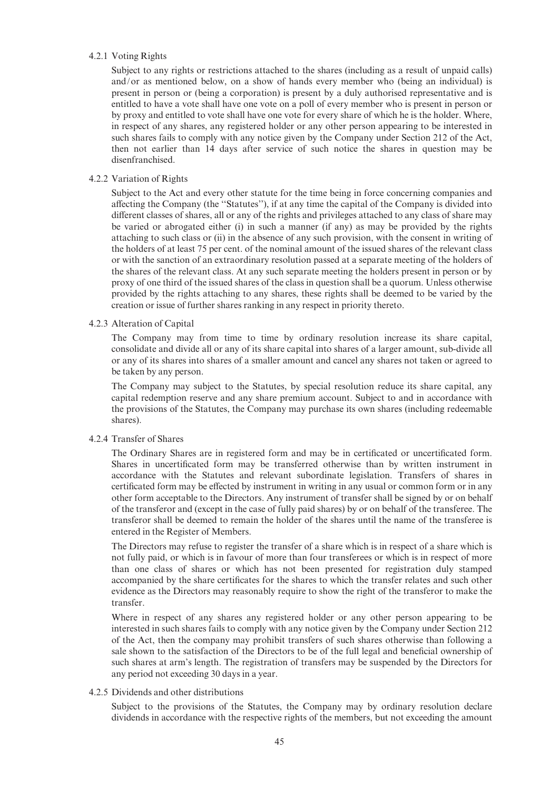#### 4.2.1 Voting Rights

Subject to any rights or restrictions attached to the shares (including as a result of unpaid calls) and/or as mentioned below, on a show of hands every member who (being an individual) is present in person or (being a corporation) is present by a duly authorised representative and is entitled to have a vote shall have one vote on a poll of every member who is present in person or by proxy and entitled to vote shall have one vote for every share of which he is the holder. Where, in respect of any shares, any registered holder or any other person appearing to be interested in such shares fails to comply with any notice given by the Company under Section 212 of the Act, then not earlier than 14 days after service of such notice the shares in question may be disenfranchised.

#### 4.2.2 Variation of Rights

Subject to the Act and every other statute for the time being in force concerning companies and affecting the Company (the "Statutes"), if at any time the capital of the Company is divided into different classes of shares, all or any of the rights and privileges attached to any class of share may be varied or abrogated either (i) in such a manner (if any) as may be provided by the rights attaching to such class or (ii) in the absence of any such provision, with the consent in writing of the holders of at least 75 per cent. of the nominal amount of the issued shares of the relevant class or with the sanction of an extraordinary resolution passed at a separate meeting of the holders of the shares of the relevant class. At any such separate meeting the holders present in person or by proxy of one third of the issued shares of the class in question shall be a quorum. Unless otherwise provided by the rights attaching to any shares, these rights shall be deemed to be varied by the creation or issue of further shares ranking in any respect in priority thereto.

#### 4.2.3 Alteration of Capital

The Company may from time to time by ordinary resolution increase its share capital, consolidate and divide all or any of its share capital into shares of a larger amount, sub-divide all or any of its shares into shares of a smaller amount and cancel any shares not taken or agreed to be taken by any person.

The Company may subject to the Statutes, by special resolution reduce its share capital, any capital redemption reserve and any share premium account. Subject to and in accordance with the provisions of the Statutes, the Company may purchase its own shares (including redeemable shares).

#### 4.2.4 Transfer of Shares

The Ordinary Shares are in registered form and may be in certificated or uncertificated form. Shares in uncertificated form may be transferred otherwise than by written instrument in accordance with the Statutes and relevant subordinate legislation. Transfers of shares in certificated form may be effected by instrument in writing in any usual or common form or in any other form acceptable to the Directors. Any instrument of transfer shall be signed by or on behalf of the transferor and (except in the case of fully paid shares) by or on behalf of the transferee. The transferor shall be deemed to remain the holder of the shares until the name of the transferee is entered in the Register of Members.

The Directors may refuse to register the transfer of a share which is in respect of a share which is not fully paid, or which is in favour of more than four transferees or which is in respect of more than one class of shares or which has not been presented for registration duly stamped accompanied by the share certificates for the shares to which the transfer relates and such other evidence as the Directors may reasonably require to show the right of the transferor to make the transfer.

Where in respect of any shares any registered holder or any other person appearing to be interested in such shares fails to comply with any notice given by the Company under Section 212 of the Act, then the company may prohibit transfers of such shares otherwise than following a sale shown to the satisfaction of the Directors to be of the full legal and beneficial ownership of such shares at arm's length. The registration of transfers may be suspended by the Directors for any period not exceeding 30 days in a year.

#### 4.2.5 Dividends and other distributions

Subject to the provisions of the Statutes, the Company may by ordinary resolution declare dividends in accordance with the respective rights of the members, but not exceeding the amount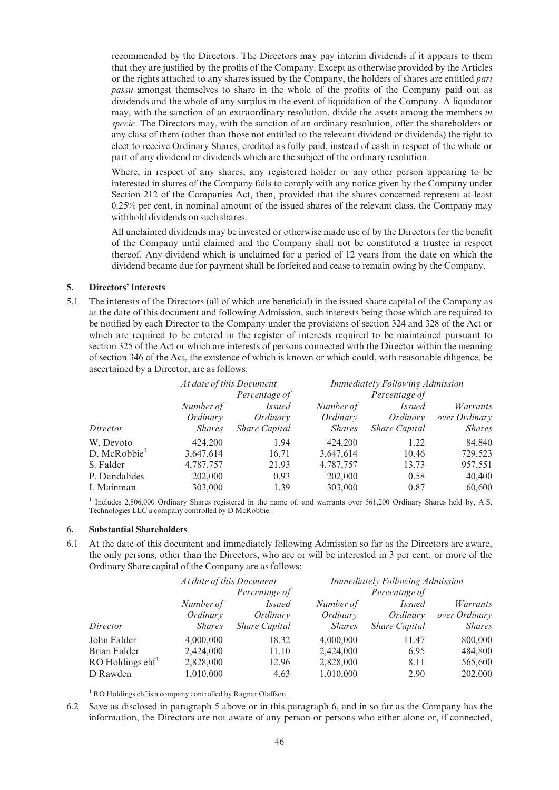recommended by the Directors. The Directors may pay interim dividends if it appears to them that they are justified by the profits of the Company. Except as otherwise provided by the Articles or the rights attached to any shares issued by the Company, the holders of shares are entitled *pari* passu amongst themselves to share in the whole of the profits of the Company paid out as dividends and the whole of any surplus in the event of liquidation of the Company. A liquidator may, with the sanction of an extraordinary resolution, divide the assets among the members in specie. The Directors may, with the sanction of an ordinary resolution, offer the shareholders or any class of them (other than those not entitled to the relevant dividend or dividends) the right to elect to receive Ordinary Shares, credited as fully paid, instead of cash in respect of the whole or part of any dividend or dividends which are the subject of the ordinary resolution.

Where, in respect of any shares, any registered holder or any other person appearing to be interested in shares of the Company fails to comply with any notice given by the Company under Section 212 of the Companies Act, then, provided that the shares concerned represent at least 0.25% per cent, in nominal amount of the issued shares of the relevant class, the Company may withhold dividends on such shares.

All unclaimed dividends may be invested or otherwise made use of by the Directors for the benefit of the Company until claimed and the Company shall not be constituted a trustee in respect thereof. Any dividend which is unclaimed for a period of 12 years from the date on which the dividend became due for payment shall be forfeited and cease to remain owing by the Company.

#### 5. Directors' Interests

5.1 The interests of the Directors (all of which are beneficial) in the issued share capital of the Company as at the date of this document and following Admission, such interests being those which are required to be notified by each Director to the Company under the provisions of section 324 and 328 of the Act or which are required to be entered in the register of interests required to be maintained pursuant to section 325 of the Act or which are interests of persons connected with the Director within the meaning of section 346 of the Act, the existence of which is known or which could, with reasonable diligence, be ascertained by a Director, are as follows:

|                          | At date of this Document<br>Percentage of |                      | <b>Immediately Following Admission</b><br>Percentage of |                      |                 |
|--------------------------|-------------------------------------------|----------------------|---------------------------------------------------------|----------------------|-----------------|
|                          |                                           |                      |                                                         |                      |                 |
|                          | Number of                                 | <i>Issued</i>        | Number of                                               | <i>Issued</i>        | <i>Warrants</i> |
|                          | Ordinary                                  | Ordinary             | Ordinary                                                | Ordinary             | over Ordinary   |
| Director                 | <i>Shares</i>                             | <b>Share Capital</b> | <i>Shares</i>                                           | <b>Share Capital</b> | <i>Shares</i>   |
| W. Devoto                | 424,200                                   | 1.94                 | 424,200                                                 | 1.22                 | 84,840          |
| D. McRobbie <sup>1</sup> | 3,647,614                                 | 16.71                | 3,647,614                                               | 10.46                | 729,523         |
| S. Falder                | 4,787,757                                 | 21.93                | 4,787,757                                               | 13.73                | 957,551         |
| P. Dandalides            | 202,000                                   | 0.93                 | 202,000                                                 | 0.58                 | 40,400          |
| I. Mainman               | 303,000                                   | 1.39                 | 303,000                                                 | 0.87                 | 60,600          |

<sup>1</sup> Includes 2,806,000 Ordinary Shares registered in the name of, and warrants over 561,200 Ordinary Shares held by, A.S. Technologies LLC a company controlled by D McRobbie.

#### 6. Substantial Shareholders

6.1 At the date of this document and immediately following Admission so far as the Directors are aware, the only persons, other than the Directors, who are or will be interested in 3 per cent. or more of the Ordinary Share capital of the Company are as follows:

|                              | At date of this Document<br>Percentage of |                      | <b>Immediately Following Admission</b> |                      |               |
|------------------------------|-------------------------------------------|----------------------|----------------------------------------|----------------------|---------------|
|                              |                                           |                      |                                        |                      |               |
|                              | Number of                                 | <i>Issued</i>        | Number of                              | <i>Issued</i>        | Warrants      |
|                              | Ordinary                                  | Ordinary             | Ordinary                               | Ordinary             | over Ordinary |
| Director                     | <i>Shares</i>                             | <b>Share Capital</b> | <i>Shares</i>                          | <b>Share Capital</b> | <i>Shares</i> |
| John Falder                  | 4,000,000                                 | 18.32                | 4,000,000                              | 11.47                | 800,000       |
| Brian Falder                 | 2,424,000                                 | 11.10                | 2,424,000                              | 6.95                 | 484,800       |
| $RO$ Holdings $\text{chf}^1$ | 2,828,000                                 | 12.96                | 2,828,000                              | 8.11                 | 565,600       |
| D Rawden                     | 1,010,000                                 | 4.63                 | 1,010,000                              | 2.90                 | 202,000       |

 $1$  RO Holdings ehf is a company controlled by Ragnar Olaffson.

6.2 Save as disclosed in paragraph 5 above or in this paragraph 6, and in so far as the Company has the information, the Directors are not aware of any person or persons who either alone or, if connected,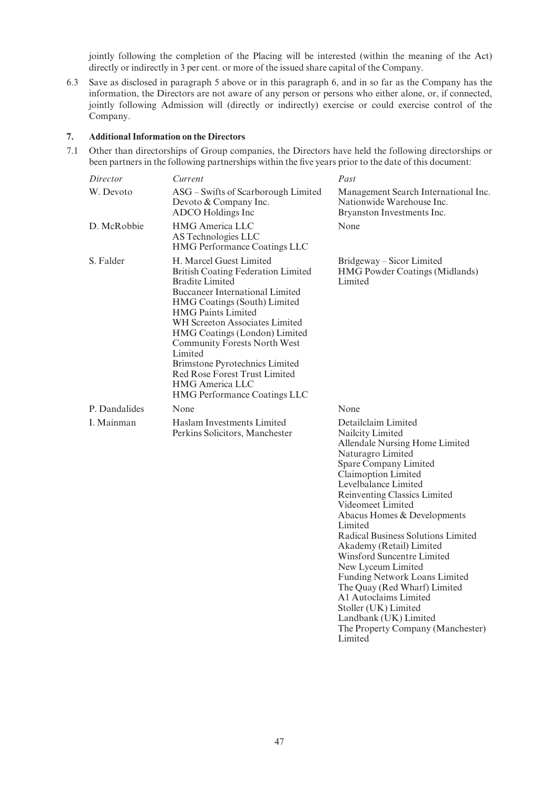jointly following the completion of the Placing will be interested (within the meaning of the Act) directly or indirectly in 3 per cent. or more of the issued share capital of the Company.

6.3 Save as disclosed in paragraph 5 above or in this paragraph 6, and in so far as the Company has the information, the Directors are not aware of any person or persons who either alone, or, if connected, jointly following Admission will (directly or indirectly) exercise or could exercise control of the Company.

#### 7. Additional Information on the Directors

7.1 Other than directorships of Group companies, the Directors have held the following directorships or been partners in the following partnerships within the five years prior to the date of this document:

| Director      | Current                                                                                                                                                                                                                                                                                                                                                                                                                                                        | Past                                                                                                                                                                                                                                                                                                        |
|---------------|----------------------------------------------------------------------------------------------------------------------------------------------------------------------------------------------------------------------------------------------------------------------------------------------------------------------------------------------------------------------------------------------------------------------------------------------------------------|-------------------------------------------------------------------------------------------------------------------------------------------------------------------------------------------------------------------------------------------------------------------------------------------------------------|
| W. Devoto     | ASG – Swifts of Scarborough Limited<br>Devoto & Company Inc.<br>ADCO Holdings Inc                                                                                                                                                                                                                                                                                                                                                                              | Management Search International Inc.<br>Nationwide Warehouse Inc.<br>Bryanston Investments Inc.                                                                                                                                                                                                             |
| D. McRobbie   | <b>HMG</b> America LLC<br>AS Technologies LLC<br><b>HMG Performance Coatings LLC</b>                                                                                                                                                                                                                                                                                                                                                                           | None                                                                                                                                                                                                                                                                                                        |
| S. Falder     | H. Marcel Guest Limited<br><b>British Coating Federation Limited</b><br><b>Bradite Limited</b><br><b>Buccaneer International Limited</b><br>HMG Coatings (South) Limited<br><b>HMG Paints Limited</b><br>WH Screeton Associates Limited<br>HMG Coatings (London) Limited<br><b>Community Forests North West</b><br>Limited<br>Brimstone Pyrotechnics Limited<br><b>Red Rose Forest Trust Limited</b><br><b>HMG</b> America LLC<br>HMG Performance Coatings LLC | Bridgeway – Sicor Limited<br>HMG Powder Coatings (Midlands)<br>Limited                                                                                                                                                                                                                                      |
| P. Dandalides | None                                                                                                                                                                                                                                                                                                                                                                                                                                                           | None                                                                                                                                                                                                                                                                                                        |
| I. Mainman    | Haslam Investments Limited<br>Perkins Solicitors, Manchester                                                                                                                                                                                                                                                                                                                                                                                                   | Detailclaim Limited<br>Nailcity Limited<br>Allendale Nursing Home Limited<br>Naturagro Limited<br>Spare Company Limited<br>Claimoption Limited<br>Levelbalance Limited<br>Reinventing Classics Limited<br>Videomeet Limited<br>Abacus Homes & Developments<br>Limited<br>Radical Business Solutions Limited |

Akademy (Retail) Limited Winsford Suncentre Limited New Lyceum Limited

A1 Autoclaims Limited Stoller (UK) Limited Landbank (UK) Limited

Limited

Funding Network Loans Limited The Quay (Red Wharf) Limited

The Property Company (Manchester)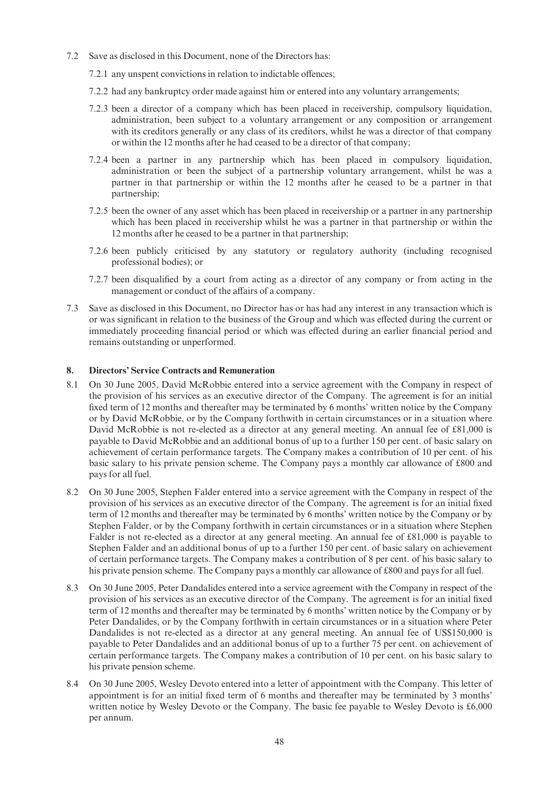- 7.2 Save as disclosed in this Document, none of the Directors has:
	- 7.2.1 any unspent convictions in relation to indictable offences;
	- 7.2.2 had any bankruptcy order made against him or entered into any voluntary arrangements;
	- 7.2.3 been a director of a company which has been placed in receivership, compulsory liquidation, administration, been subject to a voluntary arrangement or any composition or arrangement with its creditors generally or any class of its creditors, whilst he was a director of that company or within the 12 months after he had ceased to be a director of that company;
	- 7.2.4 been a partner in any partnership which has been placed in compulsory liquidation, administration or been the subject of a partnership voluntary arrangement, whilst he was a partner in that partnership or within the 12 months after he ceased to be a partner in that partnership;
	- 7.2.5 been the owner of any asset which has been placed in receivership or a partner in any partnership which has been placed in receivership whilst he was a partner in that partnership or within the 12 months after he ceased to be a partner in that partnership;
	- 7.2.6 been publicly criticised by any statutory or regulatory authority (including recognised professional bodies); or
	- 7.2.7 been disqualified by a court from acting as a director of any company or from acting in the management or conduct of the affairs of a company.
- 7.3 Save as disclosed in this Document, no Director has or has had any interest in any transaction which is or was significant in relation to the business of the Group and which was effected during the current or immediately proceeding financial period or which was effected during an earlier financial period and remains outstanding or unperformed.

### 8. Directors' Service Contracts and Remuneration

- 8.1 On 30 June 2005, David McRobbie entered into a service agreement with the Company in respect of the provision of his services as an executive director of the Company. The agreement is for an initial fixed term of 12 months and thereafter may be terminated by 6 months' written notice by the Company or by David McRobbie, or by the Company forthwith in certain circumstances or in a situation where David McRobbie is not re-elected as a director at any general meeting. An annual fee of £81,000 is payable to David McRobbie and an additional bonus of up to a further 150 per cent. of basic salary on achievement of certain performance targets. The Company makes a contribution of 10 per cent. of his basic salary to his private pension scheme. The Company pays a monthly car allowance of £800 and pays for all fuel.
- 8.2 On 30 June 2005, Stephen Falder entered into a service agreement with the Company in respect of the provision of his services as an executive director of the Company. The agreement is for an initial fixed term of 12 months and thereafter may be terminated by 6 months' written notice by the Company or by Stephen Falder, or by the Company forthwith in certain circumstances or in a situation where Stephen Falder is not re-elected as a director at any general meeting. An annual fee of £81,000 is payable to Stephen Falder and an additional bonus of up to a further 150 per cent. of basic salary on achievement of certain performance targets. The Company makes a contribution of 8 per cent. of his basic salary to his private pension scheme. The Company pays a monthly car allowance of  $\pounds 800$  and pays for all fuel.
- 8.3 On 30 June 2005, Peter Dandalides entered into a service agreement with the Company in respect of the provision of his services as an executive director of the Company. The agreement is for an initial fixed term of 12 months and thereafter may be terminated by 6 months' written notice by the Company or by Peter Dandalides, or by the Company forthwith in certain circumstances or in a situation where Peter Dandalides is not re-elected as a director at any general meeting. An annual fee of US\$150,000 is payable to Peter Dandalides and an additional bonus of up to a further 75 per cent. on achievement of certain performance targets. The Company makes a contribution of 10 per cent. on his basic salary to his private pension scheme.
- 8.4 On 30 June 2005, Wesley Devoto entered into a letter of appointment with the Company. This letter of appointment is for an initial fixed term of 6 months and thereafter may be terminated by 3 months' written notice by Wesley Devoto or the Company. The basic fee payable to Wesley Devoto is  $£6,000$ per annum.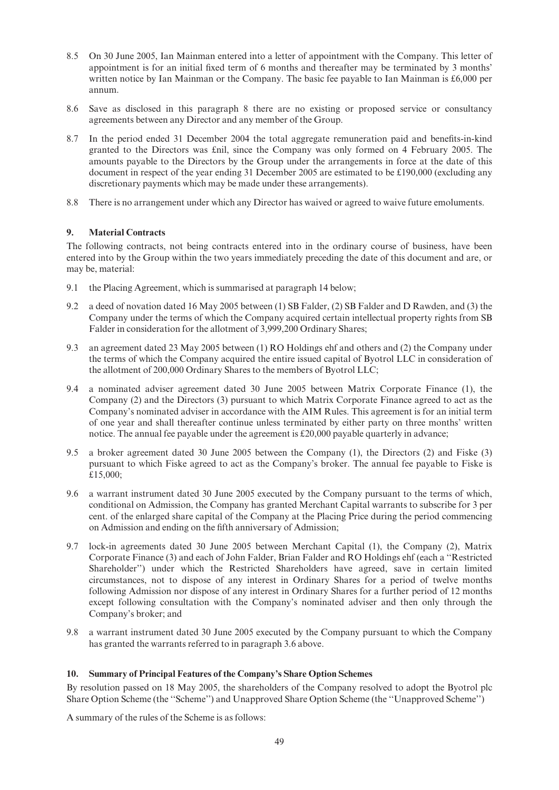- 8.5 On 30 June 2005, Ian Mainman entered into a letter of appointment with the Company. This letter of appointment is for an initial fixed term of 6 months and thereafter may be terminated by 3 months' written notice by Ian Mainman or the Company. The basic fee payable to Ian Mainman is  $\text{\pounds}6,000$  per annum.
- 8.6 Save as disclosed in this paragraph 8 there are no existing or proposed service or consultancy agreements between any Director and any member of the Group.
- 8.7 In the period ended 31 December 2004 the total aggregate remuneration paid and benefits-in-kind granted to the Directors was £nil, since the Company was only formed on 4 February 2005. The amounts payable to the Directors by the Group under the arrangements in force at the date of this document in respect of the year ending 31 December 2005 are estimated to be  $\text{\pounds}190,000$  (excluding any discretionary payments which may be made under these arrangements).
- 8.8 There is no arrangement under which any Director has waived or agreed to waive future emoluments.

### 9. Material Contracts

The following contracts, not being contracts entered into in the ordinary course of business, have been entered into by the Group within the two years immediately preceding the date of this document and are, or may be, material:

- 9.1 the Placing Agreement, which is summarised at paragraph 14 below;
- 9.2 a deed of novation dated 16 May 2005 between (1) SB Falder, (2) SB Falder and D Rawden, and (3) the Company under the terms of which the Company acquired certain intellectual property rights from SB Falder in consideration for the allotment of 3,999,200 Ordinary Shares;
- 9.3 an agreement dated 23 May 2005 between (1) RO Holdings ehf and others and (2) the Company under the terms of which the Company acquired the entire issued capital of Byotrol LLC in consideration of the allotment of 200,000 Ordinary Shares to the members of Byotrol LLC;
- 9.4 a nominated adviser agreement dated 30 June 2005 between Matrix Corporate Finance (1), the Company (2) and the Directors (3) pursuant to which Matrix Corporate Finance agreed to act as the Company's nominated adviser in accordance with the AIM Rules. This agreement is for an initial term of one year and shall thereafter continue unless terminated by either party on three months' written notice. The annual fee payable under the agreement is  $\text{\pounds}20,000$  payable quarterly in advance;
- 9.5 a broker agreement dated 30 June 2005 between the Company (1), the Directors (2) and Fiske (3) pursuant to which Fiske agreed to act as the Company's broker. The annual fee payable to Fiske is »15,000;
- 9.6 a warrant instrument dated 30 June 2005 executed by the Company pursuant to the terms of which, conditional on Admission, the Company has granted Merchant Capital warrants to subscribe for 3 per cent. of the enlarged share capital of the Company at the Placing Price during the period commencing on Admission and ending on the ¢fth anniversary of Admission;
- 9.7 lock-in agreements dated 30 June 2005 between Merchant Capital (1), the Company (2), Matrix Corporate Finance (3) and each of John Falder, Brian Falder and RO Holdings ehf (each a ''Restricted Shareholder'') under which the Restricted Shareholders have agreed, save in certain limited circumstances, not to dispose of any interest in Ordinary Shares for a period of twelve months following Admission nor dispose of any interest in Ordinary Shares for a further period of 12 months except following consultation with the Company's nominated adviser and then only through the Company's broker; and
- 9.8 a warrant instrument dated 30 June 2005 executed by the Company pursuant to which the Company has granted the warrants referred to in paragraph 3.6 above.

## 10. Summary of Principal Features of the Company's Share Option Schemes

By resolution passed on 18 May 2005, the shareholders of the Company resolved to adopt the Byotrol plc Share Option Scheme (the ''Scheme'') and Unapproved Share Option Scheme (the ''Unapproved Scheme'')

A summary of the rules of the Scheme is as follows: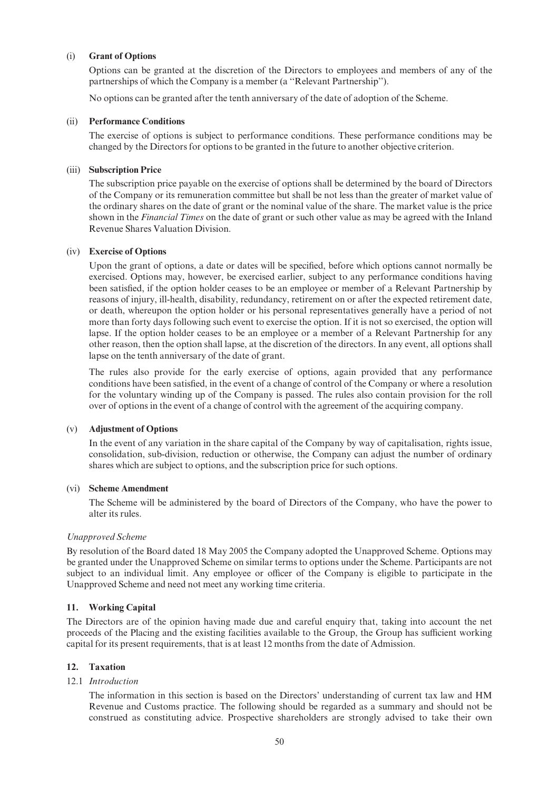#### (i) Grant of Options

Options can be granted at the discretion of the Directors to employees and members of any of the partnerships of which the Company is a member (a ''Relevant Partnership'').

No options can be granted after the tenth anniversary of the date of adoption of the Scheme.

#### (ii) Performance Conditions

The exercise of options is subject to performance conditions. These performance conditions may be changed by the Directors for options to be granted in the future to another objective criterion.

#### (iii) Subscription Price

The subscription price payable on the exercise of options shall be determined by the board of Directors of the Company or its remuneration committee but shall be not less than the greater of market value of the ordinary shares on the date of grant or the nominal value of the share. The market value is the price shown in the Financial Times on the date of grant or such other value as may be agreed with the Inland Revenue Shares Valuation Division.

#### (iv) Exercise of Options

Upon the grant of options, a date or dates will be specified, before which options cannot normally be exercised. Options may, however, be exercised earlier, subject to any performance conditions having been satis¢ed, if the option holder ceases to be an employee or member of a Relevant Partnership by reasons of injury, ill-health, disability, redundancy, retirement on or after the expected retirement date, or death, whereupon the option holder or his personal representatives generally have a period of not more than forty days following such event to exercise the option. If it is not so exercised, the option will lapse. If the option holder ceases to be an employee or a member of a Relevant Partnership for any other reason, then the option shall lapse, at the discretion of the directors. In any event, all options shall lapse on the tenth anniversary of the date of grant.

The rules also provide for the early exercise of options, again provided that any performance conditions have been satisfied, in the event of a change of control of the Company or where a resolution for the voluntary winding up of the Company is passed. The rules also contain provision for the roll over of options in the event of a change of control with the agreement of the acquiring company.

#### (v) Adjustment of Options

In the event of any variation in the share capital of the Company by way of capitalisation, rights issue, consolidation, sub-division, reduction or otherwise, the Company can adjust the number of ordinary shares which are subject to options, and the subscription price for such options.

#### (vi) Scheme Amendment

The Scheme will be administered by the board of Directors of the Company, who have the power to alter its rules.

#### Unapproved Scheme

By resolution of the Board dated 18 May 2005 the Company adopted the Unapproved Scheme. Options may be granted under the Unapproved Scheme on similar terms to options under the Scheme. Participants are not subject to an individual limit. Any employee or officer of the Company is eligible to participate in the Unapproved Scheme and need not meet any working time criteria.

## 11. Working Capital

The Directors are of the opinion having made due and careful enquiry that, taking into account the net proceeds of the Placing and the existing facilities available to the Group, the Group has sufficient working capital for its present requirements, that is at least 12 months from the date of Admission.

## 12. Taxation

#### 12.1 Introduction

The information in this section is based on the Directors' understanding of current tax law and HM Revenue and Customs practice. The following should be regarded as a summary and should not be construed as constituting advice. Prospective shareholders are strongly advised to take their own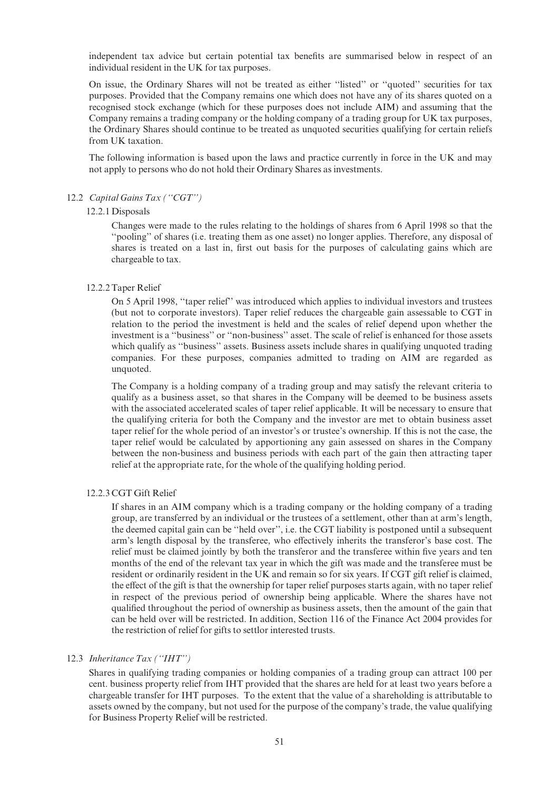independent tax advice but certain potential tax benefits are summarised below in respect of an individual resident in the UK for tax purposes.

On issue, the Ordinary Shares will not be treated as either ''listed'' or ''quoted'' securities for tax purposes. Provided that the Company remains one which does not have any of its shares quoted on a recognised stock exchange (which for these purposes does not include AIM) and assuming that the Company remains a trading company or the holding company of a trading group for UK tax purposes, the Ordinary Shares should continue to be treated as unquoted securities qualifying for certain reliefs from UK taxation.

The following information is based upon the laws and practice currently in force in the UK and may not apply to persons who do not hold their Ordinary Shares as investments.

#### 12.2 Capital Gains Tax ("CGT")

#### 12.2.1 Disposals

Changes were made to the rules relating to the holdings of shares from 6 April 1998 so that the ''pooling'' of shares (i.e. treating them as one asset) no longer applies. Therefore, any disposal of shares is treated on a last in, first out basis for the purposes of calculating gains which are chargeable to tax.

#### 12.2.2 Taper Relief

On 5 April 1998, ''taper relief'' was introduced which applies to individual investors and trustees (but not to corporate investors). Taper relief reduces the chargeable gain assessable to CGT in relation to the period the investment is held and the scales of relief depend upon whether the investment is a ''business'' or ''non-business'' asset. The scale of relief is enhanced for those assets which qualify as ''business'' assets. Business assets include shares in qualifying unquoted trading companies. For these purposes, companies admitted to trading on AIM are regarded as unquoted.

The Company is a holding company of a trading group and may satisfy the relevant criteria to qualify as a business asset, so that shares in the Company will be deemed to be business assets with the associated accelerated scales of taper relief applicable. It will be necessary to ensure that the qualifying criteria for both the Company and the investor are met to obtain business asset taper relief for the whole period of an investor's or trustee's ownership. If this is not the case, the taper relief would be calculated by apportioning any gain assessed on shares in the Company between the non-business and business periods with each part of the gain then attracting taper relief at the appropriate rate, for the whole of the qualifying holding period.

#### 12.2.3 CGT Gift Relief

If shares in an AIM company which is a trading company or the holding company of a trading group, are transferred by an individual or the trustees of a settlement, other than at arm's length, the deemed capital gain can be ''held over'', i.e. the CGT liability is postponed until a subsequent arm's length disposal by the transferee, who effectively inherits the transferor's base cost. The relief must be claimed jointly by both the transferor and the transferee within five years and ten months of the end of the relevant tax year in which the gift was made and the transferee must be resident or ordinarily resident in the UK and remain so for six years. If CGT gift relief is claimed, the effect of the gift is that the ownership for taper relief purposes starts again, with no taper relief in respect of the previous period of ownership being applicable. Where the shares have not quali¢ed throughout the period of ownership as business assets, then the amount of the gain that can be held over will be restricted. In addition, Section 116 of the Finance Act 2004 provides for the restriction of relief for gifts to settlor interested trusts.

## 12.3 Inheritance Tax ("IHT")

Shares in qualifying trading companies or holding companies of a trading group can attract 100 per cent. business property relief from IHT provided that the shares are held for at least two years before a chargeable transfer for IHT purposes. To the extent that the value of a shareholding is attributable to assets owned by the company, but not used for the purpose of the company's trade, the value qualifying for Business Property Relief will be restricted.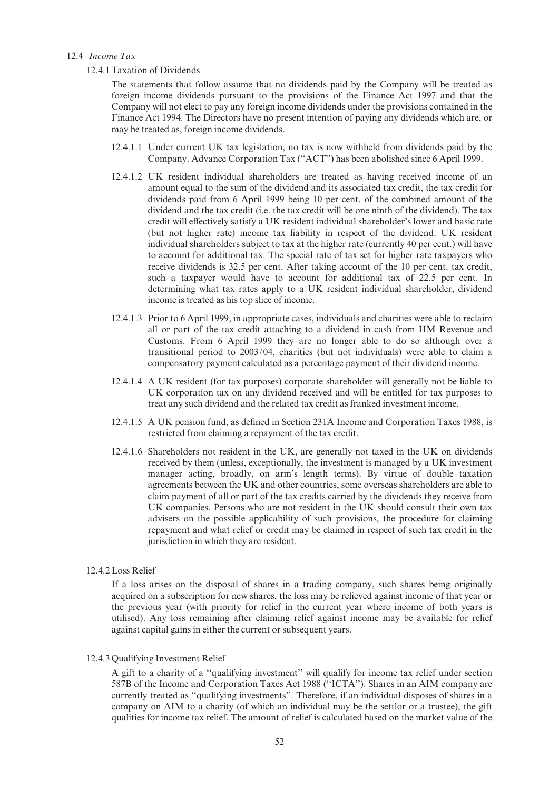#### 12.4 Income Tax

#### 12.4.1 Taxation of Dividends

The statements that follow assume that no dividends paid by the Company will be treated as foreign income dividends pursuant to the provisions of the Finance Act 1997 and that the Company will not elect to pay any foreign income dividends under the provisions contained in the Finance Act 1994. The Directors have no present intention of paying any dividends which are, or may be treated as, foreign income dividends.

- 12.4.1.1 Under current UK tax legislation, no tax is now withheld from dividends paid by the Company. Advance Corporation Tax (''ACT'') has been abolished since 6 April 1999.
- 12.4.1.2 UK resident individual shareholders are treated as having received income of an amount equal to the sum of the dividend and its associated tax credit, the tax credit for dividends paid from 6 April 1999 being 10 per cent. of the combined amount of the dividend and the tax credit (i.e. the tax credit will be one ninth of the dividend). The tax credit will effectively satisfy a UK resident individual shareholder's lower and basic rate (but not higher rate) income tax liability in respect of the dividend. UK resident individual shareholders subject to tax at the higher rate (currently 40 per cent.) will have to account for additional tax. The special rate of tax set for higher rate taxpayers who receive dividends is 32.5 per cent. After taking account of the 10 per cent. tax credit, such a taxpayer would have to account for additional tax of 22.5 per cent. In determining what tax rates apply to a UK resident individual shareholder, dividend income is treated as his top slice of income.
- 12.4.1.3 Prior to 6 April 1999, in appropriate cases, individuals and charities were able to reclaim all or part of the tax credit attaching to a dividend in cash from HM Revenue and Customs. From 6 April 1999 they are no longer able to do so although over a transitional period to 2003/04, charities (but not individuals) were able to claim a compensatory payment calculated as a percentage payment of their dividend income.
- 12.4.1.4 A UK resident (for tax purposes) corporate shareholder will generally not be liable to UK corporation tax on any dividend received and will be entitled for tax purposes to treat any such dividend and the related tax credit as franked investment income.
- 12.4.1.5 A UK pension fund, as de¢ned in Section 231A Income and Corporation Taxes 1988, is restricted from claiming a repayment of the tax credit.
- 12.4.1.6 Shareholders not resident in the UK, are generally not taxed in the UK on dividends received by them (unless, exceptionally, the investment is managed by a UK investment manager acting, broadly, on arm's length terms). By virtue of double taxation agreements between the UK and other countries, some overseas shareholders are able to claim payment of all or part of the tax credits carried by the dividends they receive from UK companies. Persons who are not resident in the UK should consult their own tax advisers on the possible applicability of such provisions, the procedure for claiming repayment and what relief or credit may be claimed in respect of such tax credit in the jurisdiction in which they are resident.

## 12.4.2 Loss Relief

If a loss arises on the disposal of shares in a trading company, such shares being originally acquired on a subscription for new shares, the loss may be relieved against income of that year or the previous year (with priority for relief in the current year where income of both years is utilised). Any loss remaining after claiming relief against income may be available for relief against capital gains in either the current or subsequent years.

#### 12.4.3 Qualifying Investment Relief

A gift to a charity of a ''qualifying investment'' will qualify for income tax relief under section 587B of the Income and Corporation Taxes Act 1988 (''ICTA''). Shares in an AIM company are currently treated as ''qualifying investments''. Therefore, if an individual disposes of shares in a company on AIM to a charity (of which an individual may be the settlor or a trustee), the gift qualities for income tax relief. The amount of relief is calculated based on the market value of the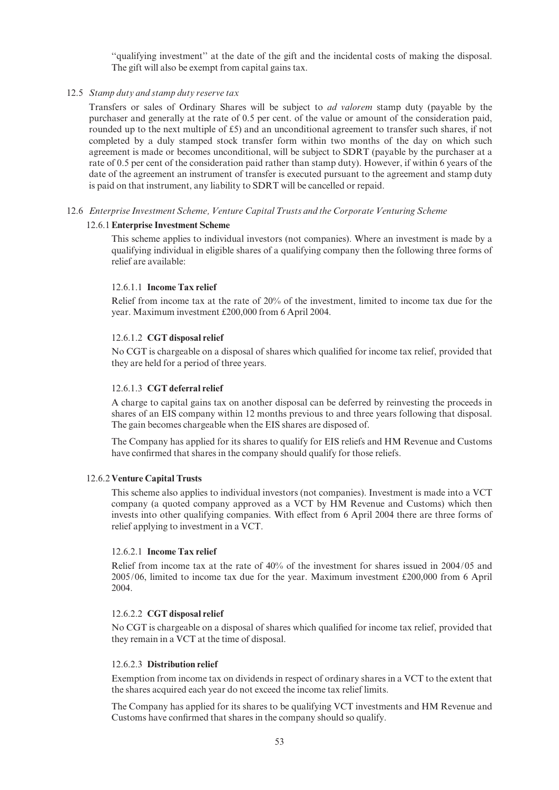''qualifying investment'' at the date of the gift and the incidental costs of making the disposal. The gift will also be exempt from capital gains tax.

#### 12.5 Stamp duty and stamp duty reserve tax

Transfers or sales of Ordinary Shares will be subject to ad valorem stamp duty (payable by the purchaser and generally at the rate of 0.5 per cent. of the value or amount of the consideration paid, rounded up to the next multiple of  $£5$ ) and an unconditional agreement to transfer such shares, if not completed by a duly stamped stock transfer form within two months of the day on which such agreement is made or becomes unconditional, will be subject to SDRT (payable by the purchaser at a rate of 0.5 per cent of the consideration paid rather than stamp duty). However, if within 6 years of the date of the agreement an instrument of transfer is executed pursuant to the agreement and stamp duty is paid on that instrument, any liability to SDRT will be cancelled or repaid.

### 12.6 Enterprise Investment Scheme, Venture Capital Trusts and the Corporate Venturing Scheme

#### 12.6.1Enterprise Investment Scheme

This scheme applies to individual investors (not companies). Where an investment is made by a qualifying individual in eligible shares of a qualifying company then the following three forms of relief are available:

#### 12.6.1.1 Income Tax relief

Relief from income tax at the rate of 20% of the investment, limited to income tax due for the year. Maximum investment £200,000 from 6 April 2004.

#### 12.6.1.2 CGT disposal relief

No CGT is chargeable on a disposal of shares which qualified for income tax relief, provided that they are held for a period of three years.

#### 12.6.1.3 CGT deferral relief

A charge to capital gains tax on another disposal can be deferred by reinvesting the proceeds in shares of an EIS company within 12 months previous to and three years following that disposal. The gain becomes chargeable when the EIS shares are disposed of.

The Company has applied for its shares to qualify for EIS reliefs and HM Revenue and Customs have confirmed that shares in the company should qualify for those reliefs.

#### 12.6.2 Venture Capital Trusts

This scheme also applies to individual investors (not companies). Investment is made into a VCT company (a quoted company approved as a VCT by HM Revenue and Customs) which then invests into other qualifying companies. With effect from 6 April 2004 there are three forms of relief applying to investment in a VCT.

#### 12.6.2.1 Income Tax relief

Relief from income tax at the rate of 40% of the investment for shares issued in 2004/05 and  $2005/06$ , limited to income tax due for the year. Maximum investment £200,000 from 6 April 2004.

#### 12.6.2.2 CGT disposal relief

No CGT is chargeable on a disposal of shares which qualified for income tax relief, provided that they remain in a VCT at the time of disposal.

#### 12.6.2.3 Distribution relief

Exemption from income tax on dividends in respect of ordinary shares in a VCT to the extent that the shares acquired each year do not exceed the income tax relief limits.

The Company has applied for its shares to be qualifying VCT investments and HM Revenue and Customs have confirmed that shares in the company should so qualify.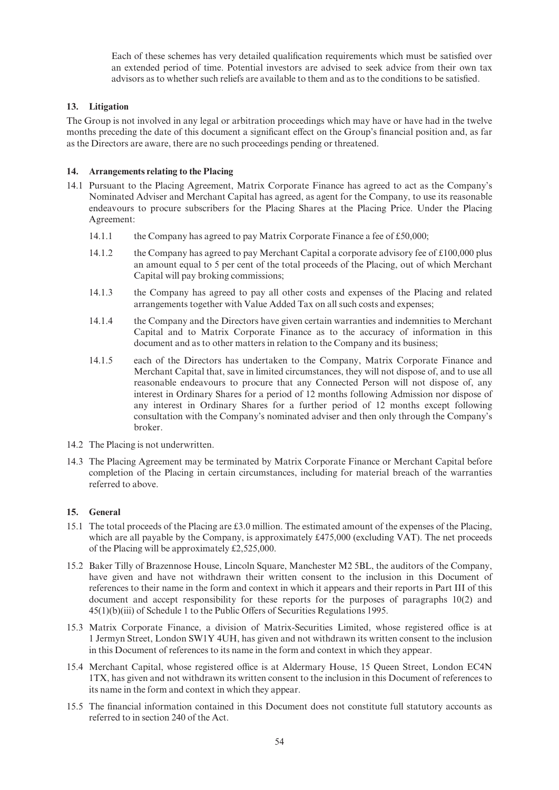Each of these schemes has very detailed qualification requirements which must be satisfied over an extended period of time. Potential investors are advised to seek advice from their own tax advisors as to whether such reliefs are available to them and as to the conditions to be satisfied.

## 13. Litigation

The Group is not involved in any legal or arbitration proceedings which may have or have had in the twelve months preceding the date of this document a significant effect on the Group's financial position and, as far as the Directors are aware, there are no such proceedings pending or threatened.

#### 14. Arrangements relating to the Placing

- 14.1 Pursuant to the Placing Agreement, Matrix Corporate Finance has agreed to act as the Company's Nominated Adviser and Merchant Capital has agreed, as agent for the Company, to use its reasonable endeavours to procure subscribers for the Placing Shares at the Placing Price. Under the Placing Agreement:
	- 14.1.1 the Company has agreed to pay Matrix Corporate Finance a fee of  $£50,000;$
	- 14.1.2 the Company has agreed to pay Merchant Capital a corporate advisory fee of  $\text{\pounds}100,000$  plus an amount equal to 5 per cent of the total proceeds of the Placing, out of which Merchant Capital will pay broking commissions;
	- 14.1.3 the Company has agreed to pay all other costs and expenses of the Placing and related arrangements together with Value Added Tax on all such costs and expenses;
	- 14.1.4 the Company and the Directors have given certain warranties and indemnities to Merchant Capital and to Matrix Corporate Finance as to the accuracy of information in this document and as to other matters in relation to the Company and its business;
	- 14.1.5 each of the Directors has undertaken to the Company, Matrix Corporate Finance and Merchant Capital that, save in limited circumstances, they will not dispose of, and to use all reasonable endeavours to procure that any Connected Person will not dispose of, any interest in Ordinary Shares for a period of 12 months following Admission nor dispose of any interest in Ordinary Shares for a further period of 12 months except following consultation with the Company's nominated adviser and then only through the Company's broker.
- 14.2 The Placing is not underwritten.
- 14.3 The Placing Agreement may be terminated by Matrix Corporate Finance or Merchant Capital before completion of the Placing in certain circumstances, including for material breach of the warranties referred to above.

## 15. General

- 15.1 The total proceeds of the Placing are £3.0 million. The estimated amount of the expenses of the Placing, which are all payable by the Company, is approximately  $\text{\pounds}475,000$  (excluding VAT). The net proceeds of the Placing will be approximately  $£2,525,000.$
- 15.2 Baker Tilly of Brazennose House, Lincoln Square, Manchester M2 5BL, the auditors of the Company, have given and have not withdrawn their written consent to the inclusion in this Document of references to their name in the form and context in which it appears and their reports in Part III of this document and accept responsibility for these reports for the purposes of paragraphs 10(2) and  $45(1)(b)(iii)$  of Schedule 1 to the Public Offers of Securities Regulations 1995.
- 15.3 Matrix Corporate Finance, a division of Matrix-Securities Limited, whose registered office is at 1 Jermyn Street, London SW1Y 4UH, has given and not withdrawn its written consent to the inclusion in this Document of references to its name in the form and context in which they appear.
- 15.4 Merchant Capital, whose registered office is at Aldermary House, 15 Queen Street, London EC4N 1TX, has given and not withdrawn its written consent to the inclusion in this Document of references to its name in the form and context in which they appear.
- 15.5 The financial information contained in this Document does not constitute full statutory accounts as referred to in section 240 of the Act.